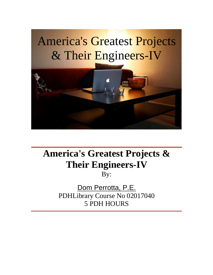

## **America's Greatest Projects & Their Engineers-IV**

By:

Dom Perrotta, P.E. PDHLibrary Course No 02017040 5 PDH HOURS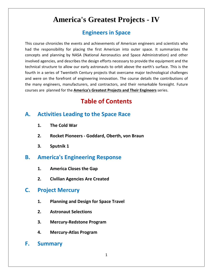# **America's Greatest Projects - IV in Space America's Greatest Projects - IV**<br>Engineers in Space<br>
Course chronicles the events and achievements of American engineers and scientists who

**America's Greatest Projects - IV<br>Engineers in Space**<br>course chronicles the events and achievements of American engineers and scientists who<br>the responsibility for placing the first American into outer space. It summarizes Engineers in Space<br>
e chronicles the events and achievements of American engineers and scientists who<br>
responsibility for placing the first American into outer space. It summarizes the<br>
and planning by NASA (National Aeron **Engineers in Space**<br>se chronicles the events and achievements of American engineers and scientists who<br>responsibility for placing the first American into outer space. It summarizes the<br>and planning by NASA (National Aeron structure to allow our early astronauts of American engineers and scientists who<br>responsibility for placing the first American into outer space. It summarizes the<br>and planning by NASA (National Aeronautics and Space Admini This course chronicles the events and achievements of American engineers and scientists who urse chronicles the events and achievements of American engineers and scientists who<br>e responsibility for placing the first American into outer space. It summarizes the<br>ts and planning by NASA (National Aeronautics and Spa had the responsibility for placing the first American into outer space. It summarizes the the responsibility for placing the first American into outer space. It summarizes the<br>epts and planning by NASA (National Aeronautics and Space Administration) and other<br>ved agencies, and describes the design efforts neces the many engineeries, and describes the design efforts necessary to provide the equipment and the involved agencies, and describes the design efforts necessary to provide the equipment and the technical structure to allow involved agencies, and describes the design efforts necessary to provide the equipment and the responsibility for placing the first American into outer space. It summarizs and planning by NASA (National Aeronautics and Space Administration) and agencies, and describes the design efforts necessary to provide the equi **State American State American engineers**<br> **State American into outer space**<br> **Contents**<br> **of Contents**<br> **Contents**<br> **Contents**<br> **Contents**<br> **Contents**<br> **Contents** technical structure to allow our early astronauts to orbit above the earth's surface. This is the al structure to allow our early astronauts to orbit above the earth's<br>
in a series of Twentieth Century projects that overcame major tech<br>
re on the forefront of engineering innovation. The course details<br>
iny engineers, m the many engineers, manufacturers, and contractors, and their remarkable foresight. Future courses are planned for the **America's Greatest Projects and Their Engineers** series. **Institutionary Manufacturery**<br> **The** Cold War<br>
The Cold War

## **Table of Contents**<br>
Fities Leading to the Space Race<br>
The Cold War<br>
Rocket Pioneers - Goddard. Oberth. von Braun **Activities Leading to the Space Race<br>1. The Cold War<br>2. Rocket Pioneers - Goddard, Oberth, von Braun<br>3. Sputnik 1<br>America's Engineering Response ities Leading to<br>The Cold War<br>Rocket Pioneers - (<br>Sputnik 1** А.

- 
- 
- 

## **Rocket Pioneers - Goddard, Ober<br>Sputnik 1<br><b>rica's Engineering Respon**s<br>America Closes the Gap **3.** Sputnik 1<br>**America's Engineering Render**<br>**1. America Closes the Gap<br>2. Civilian Agencies Are Crea<br>Project Mercurv Sputnik 1<br>rica's Engineering Response<br>America Closes the Gap<br>Civilian Agencies Are Created** В.

- 
- **America Closes the Gap<br>Civilian Agencies Are Created<br>Planning and Design for Space Travel**

## **F.**

- **2. Civilian Agencies Are Created<br>
<b>Project Mercury**<br> **1. Planning and Design for Space Travel<br>
<b>2. Astronaut Selections Ect Mercury<br>Planning and Design for Space Travel<br>Astronaut Selections<br>Mercurv-Redstone Program Planning and Design for Space Travel<br>Astronaut Selections<br>Mercury-Redstone Program<br>Mercury-Atlas Program** 1. Planni<br>2. Astror<br>3. Mercu<br>4. Mercu<br>**Summarv**
- 
- **Mercury-Redstone Program**
- 
- F.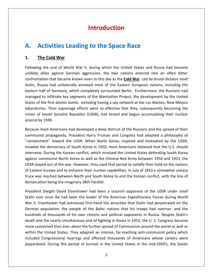# **Activities Leading to the Space Race Activities Lead<br>The Cold War Ctivities Leading to the Space Race<br>
Example Cold War II, during which the United States and Russia had become**<br>the end of World War II, during which the United States and Russia had become A. Acti

#### 1. The Cold War

**activities Leading to the Space Race**<br>allies against German aggression, the two nations entered into an often bitter<br>allies against German aggression, the two nations entered into an often bitter **old War**<br>**old War**<br>end of World War II, during which the United States and Russia had become<br>against German aggression, the two nations entered into an often bitter<br>that became known even to this day as the **Cold War**. Le The Cold War<br>ng the end of World War II, during which the United States and Russia had become<br>in allies against German aggression, the two nations entered into an often bitter<br>intation that became known even to this day as The Cold War<br>
g the end of World War II, during which the United States and Russia had become<br>
allies against German aggression, the two nations entered into an often bitter<br>
tation that became known even to this day as th Following the end of World War II, during which the United States and Russia had become the end of World War II, during which the United States and Russia had become<br>Illies against German aggression, the two nations entered into an often bitter<br>tion that became known even to this day as the **Cold War**. Led by unlikely allies against German aggression, the two nations entered into an often bitter of the first atomic bomb, including having a spy network at the Los Alamos. New Mexico and the spaint of the two nations entered into an often bitter intation that became known even to this day as the **Cold War**. Led by br confrontation that became known even to this day as the Cold War. Led by brutal dictator Josef Their espional variables were so effective that the subsequently annexed must be that became known even to this day as the **Cold War**. Led by brutal dictator Josef had unilaterally annexed most of the Eastern European nati Stalin, Russia had unilaterally annexed most of the Eastern European nations, including the Russia had unilaterally annexed most of the Eastern European nations, including the<br>half of Germany, which completely surrounded Berlin. Furthermore, the Russians had<br>ed to infiltrate key segments of the Manhattan Project, eastern half of Germany, which completely surrounded Berlin. Furthermore, the Russians had Beam, Russia Had at<br>eastern half of Germ<br>managed to infiltrate<br>States of the first ato<br>laboratories. Their e<br>Union of Soviet Soci<br>arsenal by 1949. I to infiltrate key segments of the Manhattan Project, the development by the United<br>the first atomic bomb, including having a spy network at the Los Alamos, New Mexico<br>ries. Their espionage efforts were so effective that States of the first atomic bomb, including having a spy network at the Los Alamos, New Mexico States of the first atomic bomb, including having a spy network at the Los Alamos, New Mexico<br>laboratories. Their espionage efforts were so effective that they, subsequently becoming the<br>Union of Soviet Socialist Republics eir espionage efforts were so effective that they, subsequently becoming the<br>
Exocialist Republics (USSR), had tested and begun accumulating their nuclear<br>
.<br>
mericans had developed a deep distrust of the Russians and the Union c arsenal by 1949.

Expored Socialist Republics (USSR), had tested and begun accumulating their nuclear<br>hy 1949.<br>most Americans had developed a deep distrust of the Russians and the spread of their<br>ist propaganda, President Harry Truman and C 1949.<br>ost Americans had developed a deep distrust of the Russians and the spread of their<br>: propaganda, President Harry Truman and Congress had adopted a philosophy of<br>ent" toward the USSR. When North Korea, inspired and m Because most Americans had developed a deep distrust of the Russians and the spread of their exteed of their<br>mist propaganda, President Harry Truman and Congress had adopted a philosophy of<br>nment" toward the USSR. When North Korea, inspired and motivated by the USSR,<br>the democracy of South Korea in 1950, most Amer communist propaganda, President Harry Truman and Congress had adopted a philosophy of station international active peak a deep district of the hassians and the spieda of their<br>nunist propaganda, President Harry Truman and Congress had adopted a philosophy of<br>ainment" toward the USSR. When North Korea, inspi "containment" toward the USSR. When North Korea, inspired and motivated by the USSR, Intrainse propaganda, Trestaent Harry Trainan and congress had didepted a philosophy of<br>Intrainment" toward the USSR. When North Korea, inspired and motivated by the USSR,<br>vaded the democracy of South Korea in 1950, most A invaded the democracy of South Korea in 1950, most Americans believed that the U.S. should<br>intervene. During the Korean conflict, which involved the United States defending South Korea<br>against communist North Korea as well intervene. During the Korean conflict, which involved the United States defending South Korea against communist North Korea as well as the Chinese Red Army between 1950 and 1953, the mmunist North Korea as well as the Chinese Red Army between 1950 and 1953, the<br>ed out of the war. However, they used that period to solidify their hold on the nations<br>Europe and to enhance their nuclear capabilities. In Ju USSR stayed out of the war. However, they used that period to solidify their hold on the nations tayed out of the war. However, they used that period to solidify their hold on the nations<br>tern Europe and to enhance their nuclear capabilities. In July of 1953 a somewhat uneasy<br>was reached between North and South Korea of Eastern Europe and to enhance their nuclear capabilities. In July of 1953 a somewhat uneasy stern Europe and to enhance their nuclear capabilities. In July of 1953 a somewhat uneasy<br>
I was reached between North and South Korea to end the Korean conflict, with the line of<br>
arcation being the imaginary 38th Paralle truce was reached between North and South Korea to end the Korean conflict, with the line of demarcation being the imaginary 38th Parallel.

death and the nearly simultaneous end of fighting in Korea in 1953, the U.S. Congress became<br>more concerned than ever about the further spread of Communism around the world as well as is reached between North and South Korea to end the Korean conflict, with the line of<br>tion being the imaginary 38th Parallel.<br>2. Dwight David Eisenhower had been a staunch opponent of the USSR under Josef<br>19 ar since Ike h on being the imaginary 38th Parallel.<br>
Dwight David Eisenhower had been a staunch opponent of the USSR under Josef<br>
1 since Ike had been the leader of the American Expeditionary Forces during World<br>
enhower had witnessed f President Dwight David Eisenhower had been a staunch opponent of the USSR under Josef ent Dwight David Eisenhower had been a staunch opponent of the USSR under Josef<br>ever since Ike had been the leader of the American Expeditionary Forces during World<br>. Eisenhower had witnessed first-hand the atrocities that Stalin ever since Ike had been the leader of the American Expeditionary Forces during World ever since Ike had been the leader of the American Expeditionary Forces during World<br>I. Eisenhower had witnessed first-hand the atrocities that Stalin had perpetrated on the<br>an population, the people of the Baltic nations War II. Eisenhower had witnessed first-hand the atrocities that Stalin had perpetrated on the The United States. The United States. The Numerican Expeditional y Forces damig ventations.<br>
In population, the people of the Baltic nations that his troops had overrun, and the<br>
ds of thousands of his own citizens and pol German population, the people of the Baltic nations that his troops had overrun, and the Solution, the people of the Baltic nations that his troops had overrun, and the of thousands of his own citizens and political opponents in Russia. Despite Stalin's l the nearly simultaneous end of fighting in Korea in 195 genhalt period. The peepte of the Batte Hattons that the troops had occirran, and the hundreds of thousands of his own citizens and political opponents in Russia. Despite Stalin's death and the nearly simultaneous end of f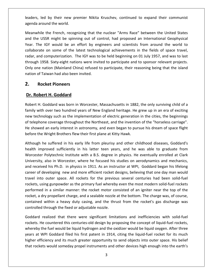led by their new premier Nikita Kruschev, continued to expand their communist <u>and the mononineed with the measure with the world.</u> The world. Meanwhile and the world. The world. The world is a section of  $\frac{1}{2}$  are world. The world is a section of  $\frac{1}{2}$  are world. The world is a section of the French, recognizing that the nuclear "Arms Race" between the United States<br>the French, recognizing that the nuclear "Arms Race" between the United States the USSR might be spinning out of control, had proposed an International Geophysical<br>the USSR might be spinning out of control, had proposed an International Geophysical leaders, le

s, led by their new premier Nikita Kruschev, continued to expand their communist<br>a around the world.<br>while the French, recognizing that the nuclear "Arms Race" between the United States<br>ne USSR might be spinning out of con leaders, led by their new premier Nikita Kruschev, continued to expand their communist<br>agenda around the world.<br>Meanwhile the French, recognizing that the nuclear "Arms Race" between the United States<br>and the USSR might be a around the world.<br>
while the French, recognizing that the nuclear "Arms Race" between the United States<br>
e USSR might be spinning out of control, had proposed an International Geophysical<br>
The IGY would be an effort by e Meanwhile the French, recognizing that the nuclear "Arms Race" between the United States Meanwhile the French, recognizing that the nuclear "Arms Race" between the United States<br>and the USSR might be spinning out of control, had proposed an International Geophysical<br>Year. The IGY would be an effort by engineer one nation (Mainland China) refused to participate, their reasoning being that the island<br>one nation (Mainland China) refused to participate, their reasoning out of the latest technological achievements in the fields of sp and the USSR might be spinning out of control, had proposed an International Geophysical Year. The IGY would be an effort by engineers and scientists from around the world to and the USSK might be spinning out of Comparent Cheapter Cheapter The IGY would be an effort by en collaborate on some of the latest technoradar, and computerization. The IGY was to through 1958. Sixty-eight nations were i ne itsy would be an errol<br>rate on some of the lates<br>and computerization. The IC<br>1958. Sixty-eight nations v<br>ne nation (Mainland China)<br>of Taiwan had also been invi<br>**Rocket Pioneers** radar, and computerization. The IGY was to be held beginning on 01 July 1957, and was to last Fr. and computerization. The IGY v<br>ugh 1958. Sixty-eight nations were<br>one nation (Mainland China) reft<br>in of Taiwan had also been invited<br>**Rocket Pioneers**<br>**Robert H. Goddard** nation of Taiwan had also been invited. of Taiwan had also been invited.<br> **Rocket Pioneers**<br> **bbert H. Goddard**<br>
H. Goddard was born in Worcester, Massachusetts in 1882, the only surviving child of a

#### $2.$

and

**Rocket Pioneers**<br> **obert H. Goddard**<br>
H. Goddard was born in Worcester, Massachusetts in 1882, the only surviving child of a<br>
with over two hundred vears of New England heritage. He grew up in an era of exciting **Robert H. Goddard**<br> **Robert H. Goddard**<br>
Int H. Goddard was born in Worcester, Massachusetts in 1882, the only surviving child of a<br>
y with over two hundred years of New England heritage. He grew up in an era of exciting<br> **Dr. Robert H. Goddard**<br>Robert H. Goddard was born in Worcester, Massachusetts in 1882, the only surviving child of a<br>family with over two hundred years of New England heritage. He grew up in an era of exciting<br>new technol **Robert H. Goddard**<br>
Showert H. Goddard was born in Worcester, Massachusetts in 1882, the only surviving child of a<br>
shily with over two hundred years of New England heritage. He grew up in an era of exciting<br>
the technolo Robert H. Goddard was born in Worcester, Massachusetts in 1882, the only surviving child of a Robert H. Goddard was born in Worcester, Massachusetts in 1882<br>family with over two hundred years of New England heritage. He<br>new technology such as the implementation of electric generation<br>of telephone coverage throughou h over two hundred years of New England heritage. He grew up in an era of exciting<br>nology such as the implementation of electric generation in the cities, the beginnings<br>ne coverage throughout the Northeast, and the invent new te chnology such as the implementation of electric generation in the cities, the beginnings<br>hone coverage throughout the Northeast, and the invention of the "horseless carriage".<br>wed an early interest in astronomy, and even b of telepho ie coverage throughout the Northeast, and the invention of the "horseless carriage".<br>
an early interest in astronomy, and even began to pursue his dream of space flight<br>
Wright Brothers flew their first plane at Kitty Hawk He showed an early interest in astronomy, and even began to pursue his dream of space flight

He showed an early interest in astronomy, and even began to pursue his dream of space flight<br>before the Wright Brothers flew their first plane at Kitty Hawk.<br>Although he suffered in his early life from pleurisy and other c re the Wright Brothers flew their first plane at Kitty Hawk.<br>Dugh he suffered in his early life from pleurisy and other childhood diseases, Goddard's<br>th improved sufficiently in his latter teen years, and he was able to gr careergh he suffered in his early life from pleurisy and other childhood diseases, Goddard's<br>improved sufficiently in his latter teen years, and he was able to graduate from<br>ster Polytechnic Institute with a B.S. degree in physi The same surface in this carry the from preams) and other embanood abseases, obtatants health improved sufficiently in his latter teen years, and he was able to graduate from Worcester Polytechnic Institute with a B.S. deg Worcester Polytechnic Institute with a B.S. degree in physics. He eventually enrolled at Clark er Polytechnic Institute with a B.S. degree in physics. He eventually enrolled at Clark<br>ty, also in Worcester, where he focused his studies on aerodynamics and mechanics,<br>ived his Ph.D. in physics in 1911. As an instructor University, also in Worcester, where he focused his studies on aerodynamics and mechanics, in a similar manner: the rocket motor consisted of an igniter near the top of the rocket motor consisted of an igniter near the top of the previous several centuries had been solid-fuel and gunpowder as the primary fuel wh and received his Ph.D. in physics in 1911. As an instructor at WPI, Goddard began his lifelong and received his Ph.D. in physics in 1911. As an instructor at WPI, Goddard began his lifelong<br>career of developing new and more efficient rocket designs, believing that one day man would<br>travel into outer space. All rocke eveloping new and more efficient rocket designs, believing that one day man would<br>outer space. All rockets for the previous several centuries had been solid-fuel<br>ing gunpowder as the primary fuel whereby even the most mode career of developing new and more efficient rocket designs, believing that one day man would travel into outer space. All rockets for the previous several centuries had been solid-fuel travel into outer space. All rockets for the previous<br>rockets, using gunpowder as the primary fuel whereby<br>performed in a similar manner: the rocket motor co<br>rocket, a dry propellant charge, and a sealable nozzle<br>contained sing gunpowder as the primary fuel whereby even the most modern solid-fuel rockets<br>d in a similar manner: the rocket motor consisted of an igniter near the top of the<br>dry propellant charge, and a sealable nozzle at the bot performed in a similar manner: the rocket motor consisted of an igniter near the top of the performed in a similar manner: the rocket motor consisted of an igniter near the top of the<br>rocket, a dry propellant charge, and a sealable nozzle at the bottom. The charge was, of course,<br>contained within a heavy duty cas conta controlled through the fixed or adjustable nozzle.

rockets. He countered this centuries-old design by proposing the concept of liquid-fuel rockets, dry propellant charge, and a sealable nozzle at the bottom. The charge was, of course,<br>the within a heavy duty casing, and the thrust from the rocket's gas discharge was<br>d through the fixed or adjustable nozzle.<br>realized t ned within a heavy duty casing, and the thrust from the rocket's gas discharge was<br>olled through the fixed or adjustable nozzle.<br>ard realized that there were significant limitations and inefficiencies with solid-fuel<br>s. He led through the fixed or adjustable nozzle.<br>
d realized that there were significant limitations and inefficiencies with solid-fuel<br>
. He countered this centuries-old design by proposing the concept of liquid-fuel rockets,<br> Goddard realized that there were significant limitations and inefficiencies with solid-fuel whereby the fuel would be liquid hydrogen and the oxidizer would be liquid oxygen. After three<br>years at WPI Goddard filed his first patent in 1914, citing the liquid-fuel rocket for its much<br>higher efficiency and its much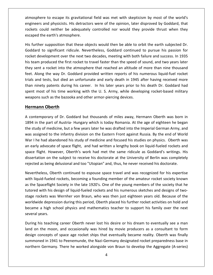to escape its gravitational field was met with skepticism by most of the world's and physicists. His gravitational field was met with skepticism by most of the world's<br>The to escape its gravitational field was met with skepticism by most of the world's<br>The opinion, later disproved by Goddard, that Figure to escape its gravitational field was met with skepticism by most of the world's<br>The and physicists. His detractors were of the opinion, later disproved by Goddard, that<br>Could neither be adequately controlled nor wo atmosphere to escape its gravitational field was met with skepticism by most of the world's atmosphere to escape its gravitational field was met with skepticism by most of the world's<br>engineers and physicists. HIs detractors were of the opinion, later disproved by Goddard, that<br>rockets could neither be adequately re to escape its gravitational field was met with skepticism by most of the world's<br>and physicists. HIs detractors were of the opinion, later disproved by Goddard, that<br>ould neither be adequately controlled nor would they engineers and physicists. HIs detractors were of the opinion, later disproved by Goddard, that ers and physicists. HIs detractors were of the opinion, later disproved by Goddard, that<br>is could neither be adequately controlled nor would they provide thrust when they<br>d the earth's atmosphere.<br>ther supposition that the rockets could neither be adequately controlled nor would they provide thrust when they escaped the earth's atmosphere.

kets could neither be adequately controlled nor would they provide thrust when they<br>aped the earth's atmosphere.<br>further supposition that these objects would then be able to orbit the earth subjected Dr.<br>Iddard to signific ied the earth's atmosphere.<br>
urther supposition that these objects would then be able to orbit the earth subjected Dr.<br>
lard to significant ridicule. Nevertheless, Goddard continued to pursue his passion for<br>
it developmen His further supposition that these objects would then be able to orbit the earth subjected Dr. Inther supposition that these objects would then be able to orbit the earth subjected Dr.<br>
And to significant ridicule. Nevertheless, Goddard continued to pursue his passion for<br>
t development over the next two decades, me Goddard to significant ridicule. Nevertheless, Goddard continued to pursue his passion for rence supposition that these objects would then be dote to orbit the earth subjected b.<br>
and to significant ridicule. Nevertheless, Goddard continued to pursue his passion for<br>
t development over the next two decades, meet rocket development over the next two decades, meeting with both failure and success. In 1935 na to sigmineant mateat. Nevertheless, coddard committed to parsue ins passion for<br>t development over the next two decades, meeting with both failure and success. In 1935<br>sam produced the first rocket to travel faster than his team produced the first rocket to travel faster than the speed of sound, and two years later most of his time working with the U. S. Army, while developing rocket-based military<br>and the U. S. Army, while developing rocking the Way Dr. Goddard provided written reports of his numerous liquid-fuel rocket<br>and tests, b they sent a rocket into the atmosphere that reached an altitude of more than nine thousand Instrumentant and test into the atmosphere that reached an altitude of<br>feet. Along the way Dr. Goddard provided written reports of his n<br>trials and tests, but died an unfortunate and early death in 1945 a<br>than ninety paten rocket into the atn<br>the way Dr. Godda<br>ests, but died an ur<br>patents during his<br>of his time workin<br>ch as the bazooka a<br>**Oberth** than ninety patents during his career. In his later years prior to his death Dr. Goddard had an ninety patents during his career. In his later years prior to his death Dr. Goddard had<br>ent most of his time working with the U.S. Army, while developing rocket-based military<br>eapons such as the bazooka and other armorspent most of his time working with the U.S. Army, while developing rocket-based military<br>weapons such as the bazooka and other armor-piercing devices.<br>**Hermann Oberth**<br>A contemporary of Dr. Goddard but thousands of miles weapons such as the bazooka and other armor-piercing devices.

#### Hermann Oberth

pons such as the bazooka and other armor-piercing devices.<br> **Interporation Oberth**<br>
Supermann Oberth was born in<br>
4 in the part of Austria- Hungary which is today Romania. At the age of eighteen he began<br>
Study of medicine mann Oberth<br>ntemporary of Dr. Goddard but thousands of miles away, Hermann Oberth was born in<br>in the part of Austria- Hungary which is today Romania. At the age of eighteen he began<br>tudy of medicine, but a few years later **nann Oberth**<br>Intemporary of Dr. Goddard but thousands of miles away, Hermann Oberth was born in<br>in the part of Austria-Hungary which is today Romania. At the age of eighteen he began<br>tudy of medicine, but a few years late A contemporary of Dr. Goddard but thousands of miles away, Hermann Oberth was born in contemporary of Dr. Goddard but thousands of miles away, Hermann Oberth was born in<br>
14 in the part of Austria- Hungary which is today Romania. At the age of eighteen he began<br>
14 in the part of Austria- Hungary which is t 1894 in the part of Austria- Hungary which is today Romania. At the age of eighteen he began fliptical, or *Br.* Secadard Bat the disamised in miles andy, itermally exert that seem in<br>The part of Austria-Hungary which is today Romania. At the age of eighteen he began<br>Idy of medicine, but a few years later he was d The study of medicine, but a few years later he was drafted into the Imperial German Army, and<br>the study of medicine, but a few years later he was drafted into the Imperial German Army, and<br>was assigned to the infantry div was assigned to the infantry division on the Eastern Front against Russia. By the end of World are steaty or mealting, set a few years letter he was araffed mits the imperial dermant Amay, and<br>was assigned to the infantry division on the Eastern Front against Russia. By the end of Worl<br>War I he had abandoned his stu Ibandoned his study of medicine and focused his studies on physics. Oberth was<br>ate of space flight, and had written a lengthy book on liquid-fueled rockets and<br>However, Oberth's work had met the same ridicule as Goddard's an e Irly advocate of space flight, and had written a lengthy book on liquid-fueled rockets and<br>
I flight. However, Oberth's work had met the same ridicule as Goddard's writings. His<br>
Irtation on the subject to receive his doct space flight. However, Oberth's work had met the same ridicule as Goddard's writings. His ace flight. However, Oberth's work had met the same ridicule as Goddard's writings. His<br>sertation on the subject to receive his doctorate at the University of Berlin was completely<br>ected as being delusional and too "Utopia dissertation on the subject to receive his doctorate at the University of Berlin was completely

dissertation on the subject to receive his doctorate at the University of Berlin was completely<br>rejected as being delusional and too "Utopian" and, thus, he never received his doctorate.<br>Nevertheless, Oberth continued to e ed as being delusional and too "Utopian" and, thus, he never received his doctorate.<br>
theless, Oberth continued to espouse space travel and was recognized for his expertise<br>
quid-fueled rockets, becoming a founding member Nevertheless, Oberth continued to espouse space travel and was recognized for his expertise ss, Oberth continued to espouse space travel and was recognized for his expertise<br>fueled rockets, becoming a founding member of the amateur rocket society known<br>reflight Society in the late 1920's. One of the young members with liquid-fueled rockets, becoming a founding member of the amateur rocket society known a fueled rockets, becoming a founding member of the amateur rocket society known<br>aceflight Society in the late 1920's. One of the young members of the society that he<br>with his design of liquid-fueled rockets and his numero as the Spaceflight Society in the late 1920's. One of the young members of the society that he which in the spaceflight<br>as the Spaceflight<br>stage rockets was<br>worldwide depres<br>became a high sc<br>several vears. with his design of liquid-fueled rockets and his numerous sketches and designs of two-<br>pckets was Wernher von Braun, who was then just eighteen years old. Because of the<br>ide depression during this period, Oberth placed his stage rockets was Wernher von Braun, who was then just eighteen years old. Because of the rockets was Wernher von Braun, who was then just eighteen years old. Because of the<br>lwide depression during this period, Oberth placed his further rocket activities on hold and<br>me a high school physics and mathematics teac worldwide depression during this period, Oberth placed his further rocket activities on hold and ide depression during this period, Oberth placed his further rocket activities on hold and<br>
i a high school physics and mathematics teacher to support his family over the next<br>
years.<br>
his teaching career Oberth never lost became a l several years.

١i igh school physics and mathematics teacher to support his family over the next<br>s.<br>eaching career Oberth never lost his desire or his dream to eventually see a man<br>emoon, and occasionally was hired by movie producers as a c ears.<br>Similary care to Oberth never lost his desire or his dream to eventually see a man<br>he moon, and occasionally was hired by movie producers as a consultant to form<br>ncepts of space age rocket ships that eventually becam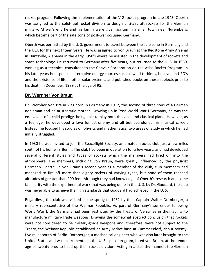program. Following the implementation of the V-2 rocket program in late 1943, Oberth assigned to the solid-fuel rocket division of the V-2 rocket program in late 1943, Oberth<br>The solid-fuel rocket division to design anti-aircraft rockets for the German<br>Assigned to the solid-fuel rocket division to design a Frank at an and the solid-fuel and the V-2 sector program in late 1943, Oberth<br>At at assigned to the solid-fuel rocket division to design anti-aircraft rockets for the German<br>At war's end he and his family were given asylu rocket program. Following the implementation of the V-2 rocket programs assigned to the solid-fuel rocket division to design anti-aircraft resultary. At war's end he and his family were given asylum in a small which became by program. Following the implementation of the V-2 rocket program in late 1943, Oberth<br>igned to the solid-fuel rocket division to design anti-aircraft rockets for the German<br>. At war's end he and his family were given asy roc et program. Following the implementation of the V-2 rocket program in late 1943, Oberth<br>assigned to the solid-fuel rocket division to design anti-aircraft rockets for the German<br>tary. At war's end he and his family were gi was assigned to the solid-fuel rocket division to design anti-aircraft rockets for the German is assigned to the solid-fuel rocket division to design anti-aircraft rockets for the German<br>litary. At war's end he and his family were given asylum in a small town near Nuremberg,<br>iich became part of the safe zone of pos military. At war's end he and his family were given asylum in a small town near Nuremberg,

military. At war's end he and his family were given asylum in a small town near Nuremberg,<br>which became part of the safe zone of post-war occupied Germany.<br>Oberth was permitted by the U. S. government to travel between the came part of the safe zone of post-war occupied Germany.<br>Vas permitted by the U. S. government to travel between the safe zone in Germany and<br>for the next fifteen years. He was assigned to von Braun at the Redstone Army Ar Oberth was permitted by the U.S. government to travel between the safe zone in Germany and erth was permitted by the U. S. government to travel between the safe zone in Germany and<br>USA for the next fifteen years. He was assigned to von Braun at the Redstone Army Arsenal<br>luntsville, Alabama in the early 1950's wh the USA for the next fifteen years. He was assigned to von Braun at the Redstone Army Arsenal ISA for the next fifteen years. He was assigned to von Braun at the Redstone Army Arsenal<br>untsville, Alabama in the early 1950's where he assisted in the development of rockets and<br>e technology. He returned to Germany afte in Huntsville, Alabama in the early 1950's where h<br>space technology. He returned to Germany after<br>working as a technical consultant to the Convair<br>his later years he espoused alternative energy sou<br>and the existence of lif untsville, Alabama in the early 1950<br>
ie technology. He returned to Gerr<br>
king as a technical consultant to th<br>
ater years he espoused alternative<br>
the existence of life in other solar<br>
leath in December, 1989 at the age<br> his later years he espoused alternative energy sources such as wind turbines, believed in UFO's later years he espoused alternative energy sources such as wind turbines, believed in UFO's<br>the existence of life in other solar systems, and published books on these subjects prior to<br>death in December, 1989 at the age of and the existence of life in other solar systems, and published books on these subjects prior to istence of life in other solar systems, and published books on these subjects prior to<br>1 December, 1989 at the age of 95.<br>**her Von Braun**<br>er Von Braun was born in Germany in 1912, the second of three sons of a German<br>and a his death in December, 1989 at the age of 95.

#### Dr. Wernher Von Braun

of December, 1989 at the age of 95.<br> **her Von Braun**<br>
In Germany in 1912, the second of three sons of a German<br>
and an aristocratic mother. Growing up in Post World War I Germany, he was the<br>
of a child prodigy, being able **The Wernher Von Braun**<br> **Example:** Wernher Von Braun was born in Germany in 1912, the second of three sons of a German<br>
bleman and an aristocratic mother. Growing up in Post World War I Germany, he was the<br>
uivalent of a **rnher Von Braun**<br>hher Von Braun was born in Germany in 1912, the second of three sons of a German<br>in and an aristocratic mother. Growing up in Post World War I Germany, he was the<br>nt of a child prodigy, being able to play  $\overline{a}$  in  $\overline{b}$ mher Von Brau<br>an and an aris<br>ent of a child p<br>ger he develc<br>he focused his<br>struggled. nobleman and an aristocratic mother. Growing up in Post World War I Germany, he was the bleman and an aristocratic mother. Growing up in Post World War I Germany, he was the<br>uivalent of a child prodigy, being able to play both the viola and classical piano. However, as<br>teenager he developed a love for astrono equivalent of a child prodigy, being able to play both the viola and classical piano. However, as ilent of a child prodigy, being able to play both the viola and classical piano. However, as<br>nager he developed a love for astronomy and all but abandoned his musical career.<br>d, he focused his studies on physics and mathem a teenager he developed a love for astronomy and all but abandoned his musical career. ger he developed a love for astronomy and all but abandoned his musical career.<br>he focused his studies on physics and mathematics, two areas of study in which he had<br>struggled.<br>he was invited to join the Spaceflight Societ Instead, he f initially struggled.

cused his studies on physics and mathematics, two areas of study in which he had<br>led.<br>as invited to join the Spaceflight Society, an amateur rocket club just a few miles<br>ome in Berlin. The club had been in operation for a e was invited to join the Spaceflight Society, an amateur rocket club just a few miles<br>is home in Berlin. The club had been in operation for a few years, and had developed<br>fferent styles and types of rockets which the memb In 1930 he was invited to join the Spaceflight Society, an amateur rocket club just a few miles the was invited to join the Spaceflight Society, an amateur rocket club just a few miles<br>is home in Berlin. The club had been in operation for a few years, and had developed<br>fferent styles and types of rockets which the me south of his home in Berlin. The club had been in operation for a few years, and had developed of greater than 200 feet. Although they had knowledge of Oberth's research and some<br>of greater than 200 feet. Although they had knowledge of  $\frac{1}{100}$  feet. The members, including von Braun, were greatly influenced by th several different styles and types of rockets which the members had fired off into the Flerent styles and types of rockets which the members had fired off into the<br>e. The members, including von Braun, were greatly influenced by the physicist<br>Oberth. In von Braun's second year as a member of the club, club me atmosphere. The members, including von Braun, were greatly influenced by the physicist Hermann Oberth. In von Braun's second year as a member of the club, club members had berth. In von Braun's second year as a member of the club, club members had<br>
i fire off more than eighty rockets of varying types, but none of them reached<br>
greater than 200 feet. Although they had knowledge of Oberth's re managed to fire off more than eighty rockets of varying types, but none of them reached I to fire off more than eighty rockets of varying types, but none of them reached<br>of greater than 200 feet. Although they had knowledge of Oberth's research and some<br>y with the experimental work that was being done in the altitudes of greater than 200 feet. Although they had knowledge of Oberth's research and some familiarity with the experimental work that was being done in the U.S. by Dr. Goddard, the club was never able to achieve the high standards that Goddard had achieved in the U.S.

were not considered to be military-grade weapons and, therefore, were not subject to the es of greater than 200 feet. Although they had knowledge of Oberth's research and some<br>rity with the experimental work that was being done in the U.S. by Dr. Goddard, the club<br>ver able to achieve the high standards that Go th the experimental work that was being done in the U.S. by Dr. Goddard, the club<br>e to achieve the high standards that Goddard had achieved in the U.S.<br>ne club was visited in the spring of 1932 by then-Captain Walter Dornb ever able to achieve the high standards that Goddard had achieved in the U.S.<br>dless, the club was visited in the spring of 1932 by then-Captain Walter Dornberger, a<br>ry representative of the Weimar Republic. As part of Germ  $\overline{a}$ ess, the club was visited in the spring of 1932 by then-Captain Walter Dornberger, a<br>representative of the Weimar Republic. As part of Germany's surrender following<br>War I, the Germans had been restricted by the Treaty of V o<br>... maress, the class was visited in the spring of 1332 by them captain watter. Bornberger, a<br>lary representative of the Weimar Republic. As part of Germany's surrender following<br>ld War I, the Germans had been restricted by th military representative of the Weimar Republic. As part of Germany's surrender following<br>World War I, the Germans had been restricted by the Treaty of Versailles in their ability to States and was instrumental in the U.S. space of Sermany 3 saliencer following<br>States in their ability to<br>cture military-grade weapons. Drawing the somewhat abstract conclusion that rockets<br>ot considered to be military-gra anufacture military-grade weapons. Drawing the somewhat abstract conclusion that rockets<br>were not considered to be military-grade weapons and, therefore, were not subject to the<br>Treaty, the Weimar Republic established an a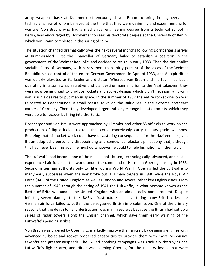weapons base at Kummersdorf encouraged von Braun to bring in engineers and Few of whom believed at the time that they were designing and experimenting for<br>few of whom believed at the time that they were designing and experimenting for apons base at Kummersdorf encouraged von Braun to bring in engineers and<br>The section of whom believed at the time that they were designing and experimenting for<br>Von Braun, who had a mechanical engineering degree from a tec army weapons base at Kummersdorf encouraged von Braun to bring in engineers and<br>technicians, few of whom believed at the time that they were designing and experimenting for<br>warfare. Von Braun, who had a mechanical engineer army weapons base at Kummersdorf encouraged<br>technicians, few of whom believed at the time that th<br>warfare. Von Braun, who had a mechanical enginee<br>Berlin, was encouraged by Dornberger to seek his door<br>which von Braun compl y weapons base at Kummersdorf encouraged von Braun to bring in engineers and<br>nicians, few of whom believed at the time that they were designing and experimenting for<br>iare. Von Braun, who had a mechanical engineering degree technicians, few of whom believed at the time that they were designing and experimenting for hnicians, few of whom believed at the time that they were designing and experimenting for<br>fare. Von Braun, who had a mechanical engineering degree from a technical school in<br>lin, was encouraged by Dornberger to seek his do warfare. Von Braun, who had a mechanical engineering degree from a technical school in Braun, who had a mechanical engineering degree from a technical school in<br>ncouraged by Dornberger to seek his doctorate degree at the University of Berlin,<br>sun completed in the spring of 1934.<br>changed dramatically over the Berlin, v which von Braun completed in the spring of 1934.

as encouraged by Dornberger to seek his doctorate degree at the University of Berlin,<br>n Braun completed in the spring of 1934.<br>tion changed dramatically over the next several months following Dornberger's arrival<br>nersdorf. I Braun completed in the spring of 1934.<br>
ion changed dramatically over the next several months following Dornberger's arrival<br>
ersdorf. First the Chancellor of Germany failed to establish a coalition in the<br>
int of the We The situation changed dramatically over the next several months following Dornberger's arrival ituation changed dramatically over the next several months following Dornberger's arrival<br>ummersdorf. First the Chancellor of Germany failed to establish a coalition in the<br>rnment of the Weimar Republic, and decided to res at Kummersdorf. First the Chancellor of Germany failed to establish a coalition in the in a somewhat secretive and decided to resign in early 1933. Then the Nationalist<br>arty of Germany, with barely more than thirty percent of the votes of the Weimar<br>reized control of the entire German Government in April of government of the Weimar Republic, and decided to resign in early 1933. Then the Nationalist nmersaen. Thist the Chancellor of Sermany Tanea to Establish a countern in the<br>nment of the Weimar Republic, and decided to resign in early 1933. Then the Nationalist<br>ist Party of Germany, with barely more than thirty perc Socialist Party of Germany, with barely more than thirty percent of the votes of the Weimar Find the Velmar Hopdship, and decided to resign in early 1999. Then the nationalist<br>alist Party of Germany, with barely more than thirty percent of the votes of the Weimar<br>ablic, seized control of the entire German Governm Republic, seized control of the entire German Government in April of 1933, and Adolph Hitler the performant of the entire German Government in April of 1933, and Adolph Hitler<br>by elevated as its leader and dictator. Whereas von Braun and his team had been<br>in a somewhat secretive and clandestine manner prior to the was quickly elevated as its leader and dictator. Whereas von Braun and his team had been ickly elevated as its leader and dictator. Whereas von Braun and his team had been<br>ng in a somewhat secretive and clandestine manner prior to the Nazi takeover, they<br>ow being urged to produce rockets and rocket designs whi operating in a somewhat secretive and clandestine manner prior to the Nazi takeover, they able to recover as the leader and dietate.<br>
Superating in a somewhat secretive and clandes<br>
were now being urged to produce rockets and r<br>
von Braun's desires to put men in space. In the s<br>
relocated to Peenemunde, a small eing urged to produce rockets and rocket designs which didn't necessarily fit with<br>desires to put men in space. In the summer of 1937 the entire rocket division was<br>peenemunde, a small coastal town on the Baltic Sea in the von Braun' von Braun's desires to put men in space. In the summer of 1937 the entire rocket division was<br>relocated to Peenemunde, a small coastal town on the Baltic Sea in the extreme northeast<br>corner of Germany. There they developed to Peenemunde, a small coastal town on the Baltic Sea in the extreme northeast<br>Germany. There they developed larger and longer-range ballistic rockets, which they<br>to recover by firing into the Baltic.<br>er and von Braun were corner of Germany. There they developed larger and longer-range ballistic rockets, which they were able to recover by firing into the Baltic.

of Germany. There they developed larger and longer-range ballistic rockets, which they<br>ble to recover by firing into the Baltic.<br>erger and von Braun were approached by Himmler and other SS officials to work on the<br>tion of Dornberger and von Braun were approached by Himmler and other SS officials to work on the production of liquid-fueled rockets that could conceivably carry military-grade weapons. Dornberger and von Braun were approached by Himmler and other SS officials to work on the<br>production of liquid-fueled rockets that could conceivably carry military-grade weapons.<br>Realizing that his rocket work could have d production of liquid-fueled rockets that could conceivably carry military-grade weapons.<br>Realizing that his rocket work could have devastating consequences for the Nazi enemies, von<br>Braun adopted a personally disappointing g that his rocket work could have devastating consequences for the Nazi enemies, von<br>dopted a personally disappointing and somewhat reluctant philosophy that, although<br>never been his goal, he must do whatever he could to h Braun adopted a personally disappointing and somewhat reluctant philosophy that, although this had never been his goal, he must do whatever he could to help his nation win their war.

adopted a personally disappointing and somewhat reluctant philosophy that, although<br>d never been his goal, he must do whatever he could to help his nation win their war.<br>ftwaffe had become one of the most sophisticated, te In the United Kingdom as well as London and several other key English cities. From<br>Interaction and become one of the most sophisticated, technologically advanced, and battle-<br>enced air forces in the world under the command The Luftwaffe had become one of the most sophisticated, technologically advanced, and battle-Luftwaffe had become one of the most sophisticated, technologically advanced, and battle-<br>prienced air forces in the world under the command of Hermann Goering starting in 1935.<br>Ind in German authority only to Hitler durin experienced air forces in the world under the command of Hermann Goering starting in 1935. **Conduct and Second one of the most sepmisteded, testmologically devanted, and settle**<br>
In German authority only to Hitler during World War II, Goering led the Luftwaffe to<br>
Britain, bout the War broke out. His main target Second in German authority only to Hitler during World War II, Goering led the Luftwaffe to is German authority only to Hitler during World War II, Goering led the Luftwaffe to<br>Iy successes when the war broke out. His main targets in 1940 were the Royal Air<br>F) of the United Kingdom as well as London and several o many early successes when the war broke out. His main targets in 1940 were the Royal Air re entrain durinenty only to three daming words ward in, obtaining the Latewards to<br>rive successes when the war broke out. His main targets in 1940 were the Royal Air<br>AF) of the United Kingdom as well as London and several Force (RAF) of the United Kingdom as well as London and several other key English cities. From The death toll and destruction was minimized was because the British had set up a<br>that the death toll and destruction was minimized was because the Mexican was the<br>f **Britain**, pounded the United Kingdom with an almost da the summer of 1940 through the spring of 1941 the Luftwaffe, in what became known as the of **Britain,** pounded the spring of 1941 the Luftwaffe, in what became known as the **of Britain,** pounded the United Kingdom with an almost daily bombardment. Despite g severe damage to the RAF's infrastructure and devasta **Battle of Britain,** pounded the<br>inflicting severe damage to the<br>German air force failed to batte<br>reasons that the death toll and eseries of radar towers along in<br>Luftwaffe's pending strikes. ting severe damage to the RAF's infrastructure and devastating many British cities, the<br>nan air force failed to batter the beleaguered British into submission. One of the primary<br>ons that the death toll and destruction was German air force failed to batter the beleaguered British into submission. One of the primary r force failed to batter the beleaguered British into submission. One of the primary<br>at the death toll and destruction was minimized was because the British had set up a<br>radar towers along the English channel, which gave t reasons that the death toll and destruction was minimized was because the British had set up a hat the death toll and destruction was minimized was because the British had set up a<br>
and towers along the English channel, which gave them early warning of the<br>
designing strikes.<br>
In was ordered by Goering to markedly i

series of radar towers along the English channel, which gave them early warning of the<br>Luftwaffe's pending strikes.<br>Von Braun was ordered by Goering to markedly improve their aircraft by designing engines with<br>advanced tur Von Braun was ordered by Goering to markedly improve their aircraft by designing engines with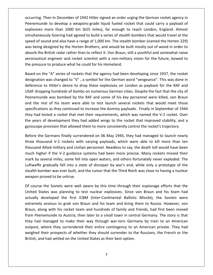Then In December of <sup>1942</sup> Hitler signed an order urging the German rocket agency in to develop a weapons-grade liquid fueled rocket and the December of 1942 Hitler signed an order urging the German rocket agency in<br>to develop a weapons-grade liquid fueled rocket that could carry a payload of more than 1000 km (625 miles), far enough to reach London, England. Almost<br>The to develop a weapons-grade liquid fueled rocket that could carry a payload of<br>The than 1000 km (625 miles), far enough to reach London, England In December of 1942 Hitler signed an order urging the German rocket agency in<br>So develop a weapons-grade liquid fueled rocket that could carry a payload of<br>The than 1000 km (625 miles), far enough to reach London, England. ing. Then In December of 1942 Hitler signed an order urging the German rocket agency in<br>munde to develop a weapons-grade liquid fueled rocket that could carry a payload of<br>ives more than 1000 km (625 miles), far enough to occurring. Then In December of 1942 Hitler signed an order urging the German rocket agency in rring. Then In December of 1942 Hitler signed an order urging the German rocket agency in<br>nemunde to develop a weapons-grade liquid fueled rocket that could carry a payload of<br>psives more than 1000 km (625 miles), far enou  $\frac{1}{2}$ the British radar rather than to reflect it. Von Braun, still a youthful and somewhat naive<br>the British radar rather than to reflect it. Von Braun, include that would travel at the<br>ound and also have a range of 1,000 km. T explosives more than 1000 km (625 miles), far enough to reach London, England. Almost<br>simultaneously Goering had agreed to build a series of stealth bombers that would travel at the<br>speed of sound and also have a range of مبر<br>. simultaneously Goering had agreed to build a series of stealth bombers that would travel at the<br>speed of sound and also have a range of 1,000 km. The stealth bomber (named the Horten 229) of sound and also have a range of 1,000 km. The stealth bomber (named the Horten 229)<br>
eing designed by the Horten Brothers, and would be built mostly out of wood in order to<br>
the British radar rather than to reflect it. V was being designed by the Horten Brothers, and would be built mostly out of wood in order to esigned by the Horten Brothers, and would be built mostly out of wood in order to<br>British radar rather than to reflect it. Von Braun, still a youthful and somewhat naive<br>| engineer and rocket scientist with a non-military absorb the British radar rather than to reflect it. Von Braun, still a youthful and somewhat naive aeronautical engineer and rocket scientist with a non-military vision for the future, bowed to the pressure to produce what he could for his Homeland.

speed

British radar rather than to reflect it. Von Braun, still a youthful and somewhat naive<br>al engineer and rocket scientist with a non-military vision for the future, bowed to<br>re to produce what he could for his Homeland.<br>he autical engineer and rocket scientist with a non-military vision for the future, bowed to<br>essure to produce what he could for his Homeland.<br>on the "A" series of rockets that the agency had been developing since 1937, the r o produce what he could for his Homeland.<br>"A" series of rockets that the agency had been developing since 1937, the rocket<br>as changed to "V" , a symbol for the German word "vengeance". This was done in<br>Hitler's desire to d Based on the "A" series of rockets that the agency had been developing since 1937, the rocket d on the "A" series of rockets that the agency had been developing since 1937, the rocket<br>stration was changed to "V" , a symbol for the German word "vengeance". This was done in<br>rence to Hitler's desire to drop these expl  $\frac{3}{1}$   $\frac{3}{1}$   $\frac{3}{1}$   $\frac{3}{1}$ A series of rockets that the dgenty had seen acceleping since 1557, the rocket as changed to "V", a symbol for the German word "vengeance". This was done in Hitler's desire to drop these explosives on London as payback for sucus<br>Contractor had tested a rocket that met their requirements, which was named the V-2 rocket. Over<br>that dropping hundreds of bombs on numerous German cities. Despite the fact that the city of<br>emunde was bombed by the RAF and some of hi deference to finite if a desire to drop these explosives of Eshidon as paysack for the rock and<br>USAF dropping hundreds of bombs on numerous German cities. Despite the fact that the city of<br>Peenemunde was bombed by the RAF gyroscope provision that allowed them to more consistently control the rocket's trajectory.<br>
The rest of his team were able to test launch several rockets that would meet those<br>
specifications as they continued to increase e rest of his team were able to test launch several rockets that would meet those<br>ations as they continued to increase the dummy payloads. Finally in September of 1944<br>d tested a rocket that met their requirements, which w specifications as they continued to increase the dummy payloads. Finally in September of 1944 cations as they continued to increase the dummy payloads. Finally in September of 1944<br>ad tested a rocket that met their requirements, which was named the V-2 rocket. Over<br>ars of development they had added wings to the roc they had tested a rocket that met their requirements, which was named the V-2 rocket. Over the years of development they had added wings to the rocket that improved stability, and a gyroscope provision that allowed them to more consistently control the rocket's trajectory.

tested a rocket that met their requirements, which was named the V-2 rocket. Over<br>of development they had added wings to the rocket that improved stability, and a<br>provision that allowed them to more consistently control th ars of development they had added wings to the rocket that improved stability, and a<br>ope provision that allowed them to more consistently control the rocket's trajectory.<br>the Germans finally surrendered on 06 May 1945, the cope provision that allowed them to more consistently control the rocket's trajectory.<br>
Le the Germans finally surrendered on 06 May 1945, they had managed to launch nearly<br>
thousand V-2 rockets with varying payloads, whic Before the Germans finally surrendered on 06 May 1945, they had managed to launch nearly<br>three thousand V-2 rockets with varying payloads, which were able to kill more than ten<br>thousand Allied military and civilian personn three thousand V-2 rockets with varying payloads, which were able to kill more than ten bousand V-2 rockets with varying payloads, which were able to kill more than ten<br>hd Allied military and civilian personnel. Needless to say, the death toll would have been<br>igher if the V-2 guidance systems had been more pr thousand Allied military and civilian personnel. Needless to say, the death toll would have been thousand Allied military and civilianuch higher if the V-2 guidance<br>mark by several miles, some fell i<br>Luftwaffe gradually fell into a statealth bomber was ever built, and<br>weapon proved to be untrue. ch higher if the V-2 guidance systems had been more precise. Many rockets missed their<br>rk by several miles, some fell into open waters, and others fortunately never exploded. The<br>twaffe gradually fell into a state of disre mark b r several miles, some fell into open waters, and others fortunately never exploded. The<br>fe gradually fell into a state of disrepair by war's end, while only a prototype of the<br>pomber was ever built, and the rumor that the Luftwaffe gradually fell into a state of disrepair by war's end, while only a prototype of the expredially fell into a state of disrepair by war's end, while only a prototype of the<br>bmber was ever built, and the rumor that the Third Reich was close to having a nuclear<br>proved to be untrue.<br>at the Soviets were well aw stealth bomber was ever built, and the rumor that the Third Reich was close to having a nuclear weapon proved to be untrue.

they had managed to make their way through war-torn Germany by train to an American nber was ever built, and the rumor that the Third Reich was close to having a nuclear<br>oved to be untrue.<br>the Soviets were well aware by this time through their espionage efforts that the<br>tes was planning to test nuclear ex 1 proved to be untrue.<br>
1 see the Soviets were well aware by this time through their espionage efforts that the<br>
5 states was planning to test nuclear explosives. Since von Braun and his team had<br>
1/ developed the first IC Of course the Soviets were well aware by this time through their espionage efforts that the urse the Soviets were well aware by this time through their espionage efforts that the<br>d States was planning to test nuclear explosives. Since von Braun and his team had<br>lly developed the first ICBM (Inter-Continental Ball United States was planning to test nuclear explosives. Since von Braun and his team had d States was planning to test nuclear explosives. Since von Braun and his team had<br>lly developed the first ICBM (Inter-Continental Ballistic Missile), the Soviets were<br>mely anxious to grab von Braun and his team and bring  $rac{a}{a}$ . developed the first ICBM (Inter-Continental Ballistic Missile), the Soviets were<br>y anxious to grab von Braun and his team and bring them to Russia. However, von<br>ong with his rocket team and hundreds of family and friends,  $rac{1}{2}$ of a state of the most result (inter continental ballistic missile), the sortes were<br>a vanious to grab von Braun and his team and bring them to Russia. However, von<br>ong with his rocket team and hundreds of family and frien Braun, along with his rocket team and hundreds of family and<br>from Peenemunde to Austria, then later to a small town in cent<br>they had managed to make their way through war-torn Gern<br>outpost, where they surrendered their ent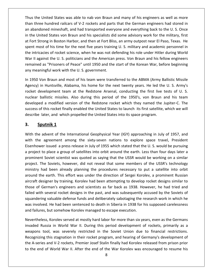the United States was able to nab von Braun and many of his engineers as well as more the United States was able to nab von Braun and many of his engineers as well as more<br>three hundred railcars of V-2 rockets and parts that the German engineers had stored in abandoned mineshaft, and had transported everyone and many of his engineers as well as more<br>an three hundred railcars of V-2 rockets and parts that the German engineers had stored in<br>abandoned mineshaft, and had transporte us the United States was able to nab von Braun and many of his engineers as well as more<br>an three hundred railcars of V-2 rockets and parts that the German engineers had stored in<br>abandoned mineshaft, and had transported e In the United States was able to nab von Braun and many of his engineers as well as more<br>an three hundred railcars of V-2 rockets and parts that the German engineers had stored in<br>abandoned mineshaft, and had transported e Thus the United States was able to nab von Braun and many of his engineers as well as more he United States was able to nab von Braun and many of his engineers as well as more<br>hree hundred railcars of V-2 rockets and parts that the German engineers had stored in<br>indoned mineshaft, and had transported everyone an than three hundred railcars of V-2 rockets and parts that the German engineers had stored in If three hundred railcars of V-2 rockets and parts that the German engineers as well as lifeld in bandoned mineshaft, and had transported everyone and everything back to the U. S. Once ne United States von Braun and his sp an abandoned mineshaft, and had transported everyone and everything back to the U.S. Once III against the U. S. politicians and the American press. Von Braun engineers had sected in<br>the U. S. Once<br>e United States von Braun and his specialists did some advisory work for the military, first<br>rt Strong in Boston Ha un ubunu<br>... and the Shares innessiant, and had transported everyone and everyoning back to the O. 3. Once<br>ted States von Braun and his specialists did some advisory work for the military, first<br>ong in Boston Harbor, and then at Fort B  $\dddot{\ }$  . . ort Strong in Boston Harbor, and then at Fort Blist<br>int most of his time for the next five years trainin<br>intricacies of rocket science, when he was not de<br>Il against the U. S. politicians and the American<br>ained as "Prisone sp ent most of his time for the next five years training U. S. military and academic personnel in<br>
a intricacies of rocket science, when he was not defending his role under Hitler during World<br>
ar II against the U. S. politic the intricacies of rocket science, when he was not defending his role under Hitler during World iacies of rocket science, when he was not defending his role under Hitler during World<br>rainst the U. S. politicians and the American press. Von Braun and his fellow engineers<br>d as "Prisoners of Peace" until 1950 and the st War II against the U.S. politicians and the American press. Von Braun and his fellow engineers War II against the U. S. politicians and the American press. Von Braun and his fellow engineers<br>remained as "Prisoners of Peace" until 1950 and the start of the Korean War, before beginning<br>any meaningful work with the U. any meaningful work with the U.S. government.

d as "Prisoners of Peace" until 1950 and the start of the Korean War, before beginning<br>ningful work with the U.S. government.<br>Von Braun and most of his team were transferred to the ABMA (Army Ballistic Missile<br>in Huntsvill gful work with the U. S. government.<br>1 Braun and most of his team were transferred to the ABMA (Army Ballistic Missile<br>Huntsville, Alabama, his home for the next twenty years. He led the U. S. Army's<br>elopment team at the R In 1950 Von Braun and most of his team were transferred to the ABMA (Army Ballistic Missile Von Braun and most of his team were transferred to the ABMA (Army Ballistic Missile<br>in Huntsville, Alabama, his home for the next twenty years. He led the U. S. Army's<br>development team at the Redstone Arsenal, conducting t Agency) in Huntsville, Alabama, his home for the next twenty years. He led the U. S. Army's If 1550 von Braan and most of its team were transferred to the NBMN (NIII) B.<br>Agency) in Huntsville, Alabama, his home for the next twenty years. He led the<br>rocket development team at the Redstone Arsenal, conducting the f In Huntsville, Alabar<br>development team a<br>ballistic missiles. Al<br>bed a modified versic<br>of this rocket finally e<br>e later, and which pre<br>**Sputnik 1** developed a modified version of the Redstone rocket which they named the Jupiter-C. The<br>success of this rocket finally enabled the United States to launch its first satellite, which we will<br>describe later, and which propel success of this rocket finally enabled the United States to launch its first satellite, which we will It is of this rocket finally enabled the United States to launch its first satellite, which we will<br>the later, and which propelled the United States into its space program.<br>**Sputnik 1**<br>the advent of the International Geoph describe later, and which propelled the United States into its space program.

#### 3. Sputnik 1

at

er, and which propelled the United States into its space program.<br> **inik 1**<br>
vent of the International Geophysical Year (IGY) approaching in July of 1957, and<br>
greement among the sixty-seven nations to explore space travel **Sputnik 1**<br>
ith the advent of the International Geophysical Year (IGY) approaching in July of 1957, and<br>
ith the agreement among the sixty-seven nations to explore space travel, President<br>
senhower issued a press release IT EXTEND THE SOVIDE: The International Geophysical Year (IGY) approaching in July of 1957, and agreement among the sixty-seven nations to explore space travel, President issued a press release in July of 1955 which stated With the advent of the International Geophysical Year (IGY) approaching in July of 1957, and extemd of the International Geophysical Year (IGY) approaching in July of 1957, and<br>a agreement among the sixty-seven nations to explore space travel, President<br>ver issued a press release in July of 1955 which stated that with the agreement among the sixty-seven nations to explore space travel, President agreement among the sixty-seven nations to explore space travel, President<br>ver issued a press release in July of 1955 which stated that the U.S. would be pursuing<br>to place a group of satellites into orbit around the earth. aroundthe earth. This effort was under the direction of Sergei Korolev, a prominent Russian<br>the place a group of satellites into orbit around the earth. Less than four days later a<br>ent Soviet scientist was quoted as saying that aisenne<br>. designer by training. Korolev had been attempting to develop rocket designs similar the carth. This effort was quoted as saying that the USSR would be working on a similar The Soviets, however, did not reveal that some mem a proj of German's engineers and scientists as far back as 1938. However, he had tried and<br>of German's engineers and the USSR would be working on a similar<br>t. The Soviets, however, did not reveal that some members of the USSR's t failedWhen the several several rocket designs in the past, and was members of the USSR's technology<br>ry had been already planning the procedures necessary to put a satellite into orbit<br>d the earth. This effort was under the direc project. The Soviets, however, did not reveal that some members of the USSR's technology ministry had been already planning the procedures necessary to put a satellite into orbit been already planning the procedures necessary to put a satellite into orbit<br>earth. This effort was under the direction of Sergei Korolev, a prominent Russian<br>ner by training. Korolev had been attempting to develop rocket around the earth. This effort was under the direction of Sergei Korolev, a prominent Russian In the earth. This effort was under the direction of Sergei Korolev, a prominent Russian<br>aft designer by training. Korolev had been attempting to develop rocket designs similar to<br>e of German's engineers and scientists as aircraft designer by training. Korolev had been attempting to develop rocket designs similar to aircraft designer by training. Korolev had been attempting to develop<br>those of German's engineers and scientists as far back as 1938. Ho<br>failed with several rocket designs in the past, and was subsequently a<br>squandering va nan's engineers and scientists as far back as 1938. However, he had tried and<br>veral rocket designs in the past, and was subsequently accused by the Soviets of<br>aluable defense funds and deliberately sabotaging the research failed w th several rocket designs in the past, and was subsequently accused by the Soviets of<br>ring valuable defense funds and deliberately sabotaging the research work in which he<br>lved. He had been sentenced to death in Siberia in squander squandering valuable defense funds and deliberately sabotaging the research work in which he<br>was involved. He had been sentenced to death in Siberia in 1938 for his supposed carelessness<br>and failures, but somehow Korolev m and failures, but somehow Korolev managed to escape execution.

invaded Russia in World War II. During this period development of rockets, primarily as a I. He had been sentenced to death in Siberia in 1938 for his supposed carelessness<br>but somehow Korolev managed to escape execution.<br>5, Korolev served at mostly hard labor for more than six years, even as the Germans<br>sia in failures, but somehow Korolev managed to escape execution.<br>
ertheless, Korolev served at mostly hard labor for more than six years, even as the Germans<br>
ded Russia in World War II. During this period development of rockets Nevertheless, Korolev served at mostly hard labor for more than six years, even as the Germans vertheless, Korolev served at mostly hard labor for more than six years, even as the Germans<br>aded Russia in World War II. During this period development of rockets, primarily as a<br>apons tool, was severely restricted in the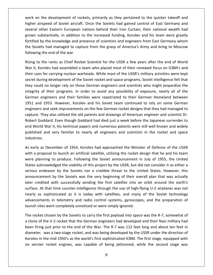on the development of rockets, primarily as they pertained to the quicker takeoff and and the development of rockets, primarily as they pertained to the quicker takeoff and<br>airspeed of Soviet aircraft. Once the Soviets had gained control of East Germany and of the development of rockets, primarily as they pertained to the quicker takeoff and<br>irspeed of Soviet aircraft. Once the Soviets had gained control of East Germany and<br>other Eastern European nations behind their Iron Cur is the development of rockets, primarily as they pertained to the quicker takeoff and<br>airspeed of Soviet aircraft. Once the Soviets had gained control of East Germany and<br>other Eastern European nations behind their Iron Cu the development of rockets, primarily as they pertained to the quicker takeoff and<br>irspeed of Soviet aircraft. Once the Soviets had gained control of East Germany and<br>other Eastern European nations behind their Iron Curtai work on the development of rockets, primarily as they pertained to the quicker takeoff and k on the development of rockets, primarily as they pertained to the quicker takeoff and<br>er airspeed of Soviet aircraft. Once the Soviets had gained control of East Germany and<br>ral other Eastern European nations behind thei  $\begin{bmatrix} 1 & 1 \\ 1 & 1 \end{bmatrix}$ mometric acceleption of toom<br>higher airspeed of Soviet aircraft<br>several other Eastern European<br>grown substantially. In addition<br>fortified by the knowledge and p<br>the Soviets had managed to capt<br>following the end of the war. I other Eastern European nations behind their Iron Curtain, their national wealth had<br>substantially. In addition to the increased funding, Korolev and his team were greatly<br>d by the knowledge and presence of scientists and grov In substantially. In addition to the increased funding, Korolev and his team were greatly<br>
ied by the knowledge and presence of scientists and engineers from East Germany whom<br>
ioviets had managed to capture from the grasp fortified by the knowledge and presence of scientists and engineers from East Germany whom ied by the knowledge and presence of scientists and engineers from East Germany whom<br>oviets had managed to capture from the grasp of America's Army and bring to Moscow<br>ving the end of the war.<br>I, to the ranks as Chief Rock the Soviets had managed to capture from the grasp of America's Army and bring to Moscow following the end of the war.

fortified

viets had managed to capture from the grasp of America's Army and bring to Moscow<br>ng the end of the war.<br>to the ranks as Chief Rocket Scientist for the USSR a few years after the end of World<br>Korolev had assembled a team w wing the end of the war.<br>
I to the ranks as Chief Rocket Scientist for the USSR a few years after the end of World<br>
II, Korolev had assembled a team who placed most of their renewed focus on ICBM's and<br>
uses for carrying n Rising to the ranks as Chief Rocket Scientist for the USSR a few years after the end of World the ranks as Chief Rocket Scientist for the USSR a few years after the end of World<br>prolev had assembled a team who placed most of their renewed focus on ICBM's and<br>is for carrying nuclear warheads. While most of the USSR' War II, Korolev had assembled a team who placed most of their renewed focus on ICBM's and ene raims as emer-noened selember for the sessivial few years after the end of world<br>prolev had assembled a team who placed most of their renewed focus on ICBM's and<br>s for carrying nuclear warheads. While most of the USSR' Their uses for carrying nuclear warheads. While most of the USSR's military activities were kept<br>secret during development of the Soviet rocket and space programs, Soviet intelligence felt that<br>they could no longer rely on enen ases<br>. . . For earlying nacted. Wantedast wind most of the Gosh's mind, y dettries were nept<br>ing development of the Soviet rocket and space programs, Soviet intelligence felt that<br>I no longer rely on those German engineers and scient sceret al they could no longer rely on those German engineers and scientists who might jeopardize the integrity of their programs. In order to avoid any possibility of exposure, nearly all of the German engineers and their families And the longer tery on those dermant engineers and selemines who might jeoparalize the<br>position of their programs. In order to avoid any possibility of exposure, nearly all of the<br>negineers and their families were repatria end World War II, his technical papers and numerous patents were still well known and widely<br>and 1953. However, Korolev and his Soviet team continued to rely on some German<br>engineers and seek improvements on the few German published and very familiar to nearly all engineers and scientists in the rocket and space and seek improvements on the few German rocket designs that they had managed to capture. They also utilized the old patents and dra engineers and seek improvements on the few German rocket designs that they had managed to capture. They a<br>Robert Goddar<br>end World Wa<br>published and<br>industries. ture. They also utilized the old patents and drawings of American engineer and scientist Dr.<br>Dert Goddard. Even though Goddard had died just a week before the Japanese surrender to<br>I World War II, his technical papers and Rob rt Goddard. Even though Goddard had died just a week before the Japanese surrender to<br>World War II, his technical papers and numerous patents were still well known and widely<br>shed and very familiar to nearly all engineers end World War II, his technical papers and numerous patents were still well known and widely /orld War II, his technical papers and numerous patents were still well known and widely<br>hed and very familiar to nearly all engineers and scientists in the rocket and space<br>ries.<br>In as December of 1954, Korolev had approa published and very familiar to nearly all engineers and scientists in the rocket and space industries.

ies.<br>
ies.<br>
y as December of 1954, Korolev had approached the Minister of Defense of the USSR<br>
proposal to launch an artificial satellite, utilizing the rocket design that he and his team<br>
planning to produce. Following th endeavor by the Soviets nor a credible threat to the United States. However, this came anning to produce. Following the Soviet announcement in July of 1955, the United cknowledged the viability of this project by the USSR, As early as December of 1954, Korolev had approached the Minister of Defense of the USSR ember of 1954, Korolev had approached the Minister of Defense of the USSR<br>to launch an artificial satellite, utilizing the rocket design that he and his team<br>to produce. Following the Soviet announcement in July of 1955, t with a proposal to launch an artificial satellite, utilizing the rocket design that he and his team Example and a proposal to launch an artificial satellite, utilizing the rocket design that he and his team<br>planning to produce. Following the Soviet announcement in July of 1955, the United<br>is acknowledged the viability of were planning to produce. Following the Soviet announcement in July of 1955, the United At that time counter-intelligence through the use of high-flying U-2 airplanes was not<br>at that time counter-intelligence through the USSR, but did not consider it as either a<br>endeavor by the Soviets nor a credible threat t States acknowledged the viability of this project by the USSR, but did not consider it as either a acknowledged the viability of this project by the USSR, but did not consider it as either a<br>endeavor by the Soviets nor a credible threat to the United States. However, this<br>cement by the Soviets was the very beginning of serious endeavor by the Soviets nor a credible threat to the United States. However, this in the Soviets of a credible threat to the United States. However, this<br>by the Soviets was the very beginning of their overall plan that was actually<br>with successfully sending the first satellite into an orbit around the e announcement by the Soviets was the very beginning of their overall plan that was actually serious emaction by the soviets fiel a creatist threat to the ontiannouncement by the Soviets was the very beginning of their overlater credited with successfully sending the first satellite into ar surface. At that time c r credited with successfully sending the first satellite into an orbit around the earth's<br>ace. At that time counter-intelligence through the use of high-flying U-2 airplanes was not<br>ly as sophisticated as it is today with surface. At that time counter-intelligence through the use of high-flying U-2 airplanes was not In trace. At that time counter-intelligence through the use of high-flying U-2 airplanes was not<br>early as sophisticated as it is today with satellites, and many of the Soviet technology<br>dvancements in telemetry and radio c nearl First prior as sophisticated as it is today with satellites, and many of the Soviet technology<br>cements in telemetry and radio control systems, gyroscopes, and the preparation of<br>n sites went completely unnoticed or were s advancements in telemetry and radio control systems, gyroscopes, and the preparation of launch sites went completely unnoticed or were simply ignored.

a clone of the V-2 rocket that the German engineers had developed and their Nazi military had ents in telemetry and radio control systems, gyroscopes, and the preparation of<br>s went completely unnoticed or were simply ignored.<br>chosen by the Soviets to carry the first payload into space was the R-7, somewhat of<br>the V ites went completely unnoticed or were simply ignored.<br>
iet chosen by the Soviets to carry the first payload into space was the R-7, somewhat of<br>
of the V-2 rocket that the German engineers had developed and their Nazi mil The rocket chosen by the Soviets to carry the first payload into space was the R-7, somewhat of been firing just prior to the end of the War. The R-7 was 112 feet long and about ten feet in diameter, was a two-stage rocket, and was being developed by the USSR under the direction of Korolev in the mid-1950's as the wo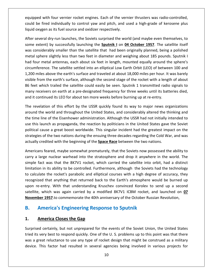with four vernier rocket engines. Each of the vernier thrusters was radio-controlled, be fired individually to control variances. Each of the vernier thrusters was radio-controlled,<br>be fired individually to control yaw and pitch, and used a high-grade of kerosene plus equipped with four vernier rocket engines. Each of the vern<br>could be fired individually to control yaw and pitch, and uniquid oxygen as its fuel source and oxidizer respectively. seped with four vernier rocket engines. Each of the vernier thrusters was radio-controlled,<br>be fired individually to control yaw and pitch, and used a high-grade of kerosene plus<br>oxygen as its fuel source and oxidizer resp be fired individually to control yaw and pitch, and used a high-grade of kerosene plus<br>
be fired individually to control yaw and pitch, and used a high-grade of kerosene plus<br>
oxygen as its fuel source and oxidizer respect equipped with four vernier rocket engines. Each of the vernier thrusters was radio-controlled, could liquid oxygen as its fuel source and oxidizer respectively.

pped with four vernier rocket engines. Each of the vernier thrusters was radio-controlled,<br>d be fired individually to control yaw and pitch, and used a high-grade of kerosene plus<br>d oxygen as its fuel source and oxidizer r be fired individually to control yaw and pitch, and used a high-grade of kerosene plus<br>oxygen as its fuel source and oxidizer respectively.<br>everal dry-run launches, the Soviets surprised the world (and maybe even themselve d oxygen as its fuel source and oxidizer respectively.<br>
r several dry-run launches, the Soviets surprised the world (and maybe even themselves, to<br>
e extent) by successfully launching the **Sputnik I** on **04 October 1957**. After several dry-run launches, the Soviets surprised the world (and maybe even themselves, to y-run launches, the Soviets surprised the world (and maybe even themselves, to<br>y successfully launching the **Sputnik I** on **04 October 1957**. The satellite itself<br>ly smaller than the satellite that had been originally plan some extent) by successfully launching the Sputnik I on 04 October 1957. The satellite itself exteria ary ramidamentes, the soviets surprised the world (dird maybe even ditelistenties), to<br>extent) by successfully launching the **Sputnik 1** on **04 October 1957**. The satellite itself<br>ponsiderably smaller than the sate was considerably smaller than the satellite that had been originally planned, being a polished from the earth's surface, although the second stage of the rocket with a length of about<br>from the earth's surface and weighing about 185 pounds. Sputnik I<br>dur metal antennas, each about six feet in length, mounted equally metal sphere slightly less than two feet in diameter and weighing about 185 pounds. Sputnik I Fernal sphere slightly less than two feet in diameter and weighing about 185 pounds. Sputnik I<br>I four metal antennas, each about six feet in length, mounted equally around the sphere's<br>umference. The satellite settled into had four metal antennas, each about six feet in length, mounted equally around the sphere's receivers onginity ressent at the receiver dimension at a resigning dood. The points: Spating that find four metal antennas, each about six feet in length, mounted equally around the sphere's circumference. The satellite s it continued its Leo for about six it continuity, mounted equally district the circumference. The satellite settled into an elliptical Low Earth Orbit (LEO) of betwee 1,200 miles above the earth's surface and traveled at a D miles above the earth's surface and traveled at about 18,000 miles per hour. It was barely<br>le from the earth's surface, although the second stage of the rocket with a length of about<br>eet which trailed the satellite could visible from the earth's surface, although the second stage of the rocket with a length of about rom the earth's surface, although the second stage of the rocket with a length of about<br>which trailed the satellite could easily be seen. Sputnik 1 transmitted radio signals to<br>cceivers on earth at a pre-designated frequen 86 feet which trailed the satellite could easily be seen. Sputnik 1 transmitted radio signals to mai and it continued its LEO for about ten more weeks before burning up at re-entry.

eet which trailed the satellite could easily be seen. Sputnik 1 transmitted radio signals to<br>ny receivers on earth at a pre-designated frequency for three weeks until its batteries died,<br>it continued its LEO for about ten y receivers on earth at a pre-designated frequency for three weeks until its batteries died,<br>it continued its LEO for about ten more weeks before burning up at re-entry.<br>revelation of this effort by the USSR quickly found ntinued its LEO for about ten more weeks before burning up at re-entry.<br>
elation of this effort by the USSR quickly found its way to major news organizations<br>
he world and throughout the United States, and considerably alt The revelation of this effort by the USSR quickly found its way to major news organizations ation of this effort by the USSR quickly found its way to major news organizations<br>at world and throughout the United States, and considerably altered the thinking and<br>ne of the Eisenhower administration. Although the USSR around the world and throughout the United States, and considerably altered the thinking and The reveation of this enote by the oson quickly found its way to major news organound the world and throughout the United States, and considerably altered the the time line of the Eisenhower administration. Although the US ie of the Eisenhower administration. Although the USSR had not initially intended to<br>unch as propaganda, the reaction by politicians in the United States gave the Soviet<br>use a great boost worldwide. This singular incident use this launch as propaganda, the reaction by politicians in the United States gave the Soviet is launch as propaganda, the reaction by politicians in the United States gave the Soviet<br>al cause a great boost worldwide. This singular incident had the greatest impact on the<br>gies of the two nations during the ensuing t politica strategies of the two nations during the ensuing three decades regarding the Cold War, and was actually credited with the beginning of the Space Race between the two nations.

I cause a great boost worldwide. This singular incident had the greatest impact on the<br>es of the two nations during the ensuing three decades regarding the Cold War, and was<br>veredited with the beginning of the **Space Race** of the two nations during the ensuing three decades regarding the Cold War, and was<br>edited with the beginning of the **Space Race** between the two nations.<br>feared, maybe somewhat prematurely, that the Soviets now possessed ually credited with the beginning of the **Space Race** between the two nations.<br>
nericans feared, maybe somewhat prematurely, that the Soviets now possessed the ability to<br>
ry a large nuclear warhead into the stratosphere a recognizedeared, maybe somewhat prematurely, that the Soviets now possessed the ability to<br>e nuclear warhead into the stratosphere and drop it anywhere in the world. The<br>was that the 8K7V1 rocket, which carried the satellite into or carry a large nuclear warhead into the stratosphere and drop it anywhere in the world. The rearistical, maybe somewhat prematurely, that the soviets now possessed the domly to a large nuclear warhead into the stratosphere and drop it anywhere in the world. The fact was that the 8K7V1 rocket, which carried the sa simple fact was that the 8K7V1 rocket, which carried the satellite into orbit, had a distinct extrarright wanted the stratespiece and drop it diffusion in the world. The detail and the SK7V1 rocket, which carried the satellite into orbit, had a distinct in its ability to be controlled. Furthermore, although the Sov limitation in its ability to be controlled. Furthermore, although the Soviets had the technology Imple Tact was that the 8K7V1 focket, which carried the satellite into orbit, had a distinct<br>Imitation in its ability to be controlled. Furthermore, although the Soviets had the technology<br>to calculate the rocket's parabol Fact was that the SKYVI FOCKET, which carried the satellite into or<br>
on in its ability to be controlled. Furthermore, although the Soviets h<br>
ulate the rocket's parabolic and elliptical courses with a high degree<br>
zed that recognized that anything that returned back to the Earth's atmosphere would be burned up upon re-entry. With that understanding Kruschev convinced Korolev to send up a second satellite, which was again carried by a modified 8K7V1 ICBM rocket, and launched on **07**<br> **November 1957** to commemorate the 40th annive November 1957.to commemorate the 40th anniversary of the October Russian Revolution, **1957**.to commemorate the 40th anniversary of the October Russian Revolution,<br> **nerica's Engineering Response to Sputnik**<br> **nerica Closes the Gap**<br>
certainly, but not unprepared for the events of the Soviet Union, the Unit

### B.

#### $1.$

**America's Engineering Response to Sputnik**<br> **America Closes the Gap**<br>
ised certainly, but not unprepared for the events of the Soviet Union, the United States<br>
its very best to respond quickly. One of the U. S. problems u **America's Engineering Response to Sputnik**<br> **America Closes the Gap**<br>
rised certainly, but not unprepared for the events of the Soviet Union, the United States<br>
its very best to respond quickly. One of the U. S. problems Surprised certainly, but not unprepared for the events of the Soviet Union, the United States tried its very best to respond quickly. One of the U.S. problems up to this point was that there was a great reluctance to use a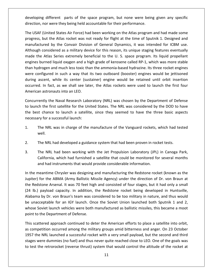different parts of the space program, but none were being given any specific developing different parts of the space program, but none were being given any specific Poping different parts of the space program, but none were being given any specific<br>Etion, nor were they being held accountable for their performance.<br>USAF (United States Air Force) had been working on the Atlas program an but the Atlas rocket was not ready for flight at the time of Sputnik 1. Designed and<br>but the Atlas rocket was not ready for flight at the time of Sputnik 1. Designed and<br>but the Atlas rocket was not ready for flight at the direction, nor were they being held accountable for their performance.

progress, etc.)<br>progress, etc.

developing different parts of the space program, but none were being given any specific<br>direction, nor were they being held accountable for their performance.<br>The USAF (United States Air Force) had been working on the Atla g different parts of the space program, but none were being given any specific<br>nor were they being held accountable for their performance.<br>(United States Air Force) had been working on the Atlas program and had made some<br>b on, nor were they being held accountable for their performance.<br>
SAF (United States Air Force) had been working on the Atlas program and had made some<br>
ss, but the Atlas rocket was not ready for flight at the time of Sputn The USAF (United States Air Force) had been working on the Atlas program and had made some F (United States Air Force) had been working on the Atlas program and had made some<br>i, but the Atlas rocket was not ready for flight at the time of Sputnik 1. Designed and<br>tured by the Convair Division of General Dynamics, progress, but the Atlas rocket was not ready for flight at the time of Sputnik 1. Designed and Figure 2018, the Atlas rocket was not ready for flight at the time of Sputnik 1. Designed and ifactured by the Convair Division of General Dynamics, it was intended for ICBM use.<br>
sugh considered as a military device for t manufactured by the Convair Division of General Dynamics, it was intended for ICBM use. Example 12 and the Phass Focket was not Feady for ingite at the time of spating 1: Besigned and<br>factured by the Convair Division of General Dynamics, it was intended for ICBM use.<br>ugh considered as a military device for th Although considered as a military device for this reason, its unique staging features eventually as in considered as a military device for this reason, its unique staging features eventually<br>the Atlas Series extremely beneficial to the U. S. space program. Its liquid propellant<br>burned liquid oxygen and a high grade of made the Atlas Series extremely beneficial to the U.S. space program. Its liquid propellant In fact, as we shall see later, the Atlas rockets were used to launch the first four-<br>In fact, as we shall see later, the Atlas rockets were used to launch the instance in such a way that its two outboard (booster) engines engines burned liquid oxygen and a high grade of kerosene called RP-1, which was more stable maac the Amas Series extremer, series<br>engines burned liquid oxygen and a h<br>than hydrogen and much less toxic that<br>were configured in such a way that<br>during ascent, while its center (sus<br>occurred. In fact, as we shall see l n and much less toxic than the ammonia-based hydrazine. Its three rocket engines<br>red in such a way that its two outboard (booster) engines would be jettisoned<br>t, while its center (sustainer) engine would be retained until W re configured in such a way that its two outboard (booster) engines would be jettisoned<br>ring ascent, while its center (sustainer) engine would be retained until orbit insertion<br>curred. In fact, as we shall see later, the A during ascent, while its center (sustainer) engine would be retained until orbit insertion ng ascent, while its center (sustainer) engine would be retained until orbit insertion<br>rred. In fact, as we shall see later, the Atlas rockets were used to launch the first four<br>rican astronauts into an LEO.<br>currently the occurred. In fact, as we shall see later, the Atlas rockets were used to launch the first four

American astronauts into an LEO.<br>Concurrently the Naval Research Laboratory (NRL) was chosen by the Department of Defense<br>to launch the first satellite for the United States. The NRL was considered by the DOD to have<br>the b rrently the Naval Research Laboratory (NRL) was chosen by the Department of Defense<br>nch the first satellite for the United States. The NRL was considered by the DOD to have<br>est chance to launch a satellite, since they seem Concurrently the Naval Research Laboratory (NRL) was chosen by the Department of Defense 2. The NRL had developed a guidance system that had been proven in rocket tests.

- The NRL was in charge of the manufacture of the Vanguard rockets, which had tested<br>well.<br>The NRL had developed a guidance system that had been proven in rocket tests.<br>The NRL had been working with the Jet Propulsion Labora as in charge of the manufacture of the Vanguard rockets, which had tested<br>d developed a guidance system that had been proven in rocket tests.<br>ad been working with the Jet Propulsion Laboratory (JPL) in Canoga Park,<br>which h well.
- $2.$
- The NRL had developed a guidance system that had been proven in rocket tests.<br>The NRL had been working with the Jet Propulsion Laboratory (JPL) in Canoga Park,<br>California, which had furnished a satellite that could be moni The NRL had developed a guidance system that had been proven in rocket tests.<br>The NRL had been working with the Jet Propulsion Laboratory (JPL) in Canoga Park,<br>California, which had furnished a satellite that could be moni For NRL had been working with the Jet Propulsion Laboratory (JPL) in Canoga Park,<br>California, which had furnished a satellite that could be monitored for several months<br>and had instruments that would provide considerable i  $3.$

The NRL had been working with the Jet Propulsion Laboratory (JPL) in Canoga Park,<br>California, which had furnished a satellite that could be monitored for several months<br>and had instruments that would provide considerable i California, which had furnished a satellite that could be monitored for several months<br>and had instruments that would provide considerable information.<br>In the meantime Chrysler was designing and manufacturing the Redstone d had instruments that would provide considerable information.<br>
antime Chrysler was designing and manufacturing the Redstone rocket (known as the<br>
or the ABMA (Army Ballistic Missile Agency) under the direction of Dr. von In the meantime Chrysler was designing and manufacturing the Redstone rocket (known as the In the meantime Chrysler was designing and manufacturing the Redstone rocket (known as the<br>Jupiter) for the ABMA (Army Ballistic Missile Agency) under the direction of Dr. von Braun at<br>the Redstone Arsenal. It was 70 feet Soviet launch vehicles were both manufactured as ballistic missiles, this became a moot<br>Soviet launch vehicles were allowed as a manufactured as a mall<br>payload capacity. In addition, the Redstone rocket being developed in Jupiter) for the ABMA (Army Ballistic Missile Agency) under the direction of Dr. von Braun at the Redstone Arsenal. It was 70 feet high and consisted of four stages, but it had only a small the Redstone Arsenal. It was 70 feet hig<br>(24 lb.) payload capacity. In addition,<br>Alabama by Dr. von Braun's team was co<br>be unacceptable for an IGY launch. On<br>whose Soviet launch vehicles were both<br>point to the Department o (24 lb.) payload capacity. In addition, the Redstone rocket being developed in Huntsville,<br>Alabama by Dr. von Braun's team was considered to be too military in nature, and thus would<br>be unacceptable for an IGY launch. Once bama by Dr. von Braun's team was considered to be too military in nature, and thus would<br>unacceptable for an IGY launch. Once the Soviet Union launched both Sputnik 1 and 2,<br>ose Soviet launch vehicles were both manufacture be unacceptable for an IGY launch. Once the Soviet Union launched both Sputnik 1 and 2, nacceptable for an IGY launch. Once the Soviet Union launched both Sputnik 1 and 2,<br>e Soviet launch vehicles were both manufactured as ballistic missiles, this became a moot<br>to the Department of Defense.<br>cattered approach whose point to the Department of Defense.

 $e<sub>1</sub>$ Soviet launch vehicles were both manufactured as ballistic missiles, this became a moot<br>o the Department of Defense.<br>attered approach continued to deter the American efforts to place a satellite into orbit,<br>petition occurr int to the Department of Defense.<br>
is scattered approach continued to deter the American efforts to place a satellite into orbit,<br>
competition occurred among the military groups amid bitterness and anger. On 23 October<br>
57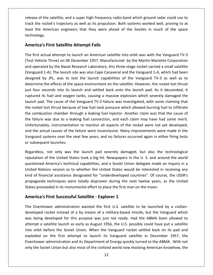of the satellite, and <sup>a</sup> super high frequency radio band which ground radar could use to the rocket's trajectory as upper the rocket rocket of the satellite, and a super high frequency radio band which ground radar could use to<br>the rocket's trajectory as well as its propulsion. Both systems worked well, provin the Satellite, and a super high frequency radio band which ground radar could use to<br>the rocket's trajectory as well as its propulsion. Both systems worked well, proving to at<br>the American engineers that they were ahead of **Preference of the same of the state of the state of the American Street Correct**<br>**American Street Correct**<br>**Americals Five First Example Satellite**, and a super high frequency randed the state of the state of the state of the state of the state of the state of the state of the state of the state of the state of the state of the state of the track the rocket's trajectory as well as its propulsion. Both systems worked well, proving to at k the rocket's trajectory as well as its propulsion. Both systems worked well, proving to at<br>
the American engineers that they were ahead of the Soviets in much of the space<br>
nology.<br> **Exatellite Attempt Fails**<br>
first actu least the American engineers that they were ahead of the Soviets in much of the space the American engineers that they were ahead of the Soviets in much of the space<br> **ology.**<br> **rica's First Satellite Attempt Fails**<br>
Irst actual attempt to launch an American satellite into orbit was with the Vanguard TV-3<br> technology.

#### **America's First Satellite Attempt Fails**

nology.<br>**erica's First Satellite Attempt Fails**<br>first actual attempt to launch an American satellite into orbit was with the Vanguard TV-3<br>t Vehicle Three) on 06 December 1957. Manufactured by the Martin-Mariette Corporati **S First Satellite Attempt Fails<br>1-A). The launch an American satellite into orbit was with the Vanguard TV-3<br>1-A). The Naval Research Laboratory, this three-stage rocket carried a small satellite<br>1-A). The launch site was S First Satellite Attempt Fails**<br>
ctual attempt to launch an American satellite into orbit was with the Vanguard TV-3<br>
cle Three) on 06 December 1957. Manufactured by the Martin-Mariette Corporation<br>
ted by the Naval Rese The first actual attempt to launch an American satellite into orbit was with the Vanguard TV-3 tual attempt to launch an American satellite into orbit was with the Vanguard TV-3<br>le Three) on 06 December 1957. Manufactured by the Martin-Mariette Corporation<br>ed by the Naval Research Laboratory, this three-stage rocket (Test Vehicle Three) on 06 December 1957. Manufactured by the Martin-Mariette Corporation for the cast into the back onto the launch and settled back onto the Martin-Mariette Corporation<br>operated by the Naval Research Laboratory, this three-stage rocket carried a small satellite<br>guard 1-A). The launch site was and operated by the Naval Research Laboratory, this three-stage rocket carried a small satellite ited by the Naval Research Laboratory, this three-stage rocket carried a small satellite<br>I 1-A). The launch site was also Cape Canaveral and the Vanguard 1-A, which had been<br>by JPL, was to test the launch capabilities of t (Vanguard 1-A). The launch site was also Cape Canaveral and the Vanguard 1-A, which had been<br>designed by JPL, was to test the launch capabilities of the Vanguard TV-3 as well as to<br>determine the effects of the space enviro (vanguard 17), the radinent site was disologing candidation and the Vanguard 17), which had seen<br>designed by JPL, was to test the launch capabilities of the Vanguard TV-3 as well as to<br>determine the effects of the space en determine the effects of the space environment on the satellite. However, the rocket lost thrust<br>just four seconds into its launch and settled back onto the launch pad. As it descended, it<br>ruptured its fuel and oxygen tank I is four seconds into its launch and settled back onto the launch pad. As it descended, it ruptured its fuel and oxygen tanks, causing a massive explosion which severely damaged the launch pad. The cause of the Vanguard T ruptured its fuel and oxygen tanks, causing a massive explosion which severely damaged the launch pad. The cause of the Vanguard TV-3 failure was investigated, with some claiming that the rocket lost thrust because of low the pad. The cause of the Vanguard TV-3 failure was investigated, with some claiming that rocket lost thrust because of low fuel tank pressure which allowed burning fuel to infiltrate combustion chamber through a leaking f launch pad. The cause of the Vanguard TV-3 failure was investigated, with some claiming that the rocket lost thrust because of low fuel tank pressure which allowed burning fuel to infiltrate shift acts of the rangular in 5 fundsed the sintestigated, when some diaming that<br>lost thrust because of low fuel tank pressure which allowed burning fuel to infiltrate<br>stion chamber through a leaking fuel injector. Anothe the combustion chamber through a leaking fuel injector. Another claim was that the cause of the combustion chamber this<br>the failure was due to a lea<br>Unfortunately, instrumentati<br>and the actual causes of the<br>Vanguard systems over the r<br>or subsequent launches. ras due to a leaking fuel connection, and each claim may have had some merit.<br>
y, instrumentation to monitor all aspects of the rocket were not yet developed,<br>
al causes of the failure were inconclusive. Many improvements Unfortunat ely, instrumentation to monitor all aspects of the rocket were not yet developed,<br>ual causes of the failure were inconclusive. Many improvements were made in the<br>ystems over the next few years, and no failures occurred aga and the actual causes of the failure were inconclusive. Many improvements were made in the ual causes of the failure were inconclusive. Many improvements were made in the<br>
stems over the next few years, and no failures occurred again in either firing tests<br>
int launches.<br>
not only was the launch pad severely dam Vanguard systems over the next few years, and no failures occurred again in either firing tests or subsequent launches.

rd systems over the next few years, and no failures occurred again in either firing tests<br>equent launches.<br>ess, not only was the launch pad severely damaged, but also the technological<br>ion of the United States took a big h bsequent launches.<br>rdless, not only was the launch pad severely damaged, but also the technological<br>tation of the United States took a big hit. Newspapers in the U. S. and around the world<br>tioned America's technical capabi Regardless, not only was the launch pad severely damaged, but also the technological not only was the launch pad severely damaged, but also the technological<br>f the United States took a big hit. Newspapers in the U.S. and around the world<br>imerica's technical capabilities, and a Soviet Union delegate made an reputation of the United States took a big hit. Newspapers in the U.S. and around the world reputation of the United States took a big hit. Newspapers in the U. S. and arous<br>questioned America's technical capabilities, and a Soviet Union delegate made ar<br>United Nations session as to whether the United States woul If the United States took a big hit. Newspapers in th<br>America's technical capabilities, and a Soviet Union of<br>ons session as to whether the United States would l<br>ncial assistance designated for "underdeveloped cou<br>techniqu kind of financial assistance designated for "underdeveloped countries". Of course, the USSR's kind of financial assistance designated for "underdeveloped countries". Of course, the USSR's<br>propaganda techniques were totally disproven during the next twelve years, as the United<br>States proceeded in its monumental effo First Successful Satellite - Explorer 1<br>First Successful Satellite - Explorer 1<br>Successful Satellite - Explorer 1<br>Nower administration wanted the first U.S. satellite to be launched by a civilian-<br>First Successful Satellit States proceeded in its monumental effort to place the first man on the moon.

#### America's First Successful Satellite - Explorer 1

attempt a satellite launch as early as August 1956, the U.S. possibly could have put a satellite is proceeded in its monumental effort to place the first man on the moon.<br> **Example 15 First Successful Satellite - Explorer 1**<br>
Eisenhower administration wanted the first U.S. satellite to be launched by a civilian-<br>
lope a'**s First Successful Satellite - Explorer 1**<br>nhower administration wanted the first U.S. satellite to be launched by a civilian-<br>d rocket instead of a by means of a military-based missile, but the Vanguard which<br>g develop **Example 1**<br>Eisenhower administration wanted the first U.S. satellite to be launched by a civilian-<br>loped rocket instead of a by means of a military-based missile, but the Vanguard which<br>being developed for this purpose wa The Eisenhower administration wanted the first U.S. satellite to be launched by a civiliannower administration wanted the first U.S. satellite to be launched by a civilian-<br>rocket instead of a by means of a military-based missile, but the Vanguard which<br>developed for this purpose was just not ready. Had the ABM developed rocket instead of a by means of a military-based missile, but the Vanguard which administration wanted the mot O.S. Satemet to be hadnened by a crimal.<br>
Docket instead of a by means of a military-based missile, but the Vanguard which<br>
developed for this purpose was just not ready. Had the ABMA been all acketing a rocket instead or a by means or a minitary based missile, bat the vanguard which<br>was being developed for this purpose was just not ready. Had the ABMA been allowed to<br>attempt a satellite launch as early as Augus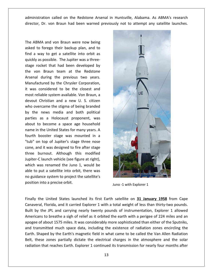called on the Redstone Arsenal in Huntsville, Alabama. As ABMA's research ation called on the Redstone Arsenal in Huntsville, Alabama. As ABMA's research<br>Dr. von Braun had been warned previously not to attempt any satellite launches. inistration called on the Redstone Arsenal in<br>
ttor, Dr. von Braun had been warned previous<br>
ABMA and von Braun were now being administration called on the Redstone Arsenal in F<br>director, Dr. von Braun had been warned previousl<br>The ABMA and von Braun were now being<br>asked to forego their backup plan, and to

director, Dr. von Braun had been warned previo<br>The ABMA and von Braun were now being<br>asked to forego their backup plan, and to<br>find a way to get a satellite into orbit as The ABMA and von Braun were now being<br>asked to forego their backup plan, and to<br>find a way to get a satellite into orbit as<br>quickly as possible. The Jupiter was a three-BMA and von Braun were now being<br>to forego their backup plan, and to<br>way to get a satellite into orbit as<br>as possible. The Jupiter was a three-<br>rocket that had been developed by The ABMA and von Braun were now being ABMA and von Braun were now being<br>d to forego their backup plan, and to<br>a way to get a satellite into orbit as<br>ly as possible. The Jupiter was a three-<br>rocket that had been developed by<br>von Braun team at the Redstone asked to forego their backup plan, and to The NBRRR and Von Bradin Were now Being<br>asked to forego their backup plan, and to<br>find a way to get a satellite into orbit as<br>quickly as possible. The Jupiter was a three-<br>stage rocket that had been developed by<br>the von Br by then backup plan, and to<br>get a satellite into orbit as<br>ble. The Jupiter was a three-<br>hat had been developed by<br>in team at the Redstone<br>is the previous two years.<br>by the Chrysler Corporation. find a way to get a satellite into orbit as<br>quickly as possible. The Jupiter was a threeickly as possible. The Jupiter was a three-<br>ge rocket that had been developed by<br>e von Braun team at the Redstone<br>senal during the previous two years.<br>anufactured by the Chrysler Corporation,<br>was considered to be the close stage rocket that had been developed by rocket that had been developed by<br>von Braun team at the Redstone<br>al during the previous two years.<br>factured by the Chrysler Corporation,<br>s considered to be the closest and<br>reliable system available. Von Braun, a the von Braun team at the Redstone The Braun team at the Redstone<br>
during the previous two years.<br>
Etured by the Chrysler Corporation,<br>
considered to be the closest and<br>
lable system available. Von Braun, a<br>
Christian and a new U. S. citizen Arsenal during the previous two years. Frame team at the neastene<br>
and during the previous two years.<br>
ufactured by the Chrysler Corporation,<br>
as considered to be the closest and<br>
reliable system available. Von Braun, a<br>
ut Christian and a new U. S. citizen<br>
ov Manufactured by the Chrysler Corporation, India darmightive previous two years.<br>Inflactured by the Chrysler Corporation,<br>vas considered to be the closest and<br>the reliable system available. Von Braun, a<br>but Christian and a new U. S. citizen<br>overcame the stigma of b it was considered to be the closest and Example 25 the empyole emporation,<br>considered to be the closest and<br>able system available. Von Braun, a<br>Christian and a new U. S. citizen<br>rcame the stigma of being branded<br>news media and both political<br>as a Holocaust propo most reliable system available. Von Braun, a expliable system available. Von Braun, a<br>Christian and a new U. S. citizen<br>vercame the stigma of being branded<br>enews media and both political<br>as a Holocaust proponent, was<br>to become a space age household devout Christian and a new U. S. citizen t Christian and a new U. S. citizen<br>vercame the stigma of being branded<br>e news media and both political<br>s as a Holocaust proponent, was<br>to become a space age household<br>in the United States for many years. A who overcame the stigma of being branded ercame the stigma of being branded<br>news media and both political<br>as a Holocaust proponent, was<br>to become a space age household<br>the United States for many years. A<br>booster stage was mounted in a by the news media and both political e news media and both political<br>s as a Holocaust proponent, was<br>to become a space age household<br>in the United States for many years. A<br>booster stage was mounted in a<br>on top of Jupiter's stage three nose parties as a Holocaust proponent, was s as a Holocaust proponent, was<br>to become a space age household<br>in the United States for many years. A<br>booster stage was mounted in a<br>on top of Jupiter's stage three nose<br>and it was designed to fire after stage about to become a space age household Let be come a space age household<br>a the United States for many years. A<br>booster stage was mounted in a<br>an top of Jupiter's stage three nose<br>and it was designed to fire after stage<br>burnout. Although this modified name in the United States for many years. A mame in the United States for many years. A<br>fourth booster stage was mounted in a<br>"tub" on top of Jupiter's stage three nose<br>cone, and it was designed to fire after stage<br>three burnout. Although this modified<br>Jupiter-Claun booster stage was mounted in a<br>booster stage was mounted in a<br>and it was designed to fire after stage<br>burnout. Although this modified<br>-Claunch vehicle (see figure at right),<br>was renamed the Juno 1, would be fourth booster stage was mounted in a<br>"tub" on top of Jupiter's stage three nose The putate into the section of Jupiter's stage three nose<br>and it was designed to fire after stage<br>burnout. Although this modified<br>er-Claunch vehicle (see figure at right),<br>a was renamed the Juno 1, would be<br>to put a satell cone, and it was designed to fire after stage guidance system to project the state these<br>ee burnout. Although this modified<br>iter-Claunch vehicle (see figure at right),<br>ich was renamed the Juno 1, would be<br>e to put a satellite into orbit, there was<br>guidance system to p three burnout. Although this modified Internative and the stage<br>
internative and the small is modified<br>
internative and the Juno 1, would be<br>
but a satellite into orbit, there was<br>
into a precise orbit. which was renamed the Juno 1, would be the United States launched its first Earth satellite on **31 January 1958** from Cape able to put a satellite into orbit, there was position into a precise orbit.

The



apogee of about 1575 miles. It was considerably more sophisticated than either of the Sputniks, Finally the United States launched its first Earth satellite on **31 January 1958** from Cape<br>Canaveral. Florida, and it carried Explorer 1 with a total weight of less than thirty-two pounds. by the United States launched its first Earth satellite on **31 January 1958** from Cape<br>
y the United States launched its first Earth satellite on **31 January 1958** from Cape<br>
y the United States launched its first Earth sa Juno -1 with Explorer 1<br>
United States launched its first Earth satellite on **31 January 1958** from Cape<br>
Florida, and it carried Explorer 1 with a total weight of less than thirty-two pounds.<br>
Le JPL and carrying nearly t Finally the United States launched its first Earth satellite on **31 January 1958** from Cape<br>Canaveral, Florida, and it carried Explorer 1 with a total weight of less than thirty-two pounds.<br>Built by the JPL and carrying ne Iy the United States launched its first Earth satellite on **31 January 1958** from Cape<br>veral, Florida, and it carried Explorer 1 with a total weight of less than thirty-two pounds.<br>by the JPL and carrying nearly twenty pou Canaveral, Florida, and it carried Explorer 1 with a total weight of less than thirty-two pounds. Field by the Earth's marked that the Earth's steaded on the Shaped Tenni cape<br>In the JPL and carrying nearly twenty pounds of instrumentation, Explorer 1 allowed<br>cans to breathe a sigh of relief as it orbited the earth wit Built by the JPL and carrying nearly twenty pounds of instrumentation, Explorer 1 allowed these JPL and carrying nearly twenty pounds of instrumentation, Explorer 1 allowed<br>icans to breathe a sigh of relief as it orbited the earth with a perigee of 224 miles and an<br>ee of about 1575 miles. It was considerably mo But by the *s* E and eartying nearty twenty pounds of instrumentation, Explorer I answed<br>Americans to breathe a sigh of relief as it orbited the earth with a perigee of 224 miles and an<br>apogee of about 1575 miles. It was c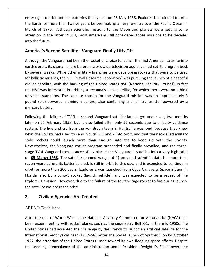into orbit until its batteries finally died on <sup>23</sup> May 1958. Explorer <sup>1</sup> continued to orbit ering into orbit until its batteries finally died on 23 May 1958. Explorer 1 continued to orbit<br>Earth for more than twelve vears before making a fiery re-entry over the Pacific Ocean in g into orbit until its batteries finally died on 23 May 1958. Explorer 1 continued to orbit<br>th for more than twelve years before making a fiery re-entry over the Pacific Ocean in<br>of 1970. Although scientific missions to th in the orbit until its batteries finally died on 23 May 1958. Explorer 1 continued to orbit<br>for more than twelve years before making a fiery re-entry over the Pacific Ocean in<br>1970. Although scientific missions to the Moon entering into orbit under the Earth for more<br>March of 1970. A<br>attention in the lat<br>into the future. **Solutionary Example 19.13** and the setteries finally died on 23 May 1958. Exp<br> **F** more than twelve years before making a fiery re-entry<br> **P70.** Although scientific missions to the Moon and plat<br>
the latter 1950's, most A March of 1970. Although scientific missions to the Moon and planets were getting some 1970. Although scientific missions to the Moon and planets were getting some<br>in the latter 1950's, most Americans still considered those missions to be decades<br>sture.<br>**'s Second Satellite - Vanguard Finally Lifts Off**<br>the attenti<br>into the<br>**Al**thou or in the latter 1950's, most Americans still considered those missions to be decades<br> **ca's Second Satellite - Vanguard Finally Lifts Off**<br>
th the Vanguard had been the rocket of choice to launch the first American satell into the future.

### Ameri

o the future.<br>**nerica's Second Satellite - Vanguard Finally Lifts Off**<br>hough the Vanguard had been the rocket of choice to launch the first American satellite into<br>th's orbit, its dismal failure before a worldwide televisi **nerica's Second Satellite - Vanguard Finally Lifts Off**<br>hough the Vanguard had been the rocket of choice to launch the first American satellite into<br>th's orbit, its dismal failure before a worldwide television audience ha ca's Second Satellite - Vanguard Finally Litts Off<br>th the Vanguard had been the rocket of choice to launch the first American satellite into<br>orbit, its dismal failure before a worldwide television audience had set its prog Although the Vanguard had been the rocket of choice to launch the first American satellite into ough the Vanguard had been the rocket of choice to launch the first American satellite into<br>h's orbit, its dismal failure before a worldwide television audience had set its program beck<br>everal weeks. While other military b earth's orbit, its dismal failure before a worldwide television audience had set its program beck standard a sect the recket of choice to tattent the most surfacture and section of the vanguard mission, it is<br>the satellite chosen for the military branches were developing rockets that were to be used<br>c missiles, the NRL by several weeks. While other military branches were developing rockets that were to be used<br>for ballistic missiles, the NRL (Naval Research Laboratory) was pursuing the launch of a peaceful<br>civilian satellite, with the ba by several weeks. We<br>for ballistic missiles, t<br>civilian satellite, with<br>the NSC was interest<br>universal standards.<br>pound solar-powered<br>mercury battery. ellite, with the backing of the United States NSC (National Security Council). In fact<br>as interested in orbiting a reconnaissance satellite, for which there were no ethical<br>standards. The satellite chosen for the Vanguard the I SC was interested in orbiting a reconnaissance satellite, for which there were no ethical<br>rsal standards. The satellite chosen for the Vanguard mission was an approximately 3<br>d solar-powered aluminum sphere, also containin universal standards. The satellite chosen for the Vanguard mission was an approximately 3 I standards. The satellite chosen for the Vanguard mission was an approximately 3<br>
olar-powered aluminum sphere, also containing a small transmitter powered by a<br>
battery.<br>
g the failure of TV-3, a second Vanguard satellit pound solar-powered aluminum sphere, also containing a small transmitter powered by a mercury battery.

d solar-powered aluminum sphere, also containing a small transmitter powered by a<br>ury battery.<br>ving the failure of TV-3, a second Vanguard satellite launch got under way two months<br>on 05 February 1958, but it also failed a mercury battery.<br>Following the failure of TV-3, a second Vanguard satellite launch got under way two months<br>later on 05 February 1958, but it also failed after only 57 seconds due to a faulty guidance<br>system. The hue and c Following the failure of TV-3, a second Vanguard satellite launch got under way two months<br>later on 05 February 1958, but it also failed after only 57 seconds due to a faulty guidance<br>system. The hue and cry from the von B In 05 February 1958, but it also failed after only 57 seconds due to a faulty guidance<br>
The hue and cry from the von Braun team in Huntsville was loud, because they knew<br>
the Soviets had used to send Sputniks 1 and 2 into later on 05 February 1958, but it also failed after only 57 seconds due to a faulty guidance<br>system. The hue and cry from the von Braun team in Huntsville was loud, because they knew **1958**. The same of the same of the same of the same of the same of the same of the soviets had used to send Sputniks 1 and 2 into orbit, and that their so-called military e rockets could launch more than enough satellites what the Soviets had used to send Sputniks 1 and 2 into orbit, and that their so-called military It we had and ary nont the controlled to the minimization was local, because they with<br>the Soviets had used to send Sputniks 1 and 2 into orbit, and that their so-called military<br>rockets could launch more than enough satel style rockets could launch more than enough satellites to keep up with the Soviets. for more than 200 years. Explorer 2 was launched from Cape Canaveral Space Station in<br>for more than 200 years. Explorer 2 was latellites to keep up with the Soviets.<br>TV-4 Vanguard rocket successfully placed the Vanguard 1 Style Tockets coald Tauline. Thore than enough satellies to Reep up whit the sones.<br>
Nevertheless, the Vanguard rocket successfully placed the Vanguard 1 satellite into a very high orbit<br>
on **05 March 1958**. The satellite  $\frac{1}{2}$ 11 stage TV-4 Vanguard rocket successfully placed the Vanguard 1 satellite into a very high orbit<br>
1958 on <u>05 March 1958</u>. The satellite (named Vanguard 1) provided scientific data for more than<br>
1968 seven years before i on **05 March 1958**. The satellite (n<br>seven years before its batteries died<br>orbit for more than 200 years. Exple<br>Florida, also by a Juno-1 rocket (la<br>Explorer 1 mission. However, due to<br>the satellite did not reach orbit. **Aarch 1958**. The satellite (named Vanguard 2)<br>ears before its batteries died, is still in orbit to<br>r more than 200 years. Explorer 2 was launch<br>also by a Juno-1 rocket (launch vehicle), an<br>r 1 mission. However, due to the the satellite did not reach orbit. tellite did not reach orbit.<br> **Civilian Agencies Are Created**<br>
La Is Established<br>
La Established<br>
La Established<br>
La Mar II, the National Advisory Committee for Aeronautics (NACA) had

#### $2.$

### ARPA Is Established

into

been experimenting with rocket planes such as the supersonic Bell X-1. In the mid-1950s, the **Civilian Agencies Are Created**<br>A Is Established<br>the end of World War II, the National Advisory Committee for Aeronautics (NACA) had<br>experimenting with rocket planes such as the supersonic Bell X-1. In the mid-1950s, the **Civilian Agencies Are Created**<br>Is Established<br>Ne end of World War II, the National Advisory Committee for Aeronautics (NACA) had<br>States had accepted the challenge by the French to launch an artificial satellite for the blished<br>
of World War II, the National Advisory Committee for Aeronautics (NACA) had<br>
enting with rocket planes such as the supersonic Bell X-1. In the mid-1950s, the<br>
had accepted the challenge by the French to launch an Is Established<br>the end of World War II, the National Advisory Committee for Aeronautics (NACA) had<br>experimenting with rocket planes such as the supersonic Bell X-1. In the mid-1950s, the<br>I States had accepted the challenge After the end of World War II, the National Advisory Committee for Aeronautics (NACA) had<br>been experimenting with rocket planes such as the supersonic Bell X-1. In the mid-1950s, the<br>United States had accepted the challeng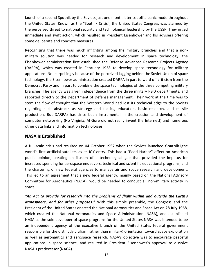of <sup>a</sup> second Sputnik by the Soviets just one month later set off <sup>a</sup> panic mode throughout United States. Known as the Soviets instruction of the United States Congress was alarmed by<br>United States. Known as the "Sputnik Crisis", the United States Congress was alarmed by perceived threat to national security and technological leadership by the United States.<br>
Security and the United States Congress was alarmed by perceived threat to national security and technological leadership by the USS second Sputnik by the Soviets just one month later set off a panic mode throughout<br>States. Known as the "Sputnik Crisis", the United States Congress was alarmed by<br>ed threat to national security and technological leadershi launch of a second Sputnik by the Soviets just one month later set off a panic mode throughout the United States. Known as the "Sputnik Crisis", the United States was alarmed by launch of a second Sputnik by the Soviets just one month later set off a panic mode throughout<br>the United States. Known as the "Sputnik Crisis", the United States Congress was alarmed by<br>the perceived threat to national se ed States. Known as the "Sputnik Crisis", the United States Congress was alarmed by<br>eived threat to national security and technological leadership by the USSR. They urged<br>the and swift action, which resulted in President E the perceived threat to national security and technological leadership by the USSR. They urged immediate and swift action, which resulted in President Eisenhower and his advisers offering some deliberate and concrete measures.

d threat to national security and technological leadership by the USSR. They urged<br>nd swift action, which resulted in President Eisenhower and his advisers offering<br>rate and concrete measures.<br>that there was much infightin e and swift action, which resulted in President Eisenhower and his advisers offering<br>perate and concrete measures.<br>Ig that there was much infighting among the military branches and that a non-<br>olution was needed for resear ate and concrete measures.<br>
that there was much infighting among the military branches and that a non-<br>
tion was needed for research and development in space technology, the<br>
administration first established the Defense Ad Recognizing that there was much infighting among the military branches and that a nonthat there was much infighting among the military branches and that a non-<br>ution was needed for research and development in space technology, the<br>administration first established the Defense Advanced Research Projects Agen military solution was needed for research and development in space technology, the party and there was mader imigrang among the imitally standings and that a non-<br>plution was needed for research and development in space technology, the<br>r administration first established the Defense Advanced Research Proj Eisenhower administration first established the Defense Advanced Research Projects Agency The agency was arected for research and development in space technology, the<br>The administration first established the Defense Advanced Research Projects Agency<br>which was created in February 1958 to develop space technology (DARPA), which was created in February 1958 to develop space technology for military directly to the Department of Defense management. They are the time was to<br>directly has Not surprisingly because of the perceived lagging behind the Soviet Union of space<br>y, the Eisenhower administration created DARPA in p stem the flow of surprisingly because of the perceived lagging behind the Soviet Union of space<br>technology, the Eisenhower administration created DARPA in part to ward off criticism from the<br>Democrat Party and in part to c technology, the Eisenhower administration created DARPA in part to ward off criticism from the state surprisingly seculate of the perceived hagging sermia the soviet officition from the<br>the abstracts and in part to combine the space technologies of the three competing military<br>The agency was given independence from Democrat Party and in part to combine the space technologies of the three competing military The EISEIMONCE daministication created DAMETAIM part to Mark On chitesism from the<br>Thy and in part to combine the space technologies of the three competing military<br>e agency was given independence from the three military R branches. The agency was given independence from the three military R&D departments, and networking (No Virginia, Al Gore did not really invent the Internet!) and numerous (No Virginia, Al Gore did not really invent the Internet!) and numerous networking (No Virginia, Al Gore did not really invent the Internet reported directly to the Department of Defense reported directly to the Department of Defense r<br>stem the flow of thought that the Western Worl<br>regarding such abstracts as strategy and tactio<br>production. But DARPA) has sinc **Is** directly to the Department of thought that the space of thought that the space such abstracts as stration. But DARPA) has since retworking (No Virginia ata links and information te **Is Established** production. But DARPA) has since been instrumental in the creation and development of oduction. But DARPA) has since been instrumental in the creation and development of<br>mputer networking (No Virginia, Al Gore did not really invent the Internet!) and numerous<br>her data links and information technologies.<br>**AS** computer networking (No Virginia, Al Gore did not really invent the Internet!) and numerous<br>other data links and information technologies.<br>**NASA Is Established**<br>A full-scale crisis had resulted on 04 October 1957 when the other data links and information technologies.

#### **NASA Is Established**

some

ata links and information technologies.<br> **Is Established**<br>
cale crisis had resulted on 04 October 1957 when the Soviets launched **Sputnik1**, the<br>
first artificial satellite, as its IGY entry. This had a "Pearl Harbor" effe Established<br>e crisis had resulted on 04 October 1957 when the Soviets launched Sputnik1,the<br>st artificial satellite, as its IGY entry. This had a "Pearl Harbor" effect on American<br>nion, creating an illusion of a technologi **NASA Is Established**<br>A full-scale crisis had resulted on 04 October 1957 when the Soviets launched **Sputnik1**,the<br>world's first artificial satellite, as its IGY entry. This had a "Pearl Harbor" effect on American<br>public o l-scale crisis had resulted on 04 October 1957 when the Soviets launched **Sputnik1**, the<br>d's first artificial satellite, as its IGY entry. This had a "Pearl Harbor" effect on American<br>c opinion, creating an illusion of a t real scale artificial satellite, as its IGY entry. This had a "Pearl Harbor" effect on American<br>on, creating an illusion of a technological gap that provided the impetus for<br>ending for aerospace endeavors, technical and scientific ed world's first artificial satellite, as its IGY entry. This had a "Pearl Harbor" effect on American public opinion, creating an illusion of a technological gap that provided the impetus for increased s<br>the charte<br>This led to<br>Committee<br>space. rased spending for aerospace endeavors, technical and scientific educational programs, and<br>
chartering of new federal agencies to manage air and space research and development.<br>
led to an agreement that a new federal agenc the chartering of new federal agencies to manage air and space research and development. *a f* new federal agencies to manage air and space research and development.<br> *agreement that a new federal agency, mainly based on the National Advisory<br>
<i>r* Aeronautics (NACA), would be needed to conduct all non-milita This led t This led to an agreement that a new federal agency, mainly based on the National Advisory<br>Committee for Aeronautics (NACA), would be needed to conduct all non-military activity in<br>space.<br>**"An Act to provide for research in** space.

an independent agency of the executive branch of the United States federal government ttee for Aeronautics (NACA), would be needed to conduct all non-military activity in<br> **t to provide for research into the problems of flight within and outside the Earth's**<br> **phere, and for other purposes."** With this simp of to provide for research into the problems of flight within and outside the Earth's<br>phere, and for other purposes." With this simple preamble, the Congress and the<br>ent of the United States enacted the National Aeronautic "An Act to provide for research into the problems of flight within and outside the Earth's Act to provide for research into the problems of flight within and outside the Earth's<br>nosphere, and for other purposes." With this simple preamble, the Congress and the<br>sident of the United States enacted the National Aer atmosphere, and for other purposes." With this simple preamble, the Congress and the for the presence of the presence of yinglet within the detector of distinct the United States enacted the National Aeronautics and Space Act on 28 July 1958, ed the National Aeronautics and Space Administration (NASA), and atinospinere, and yor other parposes. Whit and simple preamine, the congress and the<br>President of the United States enacted the National Aeronautics and Space Act on 28 July 1958,<br>which created the National Aeronautics and which created the National Aeronautics and Space Administration (NASA), and established in space science science and space Administration (NASA), and established<br>sole developer of space programs for the United States NASA was intended to be<br>ent agency of the executive branch of the United States federal gover Which encated the National<br>NASA as the sole developer<br>an independent agency of<br>responsible for the distinctly<br>as well as aeronautics and<br>applications in space scien<br>NASA's predecessor (NACA).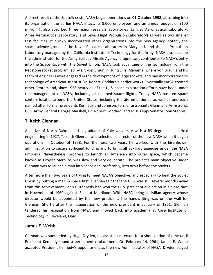direct result of the Sputnik crisis, NASA began operations on **<sup>01</sup> October <sup>1958</sup>**, absorbing into organization the Sputnik crisis, NASA began operations on **01 October 1958**, absorbing into<br>The earlier NACA intact, its 8,000 employees, and an annual budget of \$100 It also absorbed the Sputnik crisis, NASA began operations on **01 October 1958**, absorbing into<br>Its organization the earlier NACA intact, its 8,000 employees, and an annual budget of \$100<br>It also absorbed three major resea The sputnical Laboratory, and the Sputnik crisis, NASA began operations on **01 October 1958**, absorbing into<br>Aeronaution the earlier NACA intact, its 8,000 employees, and an annual budget of \$100<br>The space of the space of ect result of the Sputnik crisis, NASA began operations on **01 October 1958**, absorbing into<br>reganization the earlier NACA intact, its 8,000 employees, and an annual budget of \$100<br>on. It also absorbed three major research A direct result of the Sputnik crisis, NASA began operations on 01 October 1958, absorbing into t result of the Sputnik crisis, NASA began operations on **01 October 1958**, absorbing into<br>anization the earlier NACA intact, its 8,000 employees, and an annual budget of \$100<br>. It also absorbed three major research labora  $\sum_{i=1}^{n}$ and of the Spatinic ensist, Whistington Specialists on **or occuse:** 1556, assorbing the tion the earlier NACA intact, its 8,000 employees, and an annual budget of \$100 lso absorbed three major research laboratories (Langle million. It also absorbed three major research laboratories (Langley Aeronautical Laboratory, and a significant and states in the Army Ballistic Missile Agency, and an amidal staget of years<br>on. It also absorbed three major research laboratories (Langley Aeronautical Laboratory,<br>se Aeronautical Laboratory, and Lewi Ames Aeronautical Laboratory, and Lewis Flight Propulsion Laboratory) as well as two smaller The Space Race with the Soviet Union. NASA took advantage of the technology from the Space Race with the Soviet Union. NASA took advantage of the technology from the Space Race with the Soviet Union. NASA took advantage of test facilities. It quickly incorporated other organizations into the new agency, notably the ries. It quickly incorporated other organizations into the new agency, notably the<br>ence group of the Naval Research Laboratory in Maryland, and the Jet Propulsion<br>y managed by the California Institute of Technology for the space science group of the Naval Research Laboratory in Maryland, and the Jet Propulsion science group of the Naval Research Laboratory in Maryland, and the Jet Propulsion<br>atory managed by the California Institute of Technology for the Army. NASA also became<br>dministrator for the Army Ballistic Missile Agency, Laboratory managed by the California Institute of Technology for the Army. NASA also became of a managed by the California Institute of Technology for the Army. NASA also became<br>trator for the Army Ballistic Missile Agency, a significant contributor to NASA's entry<br>ace Race with the Soviet Union. NASA took advant the administrator for the Army Ballistic Missile Agency, a significant contributor to NASA's entry Iministrator for the Army Ballistic Missile Agency, a significant contributor to NASA's entry<br>
The Space Race with the Soviet Union. NASA took advantage of the technology from the<br>
Done rocket program led by Dr. von Braun into the Space Race with the Soviet Union. NASA took advantage of the technology from the management of NASA, including all manned space flights. Today NASA has ten space<br>management of NASA, took advantage of the technology from the<br>tone rocket program led by Dr. von Braun in Huntsville, Alabama, where von Brau  $\frac{1}{2}$  can goace mase with the soviet official time. Then took davantage of the technology from the<br>e rocket program led by Dr. von Braun in Huntsville, Alabama, where von Braun and his<br>engineers were engaged in the development of la nassame rocket program learly Driven Braamm manisome, massame, where ven Braam and ms<br>team of engineers were engaged in the development of large rockets, and had incorporated the<br>technology of American scientist Dr. Robert technology of American scientist Dr. Robert Goddard's earlier works. Eventually NASA created<br>other Centers and, since 1958 nearly all of the U.S. space exploration efforts have been under<br>the management of NASA, including thnology of American scientiner Centers and, since 1958<br>**Repart Science 1958**<br>**Repart Science 1958**<br>**Keith Glennan**<br>**Keith Glennan** centers located around the United States, including the aforementioned as well as one each nters located around the United States, including the aforementioned as well as one each<br>med after former presidents Kennedy and Johnson, former astronauts Glenn and Armstrong,<br>S. Army General George Marshall, Dr. Robert G named after former presidents Kennedy and Johnson, former astronauts Glenn and Armstrong, former presidents Kennedy and Johnson, former astronauts Glenn and Armstrong,<br>eneral George Marshall, Dr. Robert Goddard, and Mississippi Senator John Stennis.<br>**ennan**<br>North Dakota and a graduate of Yale University with a U. S. Army General George Marshall, Dr. Robert Goddard, and Mississippi Senator John Stennis.

#### **T. Keith Glennan**

test

ieneral George Marshall, Dr. Robert Goddard, and Mississippi Senator John Stennis.<br> **ennan**<br>
North Dakota and a graduate of Yale University with a BS degree in electrical<br>
in 1927, T. Keith Glennan was selected as director nan<br>Inception sufficient and a graduate of Yale University with a BS degree in electrical<br>Incepts of the Secure sufficient funding and to bring all auxiliary agencies under the NASA<br>Inception of 1958. For the next two year **Silennan**<br>of North Dakota and a graduate of Yale University with a BS degree in electrical<br>g in 1927, T. Keith Glennan was selected as director of the new NASA when it began<br>in October of 1958. For the next two years he w A native of North Dakota and a graduate of Yale University with a BS degree in electrical e of North Dakota and a graduate of Yale University with a BS degree in electrical<br>ring in 1927, T. Keith Glennan was selected as director of the new NASA when it began<br>ons in October of 1958. For the next two years he wor engineering in 1927, T. Keith Glennan was selected as director of the new NASA when it began where of North Banca and a graduate of Tate Silversity with a BB degree in electer engineering in 1927, T. Keith Glennan was selected as director of the new NASA when it b operations in October of 1958. For the next two ye tions in October of 1958. For the next two years he worked with the Eisenhower<br>nistration to secure sufficient funding and to bring all auxiliary agencies under the NASA<br>ella. Nevertheless, progress to launch an American i administration to secure sufficient funding and to bring all auxiliary agencies under the NASA stration to secure sufficient funding and to bring all auxiliary agencies under the NASA<br>lla. Nevertheless, progress to launch an American into outer space, which became<br>as Project Mercury, was slow and very deliberate. Th umbrella. Nevertheless, progress to launch an American into outer space, which became ella. Nevertheless, progress to launch an American into outer space, which became<br>n as Project Mercury, was slow and very deliberate. The project's main objective under<br>ian was to launch a man into space and, preferably, i kr Glennan was to launch a man into space and, preferably, into orbit before the Soviets.

by a as Project Mercury, was slow and very deliberate. The project's main objective under<br>
ennan was to launch a man into space and, preferably, into orbit before the Soviets.<br>
er more than two years of trying to meet NASA was to launch a man into space and, preferably, into orbit before the Soviets.<br>The than two years of trying to meet NASA's objective, and especially to beat the Soviet<br>putting a man in space first, Glennan felt that the U. After more than two years of trying to meet NASA's objective, and especially to beat the Soviet e than two years of trying to meet NASA's objective, and especially to beat the Soviet<br>putting a man in space first, Glennan felt that the U. S. was still several months away<br>achievement. John F. Kennedy had won the U. S. Union by putting a man in space first, Glennan felt that the U.S. was still several months away his resignation from NASA and moved back into academia at Case Institute of<br>his resignation from NASA being a civilian agency whose<br>yould be appointed by the new president, the handwriting was on the wall for<br>Shortly after From this achievement. John F. Ker<br>from this achievement. John F. Ker<br>director would be appointed by<br>Glennan. Shortly after the inaugu<br>tendered his resignation from NA<br>Technology in Cleveland. Ohio. is achievement. John<br>
mber of 1960 again<br>
would be appointe<br>
1. Shortly after the i<br>
d his resignation fro<br>
ogy in Cleveland, Ohie<br> **E. Webb** Glennan. Shortly after the inauguration of the new president in January of 1961, Glennan Shortly after the inauguration of the new president in January of 1961, Glennan<br>his resignation from NASA and moved back into academia at Case Institute of<br>gy in Cleveland, Ohio.<br>**Webb**<br>was succeeded by Hugh Dryden, his as tendered his resignation from NASA and moved back into academia at Case Institute of his resignation from NASA and moved back into academia at Case Institute of<br>
y in Cleveland, Ohio.<br>
Webb<br>
ras succeeded by Hugh Dryden, his assistant director, for a short period of time until<br>
Kennedy found a permanent re Technology in Cleveland, Ohio.

**James E. Webb**<br>Glennan was succeeded by Hugh Dryden, his assistant director, for a short period of time until<br>President Kennedy found a permanent replacement. On February 14, 1961, James E. Webb<br>accepted President Kennedy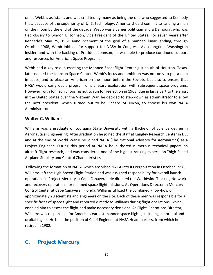as Webb's assistant, and was credited by many as being the one who suggested to Kennedy because of the superiority of U. S. technology, America should commit to landing a man because of the superiority of U. S. technology, America should commit to landing a man as Webb's assistant, and was credited by many as being the one who suggested to Kennedy<br>t, because of the superiority of U. S. technology, America should commit to landing a man<br>the moon by the end of the decade. Webb was s Webb's assistant, and was credited by many as being the one who suggested to Kennedy<br>because of the superiority of U. S. technology, America should commit to landing a man<br>he moon by the end of the decade. Webb was a car on as Web<br>that, beca<br>on the mo<br>tied closel The sassistant, and was credited by many as being the one who suggested to Kennedy<br>se of the superiority of U. S. technology, America should commit to landing a man<br>on by the end of the decade. Webb was a career politician Octoberbb's assistant, and was credited by many as being the one who suggested to Kennedy<br>ause of the superiority of U. S. technology, America should commit to landing a man<br>oon by the end of the decade. Webb was a career politic that, because of the superiority of U.S. technology, America should commit to landing a man cause of the superiority of U. S. technology, America should commit to landing a man<br>noon by the end of the decade. Webb was a career politician and a Democrat who was<br>sely to Lyndon B. Johnson, Vice President of the Unite on the moon by the end of the decade. Webb was a career politician and a Democrat who was tied closely to Lyndon B. Johnson, Vice President of the United States. For seven years after Kennedy's May 25, 1961 announcement of the goal of a manned lunar landing, through October 1968, Webb lobbied for support for NA basely to Lyndon B. Johnson, Vice President of the United States. For seven years after<br>dy's May 25, 1961 announcement of the goal of a manned lunar landing, through<br>er 1968, Webb lobbied for support for NASA in Congress. Kennedy's May 25, 1961 announcement of the goal of a manned lunar landing, through edy's May 25, 1961 announcement of the goal of a manned lunar landing, through<br>per 1968, Webb lobbied for support for NASA in Congress. As a longtime Washington<br>pr, and with the backing of President Johnson, he was able to October 1968, Webb lobbied for support for NASA in Congress. As a longtime Washington tober 1968, Webb lobbied for support for NASA in Congress. As a longtime Washington<br>ider, and with the backing of President Johnson, he was able to produce continued support<br>d resources for America's Space Program.<br>ebb had insider, and with the backing of President Johnson, he was able to produce continued support

insider, and with the backing of President Johnson, he was able to produce continued support<br>and resources for America's Space Program.<br>Webb had a key role in creating the Manned Spaceflight Center just south of Houston, T rces for America's Space Program.<br>I a key role in creating the Manned Spaceflight Center just south of Houston, Texas,<br>ed the Johnson Space Center. Webb's focus and ambition was not only to put a man<br>and to place an Americ Webb had a key role in creating the Manned Spaceflight Center just south of Houston, Texas, ebb had a key role in creating the Manned Spaceflight Center just south of Houston, Texas,<br>er named the Johnson Space Center. Webb's focus and ambition was not only to put a man<br>space, and to place an American on the moon later named the Johnson Space Center. Webb's focus and ambition was not only to put a man named the Johnson Space Center. Webb's focus and ambition was not only to put a man<br>ace, and to place an American on the moon before the Soviets, but also to ensure that<br>A would carry out a program of planetary exploration in space, and to place an American on the moon before the Soviets, but also to ensure that NASA would carry out a program of planetary exploration with subsequent space programs.<br>However, with Johnson choosing not to run for reelection in 1968, due in large part to the angst<br>in the United States over the Vietnam and to place an Am<br>
buld carry out a prog<br>
i, with Johnson choosi<br>
iited States over the<br>
president, which tu<br>
rator.<br> **C. Williams** in the United States over the Vietnam War, he decided to step down as administrator to allow ited States over the Vietnam War, he decided to step down as administrator to allow<br>president, which turned out to be Richard M. Nixon, to choose his own NASA<br>ator.<br>**C. Williams** the next president, which turned out to be Richard M. Nixon, to choose his own NASA<br>Administrator.<br>Walter C. Williams<br>Williams was a graduate of Louisiana State University with a Bachelor of Science degree in<br>Aeronautical

#### **Walter C. Williams**

inistrator.<br> **ter C. Williams**<br>
ams was a graduate of Louisiana State University with a Bachelor of Science degree in<br>
nautical Engineering. After graduation he joined the staff at Langley Research Center in DC,<br>
at the en **C. Williams**<br>
Engineering of Louisiana State University with a Bachelor of Science degree in<br>
itical Engineering. After graduation he joined the staff at Langley Research Center in DC,<br>
he end of World War II he joined NA Flight was a graduate of Louisiana State University with a Bachelor of Science degree in<br>itical Engineering. After graduation he joined the staff at Langley Research Center in DC,<br>the end of World War II he joined NACA (Th Williams was a graduate of Louisiana State University with a Bachelor of Science degree in Williams was a graduate of Louisiana State Univers<br>Aeronautical Engineering. After graduation he joined<br>and at the end of World War II he joined NACA (Th<br>Project Engineer. During this period at NACA he<br>aircraft flight rese Aeronautical Engineering. After graduation he joined the staff at Langley Research Center in DC,<br>and at the end of World War II he joined NACA (The National Advisory for Aeronautics) as a<br>Project Engineer. During this peri left end of World War II he joined NACA (The National Advisory for Aeronautics) as a ingineer. During this period at NACA he authored numerous technical papers on light research, and was considered one of the highest ranki Project Engineer. During this period at NACA he authored numerous technical papers on ineer. During this period at NACA he authored numerous technical papers on<br>ht research, and was considered one of the highest ranking experts on "high-Speed<br>ability and Control Characteristics."<br>The formation of NASA, whic airc Airplane Stability and Control Characteristics."

orbital flights. He held the position of Chief Engineer at NASA Headquarters, from which he raft flight research, and was considered one of the highest ranking experts on "high-Speed<br>lane Stability and Control Characteristics."<br>owing the formation of NASA, which absorbed NACA into its organization in October 1958 e Stability and Control Characteristics."<br>Ing the formation of NASA, which absorbed NACA into its organization in October 1958,<br>I left the High-Speed Flight Station and was assigned responsibility for overall launch<br>Inns i Following the formation of NASA, which absorbed NACA into its organization in October 1958, formation of NASA, which absorbed NACA into its organization in October 1958,<br>
e High-Speed Flight Station and was assigned responsibility for overall launch<br>
roject Mercury at Cape Canaveral. He directed the Worldwide Tra Williams left the High-Speed Flight Station and was assigned responsibility for overall launch facet of space flight and reported throw the set of spanneation in occuse. 1338, is left the High-Speed Flight Station and was assigned responsibility for overall launch<br>port in Project Mercury at Cape Canaveral. He direct enabled him to assess the flight and make necessary decisions. As Plight Operations Director in Mercury<br>and recovery operations for manned space flight missions. As Operations Director in Mercury<br>Control Center at Cape Can Form registermerear, at eape canaverant rie an external metallismic rraching recursive<br>very operations for manned space flight missions. As Operations Director in Mercury<br>lenter at Cape Canaveral, Florida, Williams utilize and recovery operations for manned space flight missions. As Operations Director in Mercury<br>Control Center at Cape Canaveral, Florida, Williams utilized the combined know-how of specific facet of space flight and reported directly to Williams during flight operations, which<br>enabled him to assess the flight and make necessary decisions. As Flight Operations Director,<br>Williams was responsible for Am approximately 20 scientists and engineers on the site. Each of these men was responsible for a enabled him to assess the flight and make necessary decisions. As Flight Operations Director, Williams was responsible for America's earliest manned space flights, including suborbital and orbital flights. He held the posi Figures at cape canaveral<br>
mately 20 scientists and<br>
facet of space flight and<br>
d him to assess the flight<br>
s was responsible for Am<br>
flights. He held the positi<br>
in 1982.<br> **Project Mercurv** 

## C.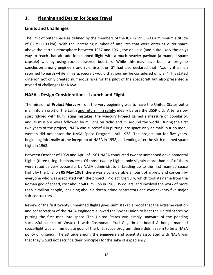## **Planning and Design for Space Travel Planning and Design for Space Travel**  $1.$

#### **Limits and Challenges**

**Planning and Design for Space Travel**<br> **its and Challenges**<br>
limit of outer space as defined by the members of the IGY in 1955 was a minimum altitude **Planning and Design for Space Travel<br>nits and Challenges**<br>e limit of outer space as defined by the members of the IGY in 1955 was a minimum altitude<br>62 mi (100 km). With the increasing number of satellites that were enter **Planning and Design for Space Travel**<br> **i** and Challenges<br>
iit of outer space as defined by the members of the IGY in 1955 was a minimum altitude<br>
ii (100 km). With the increasing number of satellites that were entering o ts and Challenges<br>imit of outer space as defined by the members of the IGY in 1955 was a minimum altitude<br>2 mi (100 km). With the increasing number of satellites that were entering outer space<br>e the earth's atmosphere betw **nd Challenges**<br>of outer space as defined by the members of the IGY in 1955 was a minimum altitude<br>(100 km). With the increasing number of satellites that were entering outer space<br>earth's atmosphere between 1957 and 1961, The limit of outer space as defined by the members of the IGY in 1955 was a minimum altitude outer space as defined by the members of the IGY in 1955 was a minimum altitude<br>00 km). With the increasing number of satellites that were entering outer space<br>earth's atmosphere between 1957 and 1961, the obvious (and qui rne mine (100 km). With the increasing number of satellites that were entering outer space<br>e earth's atmosphere between 1957 and 1961, the obvious (and quite likely the only)<br>each that altitude for manned flight with a much heavier above the earth's atmosphere between 1957 and 1961, the obvious (and quite likely the only) e earth's atmosphere between 1957 and 1961, the obvious (and quite likely the only)<br>each that altitude for manned flight with a much heavier payload (a manned space<br>was by using rocket-powered boosters. While this may have way to reach that altitude for manned flight with a much heavier payload (a manned space way to reach that altitude for mand<br>capsule) was by using rocket-por<br>conclusion among engineers and s<br>returned to earth while in his space<br>criterion not only created numeror<br>myriad of challenges for NASA. each that altitude for manned flight with a much heav<br>was by using rocket-powered boosters. While this<br>in among engineers and scientists, the IGY had also de<br>to earth while in his spacecraft would that journey be co<br>not on returned to earth while in his spacecraft would that journey be considered official." This stated rned to earth while in his spacecraft would that journey be considered official." This stated<br>rion not only created numerous risks for the pilot of the spacecraft but also presented a<br>ad of challenges for NASA.<br>SA's Design criterion not only created numerous risks for the pilot of the spacecraft but also presented a ion not only created numerous risks for the pilot of the spacecraft but also presented a<br> **A's Design Considerations - Launch and Flight**<br>
mission of **Project Mercury** from the very beginning was to have the United States myriad of challenges for NASA.

#### NASA's Design Considerations - Launch and Flight

myriad of challenges for NASA.<br>**NASA's Design Considerations - Launch and Flight**<br>The mission of **Project Mercury** from the very beginning was to have the United States put a<br>man into an orbit of the Earth <u>and return him </u> **SA's Design Considerations - Launch and Flight**<br>mission of **Project Mercury** from the very beginning was to have the United States put a<br>into an orbit of the Earth <u>and return him safely</u>, ideally before the USSR did. Aft **NASA's Design Considerations - Launch and Flight**<br>The mission of **Project Mercury** from the very beginning was to have the United States put a<br>man into an orbit of the Earth <u>and return him safely</u>, ideally before the USS The mission of **Project Mercury** from the very beginning was to have the United States put a<br>man into an orbit of the Earth <u>and return him safely</u>, ideally before the USSR did. After a slow<br>start riddled with humiliating informally at the inception of NASA in 1958, and ending after the Sixter as slowed with humiliating mistakes, the Mercury Project gained a measure of popularity, ssions were followed by millions on radio and TV around the Flam like an orbit<br>start riddled with<br>and its missions w<br>two years of the p<br>women did not e<br>beginning informa<br>flight in 1963. issions were followed by millions on radio and TV around the world. During the first<br>
is of the project, NASA was successful in putting into space only animals, but no men-<br>
id not enter the NASA Space Program until 1978. two years of the project, NASA was successful in putting into space only animals, but no men ars of the project, NASA was successful in putting into space only animals, but no men-<br>
and not enter the NASA Space Program until 1978. The project ran for five years,<br>
ing informally at the inception of NASA in 1958, an women did not enter the NASA Space Program until 1978. The project ran for five years, beginning informally at the inception of NASA in 1958, and ending after the sixth manned space flight in 1963.

rated as very successful by NASA administrators. Leading after the sixth manned space<br>tin 1963.<br>Lean October of 1958 and April of 1961 NASA conducted twenty unmanned developmental<br>(three using chimpanzees). Of those twenty ning informally at the inception of NASA in 1958, and ending after the sixth manned space<br>in 1963.<br>een October of 1958 and April of 1961 NASA conducted twenty unmanned developmental<br>i (three using chimpanzees). Of those tw 963.<br>
Dctober of 1958 and April of 1961 NASA conducted twenty unmanned developmental<br>
ree using chimpanzees). Of those twenty flights, only slightly more than half of them<br>
d as very successful by NASA administrators. Lead Between October of 1958 and April of 1961 NASA conducted twenty unmanned developmental n October of 1958 and April of 1961 NASA conducted twenty unmanned developmental<br>three using chimpanzees). Of those twenty flights, only slightly more than half of them<br>ted as very successful by NASA administrators. Leadin flights (three using chimpanzees). Of those twenty flights, only slightly more than half of them<br>were rated as very successful by NASA administrators. Leading up to the first manned space<br>flight by the U. S. on **05 May 196** were rated as very successful by NASA administrators. Leading up to the first manned space flight by the U.S. on<br>everyone who was a:<br>Roman god of speed,<br>than 2 million people<br>sub-contractors. *r* the U. S. on **05 May 1961**, there was a considerable amount of anxiety and concern by<br>le who was associated with the project. Project Mercury, which took its name from the<br>god of speed, cost about \$400 million in 1965 everyone who was associated with the project. Project Mercury, which took its name from the yone who was associated with the project. Project Mercury, which took its name from the<br>an god of speed, cost about \$400 million in 1965 US dollars, and involved the work of more<br>2 million people, including about a dozen p Roman tod of speed, cost about \$400 million in 1965 US dollars, and involved the work of more<br>nillion people, including about a dozen prime contractors and over seventy-five major<br>tractors.<br>of the first twenty unmanned flights g than 2 million people, including about a dozen prime contractors and over seventy-five major sub-contractors.

successful launch of Vostok 1 with Cosmonaut Yuri Gagarin on board Although manned ion people, including about a dozen prime contractors and over seventy-five major<br>tors.<br>he first twenty unmanned flights gives unmistakable proof that the extreme caution<br>vatism of the NASA engineers allowed the Soviet Uni xtors.<br>
he first twenty unmanned flights gives unmistakable proof that the extreme caution<br>
vatism of the NASA engineers allowed the Soviet Union to beat the United States by<br>
if first man into space. The United States was Review of the first twenty unmanned flights gives unmistakable proof that the extreme caution of the first twenty unmanned flights gives unmistakable proof that the extreme caution<br>nservatism of the NASA engineers allowed the Soviet Union to beat the United States by<br>g the first man into space. The United States wa that they worked in the NASA engineers allowed the Soviet Union to b<br>putting the first man into space. The United States was simply un<br>successful launch of Vostok 1 with Cosmonaut Yuri Gagarin on b<br>spaceflight was an immed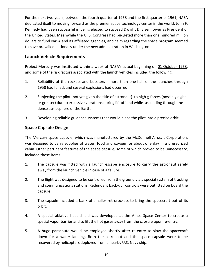the next two years, between the fourth quarter of <sup>1958</sup> and the first quarter of 1961, NASA itself to moving the moving formulation and the first quarter of 1961, NASA<br>For the next two years, between the fourth quarter of 1958 and the first quarter of 1961, NASA<br>dedicated itself to moving forward as the premier s ext two years, between the fourth quarter of 1958 and the first quarter of 1961, NASA<br>A itself to moving forward as the premier space technology center in the world. John F.<br>had been successful in being elected to succeed The next two years, between the fourth quarter of 1958 and the first quarter of 1961, NASA<br>icated itself to moving forward as the premier space technology center in the world. John F.<br>nedy had been successful in being elec next two years, between the fourth quarter of 1958 and the first quarter of 1961, NASA<br>ed itself to moving forward as the premier space technology center in the world. John F.<br>y had been successful in being elected to succ For the next two years, between the fourth quarter of 1958 and the first quart dedicated itself to moving forward as the premier space technology center in t<br>Kennedy had been successful in being elected to succeed Dwight D ext two years, between the fourth<br>d itself to moving forward as the pi<br>had been successful in being elect<br>ed States. Meanwhile the U. S. Con<br>o fund NASA and its affiliated agene<br>prevailed nationally under the new the United States. Meanwhile the U.S. Congress had budgeted more than one hundred million the United States. Meanwhile the U. S. Congress had budgeted more than one hundred million<br>dollars to fund NASA and its affiliated agencies, and calm regarding the space program seemed<br>to have prevailed nationally under th dollars to fund NASA and its affiliated agencies, and calm regarding the space program seemed to have prevailed nationally under the new administration in Washington.

#### **Launch Vehicle Requirements**

dollars

Reliability of the rockets and boosters - more than one-half of the launches through<br>Reliability of the rockets and boosters - more than one-half of the launches through<br>Reliability of the rockets and boosters - more than Imprement of the risk factors associated with the launch vehicles included the following:<br>
Subjecting the rockets and boosters - more than one-half of the launches through<br>
1958 had failed, and several explosions had occur and some of the risk factors associated with the launch vehicles included the following:

- Project Mercury was instituted within a week of NASA's actual beginning on <u>01 October 1958</u>,<br>and some of the risk factors associated with the launch vehicles included the following:<br>1. Reliability of the rockets and boost of the risk factors associated with the launch vehicles included the following:<br>
liability of the rockets and boosters - more than one-half of the launches through<br>
58 had failed, and several explosions had occurred.<br>
bjec
- 1. Reliability of the rockets and boost<br>1958 had failed, and several explosid<br>2. Subjecting the pilot (not yet given th<br>or greater) due to excessive vibration<br>dense atmosphere of the Earth. 1958 had failed, and several explosions had occurred.<br>
2. Subjecting the pilot (not yet given the title of astronaut) to high g-forces (possibly eight<br>
or greater) due to excessive vibrations during lift off and while asce **Capsular Languist Constraint Subjecting the pilot (not yet gor greater) due to excessive v<br>dense atmosphere of the Eart<br>Developing reliable guidance<br><b>Capsule Design** Mercury space capsule per containers which was manufactured by the McDonnell Aircraft Corporation.<br>
The Mercury space capsule, which was manufactured by the McDonnell Aircraft Corporation.
- $3.$

Developing reliable guidance systems that would place the pilot into a precise orbit.<br>
Ce Capsule Design<br>
Mercury space capsule, which was manufactured by the McDonnell Aircraft Corporation,<br>
designed to carry supplies of Other pertinent features of the space capsule, some of which proved to be unnecessary, Space Capsule Design<br>The Mercury space capsule, which was manufactured by the McDonnell Aircraft Corporation,<br>was designed to carry supplies of water, food and oxygen for about one day in a pressurized<br>cabin. Other pertine The capsule which was manufactured by the McDonnell Aircraft Corporation,<br>
in esigned to carry supplies of water, food and oxygen for about one day in a pressurized<br>
Other pertinent features of the space capsule, some of w ercury was designed to carry supplies of water, food and oxygen for about one day in a pressurized<br>cabin. Other pertinent features of the space capsule, some of which proved to be unnecessary,<br>included these items:<br>1. The capsule included these items:

- The capsule was fitted with a launch escape enclosure to carry the astronaut safely ese items:<br>
capsule was fitted with a launch escape enclosure to carry the astronaut safely<br>
y from the launch vehicle in case of a failure.<br>
flight was designed to be controlled from the ground via a special system of tra orbit.
- away from th<br>2. The flight wa<br>and commur<br>capsule. The flight was designed to be controlled from the ground via a special system of tracking<br>and communications stations. Redundant back-up controls were outfitted on board the and comm<br>capsule.<br>3. The capsu<br>orbit. and communications stations. Redundant back-up controls were outfitted on board the<br>capsule.<br>The capsule included a bank of smaller retrorockets to bring the spacecraft out of its<br>orbit.<br>A special ablative heat shield was capsule.
- capsule.<br>3. The capsule included a bank of smaller retrorockets to bring the spacecraft out of it<br>orbit.<br>4. A special ablative heat shield was developed at the Ames Space Center to create<br>special vapor barrier and to lift The capsule included a bank of smaller retrorockets to bring the spacecraft out of its<br>orbit.<br>A special ablative heat shield was developed at the Ames Space Center to create a<br>special vapor barrier and to lift the hot gase orbit.
- special vapor barrier and to lift the hot gases away from the capsule upon re-entry. For a water landing. Both the astronaut and the Space Center to create a<br>For a water landing. Both the astronaut and the space capsule were to be<br>for a water landing. Both the astronaut and the space capsule were to be
- A special ablative heat shield was developed at the Ames Space Center to create a special vapor barrier and to lift the hot gases away from the capsule upon re-entry.<br>A huge parachute would be employed shortly after re-ent 5.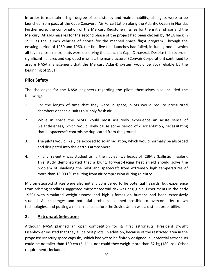order to maintain <sup>a</sup> high degree of consistency and maintainability, all flights were to be from pads at the Cape Canaveral Air Force Station along the Atlantic Ocean in Florida. Furthermore,intain a high degree of consistency and maintainability, all flights were to be<br>i pads at the Cape Canaveral Air Force Station along the Atlantic Ocean in Florida.<br>the combination of the Mercury Redstone missiles for the i It is maintain a high degree of consistency and maintainability, all flights were to be<br>from pads at the Cape Canaveral Air Force Station along the Atlantic Ocean in Florida.<br>Ore, the combination of the Mercury Redstone mi er to maintain a high degree of consistency and maintainability, all flights were to be<br>hed from pads at the Cape Canaveral Air Force Station along the Atlantic Ocean in Florida.<br>Expaired and the manned space flight progra In order to maintain a high degree of consistency and maintainability, all flights were to be to maintain a high degree of consistency and maintainability, all flights were to be<br>d from pads at the Cape Canaveral Air Force Station along the Atlantic Ocean in Florida.<br>nore, the combination of the Mercury Redstone mi In order to mannear a might degree or consistency and manneamasinty, an inghts were to be<br>launched from pads at the Cape Canaveral Air Force Station along the Atlantic Ocean in Florida.<br>Furthermore, the combination of the Furthermore, the combination of the Mercury Redstone missiles for the initial phase and the Failures and the Mercury Redstone missiles for the initial phase and the<br>tlas-D missiles for the second phase of the project had been chosen by NASA back in<br>le launch vehicles of choice for the manned space flight program. Mercury Atlas-D missiles for the second phase of the project had been chosen by NASA back in Mote, the combination of the Mercury Reastone missies for the mittiar phase and the<br>y Atlas-D missiles for the second phase of the project had been chosen by NASA back in<br>s the launch vehicles of choice for the manned spac believer, *Thuas B Hilssh*<br>1959 as the launch vensuing period of 1959<br>all seven chosen astron<br>significant failures and<br>assure NASA managen<br>beginning of 1961. as the launch ve<br>ig period of 1959<br>en chosen astrona<br>cant failures and<br>! NASA managem<br>ing of 1961.<br>**Safetv** significant failures and exploded missiles, the manufacturer (Convair Corporation) continued to Ficant failures and exploded missiles, the manufacturer (Convair Corporation) continued to<br>The NASA management that the Mercury Atlas-D system would be 75% reliable by the<br>ning of 1961.<br>**Challenges for the NASA engineers r** assure NASA management that the Mercury Atlas-D system would be 75% reliable by the beginning of 1961.

#### **Pilot Safety**

1959

Safety<br>
Safety<br>
Ing:<br>
For the length of time that they were in space, pilots would require pressurized or special suits to supply fresh air. 2..Allenges for the NASA engineers regarding the pilots themselves also included the<br>mg:<br>For the length of time that they were in space, pilots would require pressurized<br>chambers or special suits to supply fresh air.<br>While in following: that

- of time that they were in space, pilots would require pressurized<br>cial suits to supply fresh air.<br>the pilots would most assuredly experience an acute sense of<br>which would likely cause some period of disorientation, necessi
- 1. For the length of time that they were in space, pilots we<br>
chambers or special suits to supply fresh air.<br>
2.. While in space the pilots would most assuredly experie<br>
weightlessness, which would likely cause some period The pilots would most assuredly experience an acute sense of<br>weightlessness, which would likely cause some period of disorientation, necessitating<br>that all spacecraft controls be duplicated from the ground.<br>The pilots woul 2.. While in space the pilots would most assume weightlessness, which would likely cause some that all spacecraft controls be duplicated from the pilots would likely be exposed to solar radia and dissipated into the earth'
- weightlessness, which would likely cause some period of disorientation, necessitating<br>that all spacecraft controls be duplicated from the ground.<br>The pilots would likely be exposed to solar radiation, which would normally In the ground.<br>Study study demonstrated that a blunt and a blunt would normally be absorbed<br>issipated into the earth's atmosphere.<br>Study demonstrated that a blunt, forward-facing heat shield should solve the The p
- would likely be exposed to solar radiation, which would normally be absorbed<br>ated into the earth's atmosphere.<br>e-entry was studied using the nuclear warheads of ICBM's (ballistic missiles).<br>y demonstrated that a blunt, for The pilots would likely be exposed to solar radiation, which would norma<br>
and dissipated into the earth's atmosphere.<br>
4. Finally, re-entry was studied using the nuclear warheads of ICBM's (b.<br>
This study demonstrated that entry was studied using the nuclear warheads of ICBM's (ballistic missiles).<br>
So demonstrated that a blunt, forward-facing heat shield should solve the<br>
So initially considered to be potential hazards, but experience<br>
Stri  $\overline{4}$ . Finally, re-entry was studied using the nuclear warheads of ICBM's (ballistic missiles).<br>This study demonstrated that a blunt, forward-facing heat shield should solve the<br>problem of shielding the pilot and spacecraft from studied.more than 10,000 °F resulting from air compression during re-entry.

This study demonstrated that a blunt, forward-facing heat shield should solve the<br>problem of shielding the pilot and spacecraft from extremely high temperatures of<br>more than 10,000 °F resulting from air compression during oblem of shielding the pilot and spacecraft from extremely high temperatures of<br>ore than 10,000 °F resulting from air compression during re-entry.<br>teoroid strikes were also initially considered to be potential hazards, but more than 10,000 °F resulting from air compression during re-entry.<br>Micrometeoroid strikes were also initially considered to be potential hazards, but experience<br>from orbiting satellites suggested micrometeoroid risk was n **Astemant Selection Steady Selection**<br> **Astemant Steady Steady Steady Steady Steady Steady Steady Steady Steady Steady Steady<br>
Astronaut Selections**<br> **Astronaut Selections** 1950s with simulated weightlessness and high g-forces on humans had been extensively In simulated weightlessness and high g-forces on humans had been extensively<br>Il challenges and potential problems seemed possible to overcome by known<br>es, and putting a man in space before the Soviet Union was a distinct p studied. All challenges and potential problems seemed possible to overcome by known challenges and potential problems seemed possible to overcome by known<br>i, and putting a man in space before the Soviet Union was a distinct probability.<br>**Onaut Selections**<br>ASA planned an open competition for its first astr technologies, and putting a man in space before the Soviet Union was a distinct probability.

#### 2. Astronaut Selections

Although NASA planned an open competition for its first astronauts, President Dwight ies, and putting a man in space before the Soviet Union was a distinct probability.<br> **tronaut Selections**<br>
NASA planned an open competition for its first astronauts, President Dwight<br>
per insisted that they all be test pil **Astronaut Selections**<br>ugh NASA planned an open competition for its first astronauts, President Dwight<br>nower insisted that they all be test pilots. In addition, because of the restricted area in the<br>sed Mercury space capsu Eisenhower insisted that they all be test pilots. In addition, because of the restricted area in the proposed Mercury space capsule, which had yet to be finitely designed, all potential astronauts could be no taller than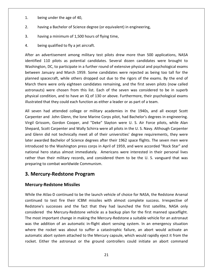- $\frac{1}{2}$  being under the age of 40.
- having a Bachelor of Science degree (or equivalent) in engineering,<br>
2. Thaving a Bachelor of Science degree (or equivalent) in engineering, having a minimum of 1.500 hours of flying time.<br>
1. being under the age of 40,<br>
2. having a minimum of 1.500 hours of flying time. 2. having a Bachelor of Science degree (or equivalent) in engineering,
- 1. being under the age of 40,<br>2. having a Bachelor of Science degree (o<br>3. having a minimum of 1,500 hours of fly<br>4. being qualified to fly a iet aircraft. 3. having a minimum of 1,500 hours of flying time,
- 4. being qualified to fly a jet aircraft.

having a Bachelor of Science degree (or equivalent) in engineering,<br>
having a minimum of 1,500 hours of flying time,<br>
being qualified to fly a jet aircraft.<br>
an advertisement among military test pilots drew more than 500 a Ing a Bachelor of Science degree (or equivalent) in engineering,<br>
ing a minimum of 1,500 hours of flying time,<br>
ng qualified to fly a jet aircraft.<br>
dvertisement among military test pilots drew more than 500 applications, g a minimum of 1,500 hours of flying time,<br>
qualified to fly a jet aircraft.<br>
ertisement among military test pilots drew more than 500 applications, NASA<br>
0 pilots as potential candidates. Several dozen candidates were bro Ing qualified to fly a jet aircraft.<br>
advertisement among military test pilots drew more than 500 applications, NASA<br>
110 pilots as potential candidates. Several dozen candidates were brought to<br>
bon, DC, to participate in eing qualified to fly a jet aircraft.<br>
advertisement among military test pilots drew more than 500 applications, NASA<br>
110 pilots as potential candidates. Several dozen candidates were brought to<br>
ton, DC, to participate i After an advertisement among military test pilots drew more than 500 applications, NASA In advertisement among military test pilots drew more than 500 applications, NASA<br>ed 110 pilots as potential candidates. Several dozen candidates were brought to<br>gton, DC, to participate in a further round of extensive phy identified 110 pilots as potential candidates. Several dozen candidates were brought to Let the seven among mintary test phete area more than 500 applications, these the section of the DC, to participate in a further round of extensive physical and psychological exams usary and March 1959. Some candidates wer Washington, DC, to participate in a further round of extensive physical and psychological exams planned spacecraft, while others dropped out due to the rigors of the exams. By the end of March there were only eighteen candidates remaining, and the first seven pilots (now called astronauts) were chosen from this list. is between January and March 1959. Some candidates were rejected as being toordaned spacecraft, while others dropped out due to the rigors of the exams. By March there were only eighteen candidates remaining, and the first ined spacecraft, while others dropped out due to the rigors of the exams. By the end of<br>ch there were only eighteen candidates remaining, and the first seven pilots (now called<br>onauts) were chosen from this list. Each of t March the March there were only eighteen candidates remaining, and the first seven pilots (now called<br>astronauts) were chosen from this list. Each of the seven was considered to be in superb<br>physical condition, and to have an IQ of auts) were chosen from this list. Each of the seven was considered to be in superb<br>al condition, and to have an IQ of 130 or above. Furthermore, their psychological exams<br>ated that they could each function as either a lead physical condition, and to have an IQ of 130 or above. Furthermore, their psychological exams illustrated that they could each function as either a leader or as part of a team.

Scondition, and to have an IQ of 130 or above. Furthermore, their psychological exams<br>
Schirland Hat they could each function as either a leader or as part of a team.<br>
had attended college or military academies in the 1940 rated that they could each function as either a leader or as part of a team.<br>
even had attended college or military academies in the 1940s, and all except Scott<br>
enter and John Glenn, the lone Marine Corps pilot, had Bache All seven had attended college or military academies in the 1940s, and all except Scott even had attended college or military academies in the 1940s, and all except Scott<br>enter and John Glenn, the lone Marine Corps pilot, had Bachelor's degrees in engineering.<br>Grissom, Gordon Cooper, and "Deke" Slayton were U Carpenter and John Glenn, the lone Marine Corps pilot, had Bachelor's degrees in engineering. the Mashington press corps in the Extraction and Soletical College Corps in the Marine Corps pilot, had Bachelor's degrees in engineering.<br>
Solem, Gordon Cooper, and "Deke" Slayton were U. S. Air Force pilots, while Alan<br> Virgil Grissom, Gordon Cooper, and "Deke" Slayton were U. S. Air Force pilots, while Alan Fand Somi Siem, the fone manne corps phot, had Bacheror's algrees in engineering.<br>
Ssom, Gordon Cooper, and "Deke" Slayton were U. S. Air Force pilots, while Alan<br>
Scott Carpenter and Wally Schirra were all pilots in the U Shepard, Scott Carpenter and Wally Schirra were all pilots in the U.S. Navy. Although Carpenter than their military records, and considered them to be the U.S. Van to be phots, while vanity<br>and, Scott Carpenter and Wally Schirra were all pilots in the U.S. Navy. Although Carpenter<br>enn did not technically meet all of and Glenn did not technically meet all of their universities' degree requirements, they were Shepard, Scott Carpenter and Wally Schirra were and Glenn did not technically meet all of their under awarded Bachelor of Science degrees after that<br>introduced to the Washington press corps in Apricational hero status almo para, scott carpenter and wany schirra were an phots in<br>I Glenn did not technically meet all of their universities<br>r awarded Bachelor of Science degrees after their 1962<br>coduced to the Washington press corps in April of 19 **introduced to the Was** hington press cor<sub>l</sub><br>Imost immediatel<br>ary records, and<br>orldwide Commur<br>**tone Program**<br>Missiles preparing to combat worldwide Communism. ing to combat worldwide Communism.<br> **Ercury-Redstone Program**<br> **ury-Redstone Missiles**<br>
the Atlas-D continued to be the launch vehicle of choice for NASA, the Redstone Arsenal

was the addition of an automatic in-flight abort sensing system. In an emergency situation **The Hendstone Program<br>Redstone Missiles<br>The ideas-Discontinued to be the launch vehicle of choice for NASA, the Redstone Arsenal<br>to test fire their ICBM missiles with almost complete success. Irrespective of 3. Mercu<br>Mercury-<br>While the** *i*<br>continued successes and the fact that they had launched the first satellite, NASA only **Mercury-Redstone Missiles**<br>While the Atlas-D continued to be the launch vehicle of choice for NASA, the Redstone Arsenal<br>continued to test fire their ICBM missiles with almost complete success. Irrespective of<br>Redstone's rcury-Redstone Missiles<br>le the Atlas-D continued to be the launch vehicle of choice for NASA, the Redstone Arsenal<br>inued to test fire their ICBM missiles with almost complete success. Irrespective of<br>isone's successes and While the Atlas-D continued to be the launch vehicle of choice for NASA, the Redstone Arsenal<br>continued to test fire their ICBM missiles with almost complete success. Irrespective of<br>Redstone's successes and the fact that continued to test fire their ICBM missiles with almost complete success. Irrespective of The rights are the rocket was about to suffer a catastrophic failure, an abort would activate on<br>the's successes and the fact that they had launched the first satellite, NASA only<br>red the Mercury-Redstone vehicle as a back Redstone's successes and the fact that they had launched the first satellite, NASA only Example attached to the fact that they had launched the first satellite, NASA only<br>the Mercury-Redstone vehicle as a backup plan for the first manned spaceflight.<br>mportant change in making the Mercury-Redstone a suitable v rocket. Either the astronaut or the ground controllers could initiate an abort command<br>rocket. Either the astronaution of an automatic in-flight abort sensing system. In an emergency situation<br>where the rocket was about to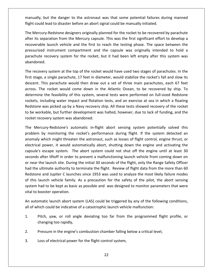but the danger to the astronaut was that some potential failures during manned could lead to disaster an above manually, but the danger to the astronaut was that some potential failures du<br>Fright could lead to disaster before an abort signal could be manually initiated. Mercury-Redstone designers originally planned for the rocket to be recovered by parachute<br>Mercury-Redstone designers originally planned for the rocket to be recovered by parachute its separation from the Mercury capsule. This was that some potential failures during manned<br>could lead to disaster before an abort signal could be manually initiated.<br>Mercury-Redstone designers originally planned for the manually, k flight could lead to disaster before an abort signal could be manually initiated.

after<br>after

It the danger to the astronaut was that some potential failures during manned<br>
and to disaster before an abort signal could be manually initiated.<br>
-Redstone designers originally planned for the rocket to be recovered by p It the danger to the astronaut was that some potential failures during manned<br>
ead to disaster before an abort signal could be manually initiated.<br>
-Redstone designers originally planned for the rocket to be recovered by p lead to disaster before an abort signal could be manually initiated.<br>
ry-Redstone designers originally planned for the rocket to be recovered by parachute<br>
paration from the Mercury capsule. This was the first significant The Mercury-Redstone designers originally planned for the rocket to be recovered by parachute after its separati<br>recoverable laur<br>pressurized inst<br>parachute recov<br>abandoned. r its separation from the Mercury capsule. This was the first significant effort to develop a<br>verable launch vehicle and the first to reach the testing phase. The space between the<br>surized instrument compartment and the ca recc verable launch vehicle and the first to reach the testing phase. The space between the<br>surized instrument compartment and the capsule was originally intended to hold a<br>chute recovery system for the rocket, but it had been pressurized instrument compartment and the capsule was originally intended to hold a parachute recovery system for the rocket, but it had been left empty after this system was abandoned.

ed instrument compartment and the capsule was originally intended to hold a<br>e recovery system for the rocket, but it had been left empty after this system was<br>ed.<br>very system at the top of the rocket would have used two st te recovery system for the rocket, but it had been left empty after this system was<br>ned.<br>bvery system at the top of the rocket would have used two stages of parachutes. In the<br>ge, a single parachute, 17 feet in diameter, w the feasibility of the focket would have used two stages of parachutes. In the a single parachute, 17 feet in diameter, would stabilize the rocket's fall and slow its his parachute would then draw out a set of three main p The recovery system at the top of the rocket would have used two stages of parachutes. In the very system at the top of the rocket would have used two stages of parachutes. In the e, a single parachute, 17 feet in diameter, would stabilize the rocket's fall and slow its This parachute would then draw out a set of t first stage, a single parachute, 17 feet in diameter, would stabilize the rocket's fall and slow its ery system at the tep of the rocket would have used two stages or parachates. In the<br>a single parachute, 17 feet in diameter, would stabilize the rocket's fall and slow its<br>This parachute would then draw out a set of three descent. This parachute would then draw out a set of three main parachutes, each 67 feet be stage, a single paracitiee, 17 Teet in alameter, would stabilize the Tocket's full and sion its<br>scent. This parachute would then draw out a set of three main parachutes, each 67 feet<br>oss. The rocket would come down in t across. The rocket would come down in the Atlantic Ocean, to be recovered by ship. To across. The rocket would come down in t<br>determine the feasibility of this system, severockets, including water impact and flotatio<br>Redstone was picked up by a Navy recovery<br>to be workable, but further development was<br>rocke mine the feasibility of this system, several tests were performed on full-sized Redstone<br>tts, including water impact and flotation tests, and an exercise at sea in which a floating<br>tone was picked up by a Navy recovery shi rockets, including water impact and flotation tests, and an exercise at sea in which a floating ncluding water impact and flotation tests, and an exercise at sea in which a floating<br>was picked up by a Navy recovery ship. All these tests showed recovery of the rocket<br>kable, but further development was halted, however, Redstone was picked up by a Navy recovery ship. All these tests showed recovery of the rocket was picked up by a Navy recovery ship. All these tests showed recovery of the rocket<br>rkable, but further development was halted, however, due to lack of funding, and the<br>covery system was abandoned.<br>cury-Redstone's automat to be wo

kable, but further development was halted, however, due to lack of funding, and the<br>overy system was abandoned.<br>ury-Redstone's automatic in-flight abort sensing system potentially solved this<br>by monitoring the rocket's per rocket recovery system was abandoned.<br>The Mercury-Redstone's automatic in-flight abort sensing system potentially solved this<br>problem by monitoring the rocket's performance during flight. If the system detected an<br>anomaly  $\overline{z}$ rcury-Redstone's automatic in-flight abort sensing system potentially solved this<br>by monitoring the rocket's performance during flight. If the system detected an<br>which might threaten the astronaut, such as losses of flight ornear the launch site. During the initial 30 seconds of the flight, only the Range Safety Officer and pomaly which might threaten the astronaut, such as losses of flight control, engine thrust, or certical power, it would a problem by monitoring the rocket's performance during flight. If the system detected an<br>anomaly which might threaten the astronaut, such as losses of flight control, engine thrust, or The ultimate authority to terminate and activating might. The and system detected and and and the more, it would automatically abort, shutting down the engine and activating the ule's escape system. The abort system could electrical power, it would automatically abort, shutting down the engine and activating the<br>capsule's escape system. The abort system could not shut off the engine until at least 30<br>seconds after liftoff in order to preven capsule's escape system. The abort system could not shut off the engine and decreasing the<br>capsule's escape system. The abort system could not shut off the engine until at least 30<br>seconds after liftoff in order to prevent seconds after liftoff in order to prevent a malfunctioning launch vehicle from coming down on Fadellift off in order to prevent a malfunctioning launch vehicle from coming down on<br>the launch site. During the initial 30 seconds of the flight, only the Range Safety Officer<br>ultimate authority to terminate the flight. or near the launch site. During<br>had the ultimate authority to t<br>Redstone and Jupiter C launch<br>of this launch vehicle family.<br>system had to be kept as basic<br>vital to booster operation. had the ultimate authority to terminate the flight. Review of flight data from the more than 60<br>Redstone and Jupiter C launches since 1953 was used to analyze the most likely failure modes<br>of this launch vehicle family. As dstone and Jupiter C launches since 1953 was used to analyze the most likely<br>this launch vehicle family. As a precaution for the safety of the pilot, the<br>tem had to be kept as basic as possible and was designed to monitor system had to be kept as basic as possible and was designed to monitor parameters that were I had to be kept as basic as possible and was designed to monitor parameters that were<br>
phooster operation.<br>
phooster operation.<br>
phich could be indicative of a catastrophic launch vehicle malfunction:<br>
Pitch, vaw, or roll vital to booster operation.

vital to booster operation.<br>An automatic launch abort syste<br>all of which could be indicative of<br>1. Pitch, yaw, or roll angle<br>changing too rapidly. An automatic launch abort system (LAS) could be triggered by any of the following c<br>all of which could be indicative of a catastrophic launch vehicle malfunction:<br>1. Pitch, yaw, or roll angle deviating too far from the pro

- all of which could be indicative of a catastrophic launch vehicle malfunction:<br>
1. Pitch, yaw, or roll angle deviating too far from the programmed flight profile, or<br>
changing too rapidly,<br>
2. Pressure in the engine's comb
- 
- 3.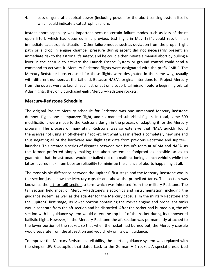Loss of general electrical power (including power for the abort sensing system itself). Loss of general electrical power (including power for the abort sensing system itself), Abort capability was important because certain failure modes such as loss of thrust<br>abort capability was important because certain failure modes such as loss of thrust Loss of general electrical power (including power for the abort sensing system itself),<br>which could indicate a catastrophic failure.<br>t abort capability was important because certain failure modes such as loss of thrust<br>lif  $\overline{4}$ . which could indicate a catastrophic failure.

of general electrical power (including power for the abort sensing system itself),<br>ch could indicate a catastrophic failure.<br>ort capability was important because certain failure modes such as loss of thrust<br>f, which had oc Loss of general electrical power (including power for the abort sensing system itself),<br>which could indicate a catastrophic failure.<br>t abort capability was important because certain failure modes such as loss of thrust<br>lif ch could indicate a catastrophic failure.<br>
ort capability was important because certain failure modes such as loss of thrust<br>
f, which had occurred in a previous test flight in May 1954, could result in an<br>
catastrophic si Instant abort capability was important because certain failure modes such as loss of thrust In the capability was important because certain failure modes such as loss of thrust<br>liftoff, which had occurred in a previous test flight in May 1954, could result in an<br>diate catastrophic situation. Other failure modes s upon liftoff, which had occurred in a previous test flight in May 1954, could result in an The statistical control are in a previous test flight in May 1954, could result in an catastrophic situation. Other failure modes such as deviation from the proper flight drop in engine chamber pressure during ascent did n immediate catastrophic situation. Other failure modes such as deviation from the proper flight phic situation. Other failure modes such as deviation from the proper flight<br>engine chamber pressure during ascent did not necessarily present an<br>ne astronaut's safety, and he could either initiate a manual abort by pullin path or a drop in engine chamber pressure during ascent did not necessarily present an or a drop in engine chamber pressure during ascent as deviation nom the proper mg. The oral drop in engine chamber pressure during ascent did not necessarily present an ediate risk to the astronaut's safety, and he could e immediate risk to the astronaut's safety, and he could either initiate a manual abort by pulling a of a drop in engine enamiser pressure daring dseem and not necessainly present an<br>diate risk to the astronaut's safety, and he could either initiate a manual abort by pulling a<br>in the capsule to activate the Launch Escape Hower in the capsule to activate the Launch Escape System or ground command to activate it. Mercury-Redstone flights were designated with Mercury-Redstone boosters used for these flights were designated in with different n o activate the Launc<br>t. Mercury-Redstone<br>bsters used for these<br>s at the tail end. Beca<br>o launch each astrona<br>purchased eight Merc<br>**Schedule** with different numbers at the tail end. Because NASA's original intentions for Project Mercury different numbers at the tail end. Because NASA's original intentions for Project Mercury<br>the outset were to launch each astronaut on a suborbital mission before beginning orbital<br>flights, they only purchased eight Mercury from the outset were to launch each astronaut on a suborbital mission before beginning orbital outset were to launch each astronaut on a suborbital mission before beginning orbital<br>
Its, they only purchased eight Mercury-Redstone rockets.<br> **7-Redstone Schedule**<br>
In Project Mercury schedule for Redstone was one unman Atlas flights, they only purchased eight Mercury-Redstone rockets.

#### **Mercury-Redstone Schedule**

upon<br>Upon

ney only purchased eight Mercury-Redstone rockets.<br> **dstone Schedule**<br>
University of Redstone was one unmanned Mercury-Redstone<br>
Solone chimpanzee flight, and six manned suborbital flights. In total, some 800<br>
Universe mad **Redstone Schedule**<br>al Project Mercury schedule for Redstone was one unmanned Mercury-Redstone<br>light, one chimpanzee flight, and six manned suborbital flights. In total, some 800<br>ons were made to the Redstone design in the Redstone Schedule<br>
I Project Mercury schedule for Redstone was one unmanned Mercury-Redstone<br>
sht, one chimpanzee flight, and six manned suborbital flights. In total, some 800<br>
is were made to the Redstone design in the pr The original Project Mercury schedule for Redstone was one unmanned Mercury-Redstone priginal Project Mercury schedule for Redstone was one unmanned Mercury-Redstone<br>my flight, one chimpanzee flight, and six manned suborbital flights. In total, some 800<br>fications were made to the Redstone design in the pro dummy flight, one chimpanzee flight, and six manned suborbital flights. In total, some 800 This created a series of disputes between Von Braun's team at ABMA and NASA, as<br>This created a series of man-rating Redstone was so extensive that NASA quickly found<br>a snot using an off-the-shelf rocket, but what was in ef modifications were made to the Redstone design in the process of adapting it for the Mercury ifications were made to the Redstone design in the process of adapting it for the Mercury<br>ram. The process of man-rating Redstone was so extensive that NASA quickly found<br>selves not using an off-the-shelf rocket, but what program. The process of man-rating Redstone was so extensive that NASA quickly found The process of man-rating Redstone was so extensive that NASA quickly found<br>s not using an off-the-shelf rocket, but what was in effect a completely new one and<br>ing all of the hardware and flight test data from previous Re program. The process of manifolding necestone was so extensive that mucric qurently round<br>themselves not using an off-the-shelf rocket, but what was in effect a completely new one and<br>thus negating all of the hardware and negating all of the hardware and flight test data from previous Redstone and Jupiter-C<br>ches. This created a series of disputes between Von Braun's team at ABMA and NASA, as<br>former preferred simply making the abort system a launches. This created a series of disputes between Von Braun's team at ABMA and NASA, as ches. This created a series of disputes between Von Braun's team at ABMA and NASA, as<br>former preferred simply making the abort system as foolproof as possible so as to<br>cantee that the astronaut would be bailed out of a mal the former preferred simply making the abort system as foolproof as possible so as to mer preferred simply making the abort system as foolproof as possible so as to<br>tee that the astronaut would be bailed out of a malfunctioning launch vehicle, while the<br>avored maximum booster reliability to minimize the cha guarantee that the astronaut would be bailed out of a malfunctioning launch vehicle, while the latter favored maximum booster reliability to minimize the chance of aborts happening at all.

ballistic flight. However, in the Mercury-Redstone the aft section was permanently attached to the lower portion of the rocket, so that when the rocket had burned out, the Mercury capsule rantee that the astronaut would be bailed out of a malfunctioning launch vehicle, while the<br>er favored maximum booster reliability to minimize the chance of aborts happening at all.<br>most visible difference between the Jupi ored maximum booster reliability to minimize the chance of aborts happening at all.<br>
visible difference between the Jupiter-C first stage and the Mercury-Redstone was in<br>
in just below the Mercury capsule and above the pro The most visible difference between the Jupiter-C first stage and the Mercury-Redstone was in most visible difference between the Jupiter-C first stage and the Mercury-Redstone was in<br>section just below the Mercury capsule and above the propellant tanks. This section was<br>wn as the <u>aft (or tail) section</u>, a term wh the section just below the Mercury capsule and above the propellant tanks. This section was separate from the Mercury capsule and above the propellant tanks. This section was as the <u>aft (or tail) section</u>, a term which was inherited from the military Redstone. The trion held most of Mercury-Redstone's electronic known as the aft (or tail) section, a term which was inherited from the military Redstone. The We have the merical, a term which was inherited from the military Redstone. The<br>ion held most of Mercury-Redstone's electronics and instrumentation, including the<br>e system, as well as the adapter for the Mercury capsule. I tail section held most of Mercury-Redstone's electronics and instrumentation, including the flight. However, in the Mercury-Redstone the aft section and instrumentation, including the e system, as well as the adapter for the Mercury capsule. In the military Redstone and ter-C first stage, its lower portion contai guidance system, as well as the adapter for the Mercury capsule. In the military Redstone and Section netal most of merically necastones ancearbonds and mistramemeters, medantig the lance system, as well as the adapter for the Mercury capsule. In the military Redstone and Jupiter-C first stage, its lower portion co the Jupiter-C first stage, its lower portion containing the rocket engine and propellant tanks senance system, as went as the atapter for the mericar, supposed in the film<br>the Jupiter-C first stage, its lower portion containing the rocket engine an<br>would separate from the aft section and be discarded. After the rock uld separate from the aft section and be discarded. After the rocket had burned out, the aft<br>tion with its guidance system would direct the top half of the rocket during its unpowered<br>listic flight. However, in the Mercury sec

would separate from the aft section and would rely on its own guidance.<br>To improve the Mercury-Redstone's reliability, the inertial guidance system was replaced with<br>the simpler LEV-3 autopilot that dated back to the Germa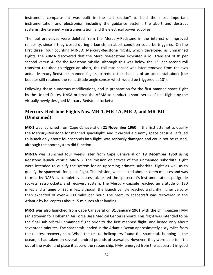compartment was built in the "aft section" to hold the most important and the mand of the mattem controller the metal contract the system of the metal important and electronics, including the guidance system, the abort and destruct instrument compartment was built in the "aft section" to hold the<br>instrumentation and electronics, including the guidance system, the abor<br>systems the telemetry instrumentation and the electrical power supplies. ument compartment was built in the "aft section" to hold the most important<br>umentation and electronics, including the guidance system, the abort and destruct<br>ms, the telemetry instrumentation, and the electrical power supp is compartment was built in the "aft section" to hold the most important<br>ation and electronics, including the guidance system, the abort and destruct<br>ne telemetry instrumentation, and the electrical power supplies.<br>Fire-va inst instrumentation and electronics, including the guidance system, the abort and destruct systems, the telemetry instrumentation, and the electrical power supplies.

ument compartment was built in the "aft section" to hold the most important<br>umentation and electronics, including the guidance system, the abort and destruct<br>ms, the telemetry instrumentation, and the electrical power supp entation and electronics, including the guidance system, the abort and destruct<br>i, the telemetry instrumentation, and the electrical power supplies.<br>Let pre-valves were deleted from the Mercury-Redstone in the interest of , the telemetry instrumentation, and the electrical power supplies.<br>
I pre-valves were deleted from the Mercury-Redstone in the interest of improved<br>
y, since if they closed during a launch, an abort condition could be tr The fuel pre-valves were deleted from the Mercury-Redstone in the interest of improved pre-valves were deleted from the Mercury-Redstone in the interest of improved<br>since if they closed during a launch, an abort condition could be triggered. On the<br>e (four counting MR-BD) Mercury-Redstone flights, which deve reliability, since if they closed during a launch, an abort condition could be triggered. On the The tances were defected from the mercury-redstone in the interest of improved<br>ity, since if they closed during a launch, an abort condition could be triggered. On the<br>ree (four counting MR-BD) Mercury-Redstone flights, w first three (four counting MR-BD) Mercury-Redstone flights, which developed as unmanned First three (four counting MR-BD) Mercury-Redstone flights, which developed as unn flights, the ABMA discovered that the Mercury-Redstone exhibited a roll transient of second versus 4° for the Redstone missile. Although th EXEMA discovered that the Mercury-Redstone exhibited a roll transient of 8° per<br>rsus 4° for the Redstone missile. Although this was below the 12° per second roll<br>required to trigger an abort, the roll rate sensor was later byond versus 4° for the Redstone missile. Although this was below the 12° per second roll<br>nsient required to trigger an abort, the roll rate sensor was later removed from the two<br>ual Mercury-Redstone manned flights to reduce transient required to trigger an abort, the roll rate sensor was later removed from the two I required to trigger an abort, the roll rate ser<br>Mercury-Redstone manned flights to reduce the<br>still retained the roll attitude angle sensor which<br>g these numerous modifications, and in prepar<br>inited States, NASA ordered

by th was launched from Cape Canaveral on 21 November 1960 in the first attempt to qualify the lynewly designed Mercury-Redstone rockets:<br>
Was launched **Flights Nos. MR-1, MR-1A, MR-2, and MR-BD**<br>
Mas launched from Cape Canavera virtually newly designed Mercury-Redstone rockets:

#### **Mercury-Redstone Flights Nos. MR-1, MR-1A, MR-2, and MR-BD (Unmanned)**

ually newly designed Mercury-Redstone rockets:<br>**rcury-Redstone Flights Nos. MR-1, MR-1A, MR-2, and MR-BD**<br>**manned)**<br>1 was launched from Cape Canaveral on 21 November 1960 in the first attempt to qualify<br>Mercury-Redstone fo Mercury-Redstone Flights Nos. MR-1, MR-1A, MR-2, and MR-BD<br>(Unmanned)<br>MR-1 was launched from Cape Canaveral on 21 November 1960 in the first attempt to qualify<br>the Mercury-Redstone for manned spaceflight, and it carried a **Mercury-Redstone Flights Nos. MR-**<br>**(Unmanned)**<br>**MR-1** was launched from Cape Canaveral of<br>the Mercury-Redstone for manned spaceflig<br>to launch only about four seconds into fligh<br>although the abort system did function. as launched from Cape Canaveral on 21 November 1960 in the first attempt to qualify<br>cury-Redstone for manned spaceflight, and it carried a dummy space capsule. It failed<br>h only about four seconds into flight, was seriously  $MR-1$  was launched from Cape Canaveral on 21 November 1960 in the first attempt to qualify<br>ry-Redstone for manned spaceflight, and it carried a dummy space capsule. It failed<br>only about four seconds into flight, was seriously damage the Mercury-Redstone for manned spaceflight, and it carried a dummy space capsule. It failed intercury-Redstone for manned spaceflight, and it carried a dummy space capsule. It failed<br>nch only about four seconds into flight, was seriously damaged and could not be reused,<br>igh the abort system did function.<br>A was la to launch only about four seconds into flight, was seriously damaged and could not be reused, although the abort system did function.

the spacecraft for space flight, was seriously damaged and could not be reused,<br>th the abort system did function.<br>was launched four weeks later from Cape Canaveral on 19 December 1960 using<br>ne launch vehicle MRLV-3. The mi hy the abort system did function.<br>
was launched four weeks later from Cape Canaveral on 19 December 1960 using<br>
e launch vehicle MRLV-3. The mission objectives of this unmanned suborbital flight<br>
tended to qualify the syst MR-1A was launched four weeks later from Cape Canaveral on 19 December 1960 using was launched four weeks later from Cape Canaveral on 19 December 1960 using<br>
Le launch vehicle MRLV-3. The mission objectives of this unmanned suborbital flight<br>
ended to qualify the system for an upcoming primate suborbit Redstone launch vehicle MRLV-3. The mission objectives of this unmanned suborbital flight The launch vehicle MRLV-3. The mission objectives of this unmanned suborbital flight<br>intended to qualify the system for an upcoming primate suborbital flight as well as to<br>y the spacecraft for space flight. The mission, wh than expected of over 4,900 miles per hour. The Mercury spacecraft was recovered in the expected of over 4,900 miles per hour. The Mercury spacecraft was recovered in the expected of over 4,900 miles per hour. The Mercury mere meenada to quam, the system for an apsoluting prequalify the spacecraft for space flight. The mission, which latermed by NASA as completely successful, tested the spaceckets, retrorockets, and recovery system. The Mer d by NASA as completely successful, tested the spacecraft's instrumentation, posigrade<br>s, retrorockets, and recovery system. The Mercury capsule reached an altitude of 130<br>and a range of 235 miles, although the launch vehi rockets, retrorockets, and recovery system. The Mercury capsule reached an altitude of 130 Exets, retrorockets, and recovery system. The Mercury capsule reached an altitude of 130<br>
and a range of 235 miles, although the launch vehicle reached a slightly higher velocity<br>
in expected of over 4,900 miles per hour. miles and a range of 235 miles, although the launch vehicle reached a slightly higher velocity than expected of over 4,900 miles per hour. The Mercury spacecraft was recovered in the Atlantic by helicopters about 15 minutes after landing.

the final sub-orbital unmanned flight prior to the first manned flight, and lasted only about Stand a range of 235 miles, although the launch vehicle reached a slightly higher velocity<br>
i expected of over 4,900 miles per hour. The Mercury spacecraft was recovered in the<br>
ntic by helicopters about 15 minutes after l ted of over 4,900 miles per hour. The Mercury spacecraft was recovered in the<br>helicopters about 15 minutes after landing.<br>also launched from Cape Canaveral on **31 January 1961** with the chimpanzee HAM<br>m for Holloman Air Fo ntic by helicopters about 15 minutes after landing.<br> **2 was** also launched from Cape Canaveral on **31 January 1961** with the chimpanzee HAM<br>
acronym for Holloman Air Force Base Medical Center) aboard. This flight was inten MR-2 was also launched from Cape Canaveral on 31 January 1961 with the chimpanzee HAM **Example 15 Solution Cape Canaveral on 31 January 1961** with the chimpanzee HAM<br>Dinym for Holloman Air Force Base Medical Center) aboard. This flight was intended to be<br>al sub-orbital unmanned flight prior to the first man (an acronym for Holloman Air Force Base Medical Center) aboard. This flight was intended to be and a sub-administration of the strategies with the emmiplement in an acronym for Holloman Air Force Base Medical Center) aboard. This flight was intended to be final sub-orbital unmanned flight prior to the first manned f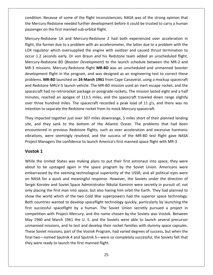Because of some of the flight inconsistencies, NASA was of the strong opinion that Mercury Redstone needed further development before it could be trusted to carry a human<br>Mercury Redstone needed further development before it could be trusted to carry a human on the first manned sub-orbital flights manned sub-orbital flight.<br>The Mercury Redstone needed further development<br>the first manned sub-orbital flight. of some of the flight inconsistencies, NASA was of the strong opinion that<br>ne needed further development before it could be trusted to carry a human<br>st manned sub-orbital flight.<br>1A and Mercury-Redstone 2 had both experien ion. Because of some of the flight inconsistencies, NASA was of the strong opinion that<br>ercury Redstone needed further development before it could be trusted to carry a human<br>nger on the first manned sub-orbital flight.<br>ry con the Mercury Redstone needed further development before it could be trusted to carry a human

ition. Because of some of the flight inconsistencies, NASA was of the strong opinion that<br>Mercury Redstone needed further development before it could be trusted to carry a human<br>enger on the first manned sub-orbital flight the Mercury Redstone needed further development before it could be trusted to carry a human<br>passenger on the first manned sub-orbital flight.<br>Mercury-Redstone 1A and Mercury-Redstone 2 had both experienced over acceleratio The and Mercury-Redstone 2 had both experienced over acceleration in<br>
1A and Mercury-Redstone 2 had both experienced over acceleration in<br>
1e to a problem with an accelerometer, the latter due to a problem with the<br>
1e h o Mercury-Redstone 1A and Mercury-Redstone 2 had both experienced over acceleration in ry-Redstone 1A and Mercury-Redstone 2 had both experienced over acceleration in<br>the former due to a problem with an accelerometer, the latter due to a problem with the<br>gulator which oversupplied the engine with oxidizer an flight, the former due to a problem with an accelerometer, the latter due to a problem with the flight in the program, and was designed as an engineering test to correct these flight in the which oversupplied the engine with oxidizer and caused thrust termination to onds early. Dr von Braun and his Redstone team adde LOX regulator which oversupplied the engine with oxidizer and caused thrust termination to Martin Control of the engine with oxidizer and caused thrust termination to seconds early. Dr von Braun and his Redstone team added an unscheduled flight, edstone BD (*Booster Development*) to the launch schedule between t occur 1.2 seconds early. Dr von Braun and his Redstone team added an unscheduled flight, reganator which oversupplied the engine with oxidater and caused thrust termination to<br>the Taury-Redstone BD (*Booster Development*) to the launch schedule between the MR-2 and<br>3 missions. Mercury-Redstone flight **MR-BD** w Mercury-Redstone BD (Booster Development) to the launch schedule between the MR-2 and edstone BD (*Booster Development*) to the launch schedule between the MR-2 and<br>ions. Mercury-Redstone flight **MR-BD** was an unscheduled and unmanned booster<br>nnt flight in the program, and was designed as an engineering tes MR-3 missions. Mercury-Redstone flight MR-BD was an unscheduled and unmanned booster reastone *BB* (*Beoster Bevelepment*) to the lattion scheduled and unmanned booster<br>sions. Mercury-Redstone flight **MR-BD** was an unscheduled and unmanned booster<br>ent flight in the program, and was designed as an engineeri development flight in the program, and was designed as an engineering test to correct these three hundred miles. The spacecraft recorded a peak load of 11 *a*'s, and there was no<br>three hundred on 24 March 1961 from Cape Canaveral, using a mockup spacecraft<br>redstone MRLV-5 launch vehicle. The MR-BD mission used an problems. MR-BD launched on 24 March 1961 from Cape Canaveral, using a mockup spacecraft problems. MR-BD launched on 24 March 1961 from Cape Canaveral, using a moc<br>and Redstone MRLV-5 launch vehicle. The MR-BD mission used an inert escape r<br>spacecraft had no retrorocket package or posigrade rockets. The missio inded together iust over 307 miles downrange. 5 miles short of their planned landing their state dight and a half<br>tes, reached an apogee of 113.5 miles, and the spacecraft traveled down range slightly<br>three hundred miles. spac craft had no retrorocket package or posigrade rockets. The mission lasted eight and a half<br>tes, reached an apogee of 113.5 miles, and the spacecraft traveled down range slightly<br>three hundred miles. The spacecraft recorded minutes, rea hed an apogee of 113.5 miles, and the spacecraft traveled down range slightly<br>undred miles. The spacecraft recorded a peak load of 11 g's, and there was no<br>eparate the Redstone rocket from its mock Mercury spacecraft.<br>d to over three intention to separate the Redstone rocket from its mock Mercury spacecraft.

hundred miles. The spacecraft recorded a peak load of 11 g's, and there was no<br>separate the Redstone rocket from its mock Mercury spacecraft.<br>ted together just over 307 miles downrange, 5 miles short of their planned landi They impacted together just over 307 miles downrange, 5 miles short of their planned landing<br>site, and they sank to the bottom of the Atlantic Ocean. The problems that had been Fracted toget<br> **1** they sank<br>
red in prev<br>
s, were see<br>
Managers the<br> **1** encountered in previous Redstone flights, such as over acceleration and excessive harmonic the United States was making plans to put their first astronaut into space, they were the confidence to launch America's first manned space flight with MR-3<br> **k 1**<br>
the United States was making plans to put their first ast vibrations, were seemingly resolved, and the success of the MR-BD test flight gave NASA<br>Project Managers the confidence to launch America's first manned space flight with MR-3<br>**Vostok 1**<br>While the United States was making Project Managers the confidence to launch America's first manned space flight with MR-3

#### Vostok 1

May 1960 and March 1961 the U.S. and the Soviets were able to launch several precursor unmanned missions, and to test and develop their rocket families with dummy space capsules. gers the confidence to launch America's first manned space flight with MR-3<br>ited States was making plans to put their first astronaut into space, they were<br>upstaged again in the space program by the Soviet Union. Americans **Stok 1**<br>ile the United States was making plans to put their first astronaut into space, they were<br>ut to be upstaged again in the space program by the Soviet Union. Americans were<br>barrassed by the seeming technological sup K 1<br>the United States was making plans to put their first astronaut into space, they were<br>to be upstaged again in the space program by the Soviet Union. Americans were<br>rassed by the seeming technological superiority of the While the United States was making plans to put their first astronaut into space, they were e the United States was making plans to put their first astronaut into space, they were<br>t to be upstaged again in the space program by the Soviet Union. Americans were<br>arrassed by the seeming technological superiority of t about to be upstaged again in the space program by the Soviet Union. Americans were The the world which of the two Cold War superpowers had the superior space, they were<br>tembarrassed by the seeming technological superiority of the USSR, and all political eyes were<br>on NASA for a quick and meaningful respon rrassed by the seeming technological superiority of the USSR, and all political eyes were<br>ASA for a quick and meaningful response. However, the Soviets under the direction of<br>i Korolev and Soviet Space Administrator Nikola embarrassed by the seeming technological superiority of the USSR, and all political eyes were on NASA for a quick and meaningful response. However, the Soviets under the direction of successful spaceflight by a human. The Soviet Union secretly pursued a project in<br>successful space Administrator Nikolai Kaminin were secretly in pursuit of, not<br>placing the first man into space, but also having him orbit Sergei Korolev and Soviet Space Administrator Nikolai Kaminin were secretly in pursuit of, not a quick and meaningtar response. However, the soviets ander the ancettori of<br>the first man into space, but also having him orbit the Earth. They had planned to<br>orld which of the two Cold War superpowers had the superior sp only placing the first man into space, but also having him orbit the Earth. They had planned to 1960 and March 1961 the U. S. and the Soviets were able to launch several precursor.<br>
1960 and March 1961 the U. S. and the Soviets were able to launch several precursor<br>
1960 and March 1961 the U. S. and the Soviets were show the world which of the two Cold War superpowers had the superior space technology. Show the world which of the two Cold War superpowers had the superior space technology.<br>Both countries wanted to develop spaceflight technology quickly, particularly by launching the<br>first successful spaceflight by a human Soutries wanted to develop spaceflight technology quickly, particularly by launching the<br>uccessful spaceflight by a human. The Soviet Union secretly pursued a project in<br>tition with Project Mercury, and the name chosen by First successful spaceflight by a human. The Soviet Union secretly pursued a project in<br>competition with Project Mercury, and the name chosen by the Soviets was Vostok. Between<br>May 1960 and March 1961 the U. S. and the Sov they a numant the securement of the manned competition with Project Mercury, and the name changed May 1960 and March 1961 the U.S. and the Soviet unmanned missions, and to test and develop their refliese Soviet missions, p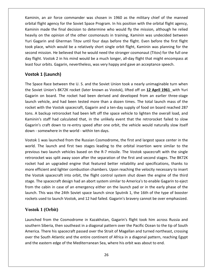an air force commander was chosen in <sup>1960</sup> as the military chief of the manned Fright and the Soviet agency for the Soviet Spaninin, an air force commander was chosen in 1960 as the military chief of the manned<br>The Soviet Space Program. In his position with the orbital flight agency, Space Space Prog an air force commander was chosen in 1960 as the military chief of the manned<br>ght agency for the Soviet Space Program. In his position with the orbital flight agency,<br>made the final decision to determine who would fly the on the original and in 1960 as the military chief of the manned<br>
Solight agency for the Soviet Space Program. In his position with the orbital flight agency,<br>
The other final decision to determine who would fly the mission inin, an air force commander was chosen in 1960 as the military chief of the manned<br>al flight agency for the Soviet Space Program. In his position with the orbital flight agency,<br>inin made the final decision to determine w Kaminin, an air force commander was chosen in 1960 as the military chief of the manned nin, an air force commander was chosen in 1960 as the military chief of the manned<br>al flight agency for the Soviet Space Program. In his position with the orbital flight agency,<br>nin made the final decision to determine who orbital flight agency for the Soviet Space Program. In his position with the orbital flight agency, mission. He believed that he would need the stronger cosmonaut (Titov) for the full one manned in that he final decision to determine who would fly the mission, although he relied on the opinion of the other cosmonauts in Kaminin made the final decision to determine who would fly the mission, although he relied fluit might agency for the sonce space rrogram in this position that the state might agency,<br>inin made the final decision to determine who would fly the mission, although he relied<br>rily on the opinion of the other cosmonau Marinim made the final decision to decerning who would hy the mission, antiodgin to the heavily on the opinion of the other cosmonauts in training, Kaminin was undecided between Yuri Gagarin and Gherman Titov until four da In the opinion of the<br>arin and Gherman<br>te, which would be<br>nission. He believed<br>I. Vostok 2 in his m<br>r orbits. Gagarin, ne<br>**1 (Launch)** second mission. He believed that he would need the stronger cosmonaut (Titov) for the full one nd mission. He believed that he would need the stronger cosmonaut (Titov) for the full one<br>flight. Vostok 2 in his mind would be a much longer, all-day flight that might encompass at<br>four orbits. Gagarin, nevertheless, was day flight. Vostok 2 in his mind would be a much longer, all-day flight that might encompass at Flight. Vostok 2 in his mind would be a much longer, all-day flight that might encompass at<br>
t four orbits. Gagarin, nevertheless, was very happy and gave an acceptance speech.<br> **1 (Launch)**<br>
Space Race between the U. S. a least four orbits. Gagarin, nevertheless, was very happy and gave an acceptance speech.

#### Vostok 1 (Launch)

Yuri

r orbits. Gagarin, nevertheless, was very happy and gave an acceptance speech.<br> **1 (Launch)**<br>
ie Race between the U. S. and the Soviet Union took a nearly unimaginable turn when<br>
iet Union's 8K72K rocket (later known as Vo **c 1 (Launch)**<br>ice Race between the U. S. and the Soviet Union took a nearly unimaginable turn when<br>iet Union's 8K72K rocket (later known as Vostok), lifted off on <u>12 April 1961</u> with Yuri<br>i on board. The rocket had been **k 1 (Launch)**<br>ace Race between the U. S. and the Soviet Union took a nearly unimaginable turn when<br>viet Union's 8K72K rocket (later known as Vostok), lifted off on <u>12 April 1961</u> with Yuri<br>n on board. The rocket had been The Space Race between the U. S. and the Soviet Union took a nearly unimaginable turn when<br>the Soviet Union's 8K72K rocket (later known as Vostok), lifted off on <u>12 April 1961</u> with Yuri<br>Gagarin on board. The rocket had b the Soviet Union's 8K72K rocket (later known as Vostok), lifted off on 12 April 1961 with Yuri State School and the solet of short come a healty diming mask can when<br>
Union's 8K72K rocket (later known as Vostok), lifted off on **12 April 1961** with Yuri<br>
n board. The rocket had been derived and developed from an earl Gagarin on board. The rocket had been derived and developed from an earlier three-stage mold of the rocket had been derived and developed from an earlier three-stage<br>hicle, and had been tested more than a dozen times. The total launch mass of the<br>h the Vostok spacecraft, Gagarin and a ten-day supply of food o launch vehicle, and had been tested more than a dozen times. The total launch mass of the rocket with the Vostok spacecraft, Gagarin and a ten-day supply of food on board reached 287 with the Vostok spacecraft, Gagarin and a ten-day supply of food on board reached 287<br>backup retrorocket had been left off the space vehicle to lighten the overall load, and<br>i's staff had calculated that, in the unlikely e tons. A backup retrorocket had been left off the space vehicle to lighten the overall load, and backup retrorocket had been left off the space vehicle to lighten the overall load, and<br>"'s staff had calculated that, in the unlikely event that the retrorocket failed to slow<br>"'s craft down to re-entry speed after one or Kaminin's staff had calculated that, in the unlikely event that the retrorocket failed to slow is staff had calculated that, in the unlikely event that the retrorocket failed to slow<br>craft down to re-entry speed after one orbit, the vehicle would naturally slow itself<br>mewhere in the world - within ten days.<br>was laun Gagarin's craft down to re-entry speed after one orbit, the vehicle would naturally slow itself down - somewhere in the world - within ten days.

aft down to re-entry speed after one orbit, the vehicle would naturally slow itself<br>ewhere in the world - within ten days.<br>Is launched from the Russian Cosmodrome, the first and largest space center in the<br>launch and first somewhere in the world - within ten days.<br>
1 was launched from the Russian Cosmodrome, the first and largest space center in the<br>
The launch and first two stages leading to the orbital insertion were similar to the<br>
1 is t Vostok 1 was launched from the Russian Cosmodrome, the first and largest space center in the k 1 was launched from the Russian Cosmodrome, the first and largest space center in the<br>
The launch and first two stages leading to the orbital insertion were similar to the<br>
ous two launch vehicles based on the R-7 missil the set I has addited from the hassalt esshed one, the first and largest space enter in the did. The launch and first two stages leading to the orbital insertion were similar to the rious two launch vehicles based on the R-7 missi wond<br>. The launch and linet two stages leading to the orbital insertion were similar to the<br>us two launch vehicles based on the R-7 missile. The Vostok spacecraft with the single<br>ocket was split away soon after the separation of previous two launch vehicles based on the R-7 missile. The Vostok spacecraft with the single retrorocket was split away soon after the separation of the first and second stages. The BK72K Focket was split away soon after the separation of the first and second stages. The BK72K<br>t had an upgraded engine that featured better reliability and specifications, thanks to<br>efficient and lighter combustion chambers. U  $\frac{1}{1}$ The 24th Soviet space launch since Specification of the the second sugges. The BN 2K<br>This was the 24th Soviet space launch since Space is a space of the third<br>tok spacecraft into orbit, the flight control system shut down rocket In the space of the flight chat reaters setter reliability and specifications), then is deficient and lighter combustion chambers. Upon reaching the velocity necessary to insert tok spacecraft into orbit, the flight contro from the abin in case of an emergency either on the launch pad or in the early phase of the<br>is was the 24th Soviet space launch since Sputnik 1, the 16th of the type of booster<br>ed to launch Vostok, and 12 had failed. Gagarin's brav launch. This was the 24th Soviet space launch since Sputnik 1, the 16th of the type of booster is was the 24th Soviet space launch since Sputnik 1, the 16th of the type of booster<br>sed to launch Vostok, and 12 had failed. Gagarin's bravery cannot be over emphasized.<br>1 (**Orbit**)<br>from the Cosmodrome in Kazakhstan, Gaga rockets used to launch Vostok, and 12 had failed. Gagarin's bravery cannot be over emphasized.

## **Vostok 1** (Orbit)

southern Siberia, then southeast in a diagonal pattern over the Pacific Ocean to the tip of South sed to launch Vostok, and 12 had failed. Gagarin's bravery cannot be over emphasized.<br>
1 (Orbit)<br>
from the Cosmodrome in Kazakhstan, Gagarin's flight took him across Russia and<br>
Siberia, then southeast in a diagonal patter the South Atlantic and the entire continent of Africa in a diagonal pattern over the South Atlantic and the entire continent of Africa in a diagonal pattern, reaching the South Fica. There his spacecraft passed over the St tok I (Orbit)<br>
nched from the Cosmodrome in Kazakhstan, Gagarin's flight took him across Ru<br>
hern Siberia, then southeast in a diagonal pattern over the Pacific Ocean to the tip<br>
rica. There his spacecraft passed over the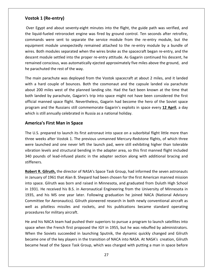# **1 (Re-entry)** Vostok 1 (Re-entry)

Egypt and about seventy-eight minutes into the flight, the guide path was verified, and  $\frac{1}{2}$ **Vostok 1 (Re-entry)**<br>Over Egypt and about seventy-eight minutes into the flight, the guide path was verified, and<br>the liquid-fueled retrorocket engine was fired by ground control. Ten seconds after retrofire. Re-entry)<br>and about seventy-eight minutes into the flight, the guide path was verified, and<br>reled retrorocket engine was fired by ground control. Ten seconds after retrofire,<br>were sent to separate the service module from t Re-entry)<br>and about seventy-eight minutes into the flight, the guide path was verified, and<br>ueled retrorocket engine was fired by ground control. Ten seconds after retrofire,<br>were sent to separate the service module from t Egypt and about seventy-eight minutes into the flight, the guide path was verified, and<br>uid-fueled retrorocket engine was fired by ground control. Ten seconds after retrofire,<br>ands were sent to separate the service module Over Egypt and about seventy-eight minutes into the flight, the guide path was verified, and ypt and about seventy-eight minutes into the flight, the guide path was verified, and<br>d-fueled retrorocket engine was fired by ground control. Ten seconds after retrofire,<br>ds were sent to separate the service module from t the liquid-fueled retrorocket engine was fired by ground control. Ten seconds after retrofire, conscious, was automatically ejected approximately five miles above the seculios after retrofire,<br>s were sent to separate the service module from the re-entry module, but the<br>t module unexpectedly remained attached to the commands were sent to separate the service module from the re-entry module, but the end raches rendsoked engine in<br>commands were sent to separate the<br>equipment module unexpectedly rem<br>wires. Both modules separated when tl<br>descent module settled into the prope<br>remained conscious, was automatically<br>he parac pment module unexpectedly remained attached to the re-entry module by a bundle of<br>s. Both modules separated when the wires broke as the spacecraft began re-entry, and the<br>ent module settled into the proper re-entry attitud wire . Both modules separated when the wires broke as the spacecraft began re-entry, and the<br>nt module settled into the proper re-entry attitude. As Gagarin continued his descent, he<br>ined conscious, was automatically ejected ap desce It module settled into the proper re-entry attitude. As Gagarin continued his descent, he<br>hed conscious, was automatically ejected approximately five miles above the ground, and<br>achuted the rest of the way.<br>ain parachute w rema he parachuted the rest of the way.

ined conscious, was automatically ejected approximately five miles above the ground, and<br>rachuted the rest of the way.<br>nain parachute was deployed from the Vostok spacecraft at about 2 miles, and it landed<br>a hard couple of chuted the rest of the way.<br>
in parachute was deployed from the Vostok spacecraft at about 2 miles, and it landed<br>
hard couple of bounces. Both the cosmonaut and the capsule landed via parachute<br>
100 miles west of the plan The main parachute was deployed from the Vostok spacecraft at about 2 miles, and it landed<br>with a hard couple of bounces. Both the cosmonaut and the capsule landed via parachute<br>about 200 miles west of the planned landing with a hard couple of bounces. Both the cosmonaut and the capsule landed via parachute is still annually celebrated in Russia as a national holiday.<br> **American and the community** celebrated in Russia as a national holiday.<br> **Americal manned space flight. Nevertheless, Gagarin had become the program and the R** couple of bounces. Both the couples west of the planned landir<br>by parachute, Gagarin's trip int<br>med space flight. Nevertheless, of<br>the Russians still commemorat<br>annually celebrated in Russia as<br>**First Man in Space** official manned space flight. Nevertheless, Gagarin had become the hero of the Soviet space ial manned space flight. Nevertheless, Gagarin had become the hero of the Soviet space<br>Iram and the Russians still commemorate Gagarin's exploits in space every 12 April, a day<br>th is still annually celebrated in Russia as program and the Russians still commemorate Gagarin's exploits in space every 12 April, a day im and the Russians still commemorate Gagarin's exploits in space every 12 April, a day<br>is still annually celebrated in Russia as a national holiday.<br>**Cica's First Man in Space**<br>S. prepared to launch its first astronaut in which is still annually celebrated in Russia as a national holiday.

#### **America's First Man in Space**

is still annually celebrated in Russia as a national holiday.<br> **ica's First Man in Space**<br>
.S. prepared to launch its first astronaut into space on a suborbital flight little more than<br>
weeks after Vostok 1. The previous u **'s First Man in Space**<br>Depared to launch its first astronaut into space on a suborbital flight little more than<br>eks after Vostok 1. The previous unmanned Mercury-Redstone flights, of which three<br>inched and one never left Prica's First Man in Space<br>U.S. prepared to launch its first astronaut into space on a suborbital flight little more than<br>Pe weeks after Vostok 1. The previous unmanned Mercury-Redstone flights, of which three<br>Performance The U.S. prepared to launch its first astronaut into space on a suborbital flight little more than three weeks after Vostok 1. The previous unmanned Mercury-Redstone flights, of which three<br>were launched and one never left the launch pad, were still exhibiting higher than tolerable<br>vibration levels and structural bendin were launched and one never left the launch pad, were still exhibiting higher than tolerable ere launched and one never left the launch pad, were still exhibiting higher than tolerable<br>pration levels and structural bending in the adapter area, so this first manned flight included<br>0 pounds of lead-infused plastic i vibr 340 pounds of lead-infused plastic in the adapter section along with additional bracing and stiffeners.

ition levels and structural bending in the adapter area, so this first manned flight included<br>pounds of lead-infused plastic in the adapter section along with additional bracing and<br>eners.<br>The School of 1961 that Alan B. S 0 pounds of lead-infused plastic in the adapter section along with additional bracing and<br>ffeners.<br>**bert R. Gilruth,** the director of NASA's Space Task Group, had informed the seven astronauts<br>January of 1961 that Alan B. ers.<br>
1. **R. Gilruth,** the director of NASA's Space Task Group, had informed the seven astronauts<br>
lary of 1961 that Alan B. Shepard had been chosen for the first American manned mission<br>
ace. Gilruth was born and raised i Robert R. Gilruth, the director of NASA's Space Task Group, had informed the seven astronauts<br>in January of 1961 that Alan B. Shepard had been chosen for the first American manned mission<br>into space. Gilruth was born and r In January of 1961 that Alan B. Shepard had been chosen for the first American manned mission<br>into space. Gilruth was born and raised in Minnesota, and graduated from Duluth High School<br>in 1931. He received his B.S. in Aer misandary of 1561 mateman Brisnep<br>into space. Gilruth was born and ra<br>in 1931. He received his B.S. in Aer<br>1935, and his MS one year later.<br>Committee for Aeronautics). Gilruth<br>well as pilotless missiles and ro<br>procedures f 1931. He received his B.S. in Aeronautical Engineering from the University of Minnesota in<br>15, and his MS one year later. Following graduation he joined NACA (National Advisory<br>nmittee for Aeronautics). Gilruth pioneered r 1935, 1935, and his MS one year later. Following graduation he joined NACA (National Advisory<br>Committee for Aeronautics). Gilruth pioneered research in both newly conventional aircraft as<br>well as pilotless missiles and rockets, ttee for Aeronautics). Gilruth pioneered research in both newly conventional aircraft as<br>s pilotless missiles and rockets, and his publications became standard operating<br>ures for military aircraft.<br>his NACA team had pushed well as procedures for military aircraft.

He and his NACA team had pushed their superiors to pursue a program to launch satellites into pilotless missiles and rockets, and his publications became standard operating<br>res for military aircraft.<br>is NACA team had pushed their superiors to pursue a program to launch satellites into<br>hen the French first proposed space when the French first proposed the IGY in 1955, but he was rebuffed by administrators.<br>When the Soviets succeeded in launching Sputnik, the dynamic quickly changed and Gilruth<br>became one of the key players in the tra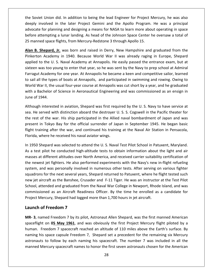Soviet Union did. In addition to being the lead Engineer for Project Mercury, he was also inted in the later the lead of the lead and the lead engineer for Project Mercury, he was also<br>involved in the later Project Gemini and the Apollo Program. He was a principal for Union did. In addition to being the lead Engineer for Project Mercury, he was also<br>For planning and designing a means for NASA to learn more about operating in space iet Union did. In addition to being the lead Engineer for Project Mercury, he was also<br>involved in the later Project Gemini and the Apollo Program. He was a principal<br>te for planning and designing a means for NASA to learn the Soviet Union did. In addition to being the lead Engineer for Project Mercury, he was also boviet Union did. In addition to being the lead Engineer for Project Mercury, he was also<br>
y involved in the later Project Gemini and the Apollo Program. He was a principal<br>
cate for planning and designing a means for NASA deeply involved in the later Project Gemini and the Apollo Program. He was a principal olved in the later Project Gemini and the Apollo Program. He was a principal<br>or planning and designing a means for NASA to learn more about operating in space<br>empting a lunar landing. As head of the Johnson Space Center he advocate for planning and designing a means for NASA to learn more about operating in space e for planning and designing a means for NASA to learn more about operating in space<br>ittempting a lunar landing. As head of the Johnson Space Center he oversaw a total of<br>ned space flights, from Mercury-Redstone 3 through before attempting a lunar landing. As head of the Johnson Space Center he oversaw a total of 25 manned space flights, from Mercury-Redstone 3 through Apollo 15.

attempting a lunar landing. As head of the Johnson Space Center he oversaw a total of<br>ned space flights, from Mercury-Redstone 3 through Apollo 15.<br>**Shepard, Jr.** was born and raised in Derry, New Hampshire and graduated f ed space flights, from Mercury-Redstone 3 through Apollo 15.<br>
Shepard, Jr. was born and raised in Derry, New Hampshire and graduated from the<br>
1 Academy in 1940. Because World War II was already raging in Europe, Shepard<br> Alan B. Shepard, Jr. was born and raised in Derry, New Hampshire and graduated from the **Shepard, Jr.** was born and raised in Derry, New Hampshire and graduated from the kerton Academy in 1940. Because World War II was already raging in Europe, Shepard plied to the U. S. Naval Academy at Annapolis. He easily Pinkerton Academy in 1940. Because World War II was already raging in Europe, Shepard **Example 19 The U.S.** Navis Soft and Tasea in Berry, New Transponse and graduated from the ton Academy in 1940. Because World War II was already raging in Europe, Shepard I to the U.S. Naval Academy at Annapolis. He easily applied to the U.S. Naval Academy at Annapolis. He easily passed the entrance exam, but at and the U.S. Naval Academy at Annapolis. He easily passed the entrance exam, but at<br>en was too young to enter that year, so he was sent by the Navy to prep school at Admiral<br>gut Academy for one year. At Annapolis he became sixteen was too young to enter that year, so he was sent by the Navy to prep school at Admiral sixteen was too yo<br>Farragut Academy<br>to sail all the type<br>World War II, the<br>with a Bachelor o<br>June of 1944. Academy for one year. At Annapolis he became a keen and competitive sailor, learned<br>the types of boats at Annapolis, and participated in swimming and rowing. Owing to<br>ir II, the usual four-year course at Annapolis was cut to sail all the types of boats at Annapolis, and participated in swimming and rowing. Owing to il all the types of boats at Annapolis, and participated in swimming and rowing. Owing to<br>Id War II, the usual four-year course at Annapolis was cut short by a year, and he graduated<br>a Bachelor of Science in Aeronautical E World War II, the usual four-year course at Annapolis was cut short by a year, and he graduated Id War II, the usual four-year course at Annapolis was cut short by a year, and he graduated<br>
1 a Bachelor of Science in Aeronautical Engineering and was commissioned as an ensign in<br>
2 of 1944.<br>
1 ough interested in aviat with a <mark>l</mark> June of 1944.

achelor of Science in Aeronautical Engineering and was commissioned as an ensign in<br>1944.<br>1 interested in aviation, Shepard was first required by the U.S. Navy to have service at<br>1945. He began distinction aboard the destr June of 1944.<br>Although interested in aviation, Shepard was first required by the U. S. Navy to have service at<br>sea. He served with distinction aboard the destroyer U. S. S. Cogswell in the Pacific theater for<br>the rest of t h interested in aviation, Shepard was first requestived with distinction aboard the destroyer U of the war. His ship participated in the Allied in Tokyo Bay for the official surrender of Japaining after the war, and contin sea. He served with distinction aboard the destroyer U. S. S. Cogswell in the Pacific theater for sea. He served with distinction aboard the destroyer U. S. S. Cogswell in the Pacific theater for<br>the rest of the war. His ship participated in the Allied naval bombardment of Japan and was<br>present in Tokyo Bay for the off rest of the war. His ship participated in the Allied naval bombardment of Japan and was<br>sent in Tokyo Bay for the official surrender of Japan in September 1945. He began basic<br>ht training after the war, and continued his t present fligl Florida, where he received his naval aviator wings.

in Tokyo Bay for the official surrender of Japan in September 1945. He began basic<br>aining after the war, and continued his training at the Naval Air Station in Pensacola,<br>where he received his naval aviator wings.<br>Shepard It training after the war, and continued his training at the Naval Air Station in Pensacola,<br>ida, where he received his naval aviator wings.<br>950 Shepard was selected to attend the U. S. Naval Test Pilot School in Patuxent, where he received his naval aviator wings.<br>Shepard was selected to attend the U. S. Naval Test Pilot School in Patuxent, Maryland.<br>t pilot he conducted high-altitude tests to obtain information about the light and air<br>at d  $\overline{\phantom{a}}$ epard was selected to attend the U. S. Naval Test Pilot School in Patuxent, Maryland.<br>ilot he conducted high-altitude tests to obtain information about the light and air<br>different altitudes over North America, and received new 1998 Shepara was selected to diterm the 019. Navar 1991 Thet school in ratakelity, maryianal.<br>As a test pilot he conducted high-altitude tests to obtain information about the light and air<br>masses at different altitudes masses at different altitudes over North America, and received carrier suitability certification of at different altitudes over North America, and received carrier suitability certification of<br>vest jet fighters. He also performed experiments with the Navy's new in-flight refueling<br>and was personally involved in numerous the newest jet fighters. He also performed experiments with the Navy's new in-flight refueling Fighters. He also performed experiments with the Navy's new in-flight refueling<br>as personally involved in numerous other tests. After serving on various fighter<br>he next several years, Shepard returned to Patuxent, where he Proven the newest Jet ngifters. He also performed experiments what the Havy 3 Hew I<br>system, and was personally involved in numerous other tests. After serving o<br>squadrons for the next several years, Shepard returned to Pat and was personally involved in<br>Ins for the next several years, Sh<br>Iircraft as the Banshee, Crusade<br>ttended and graduated from th<br>ioned as an Aircraft Readines<br>Mercury, Shepard had logged me<br>**of Freedom 7** School, attended and graduated from the Naval War College in Newport, Rhode Island, and was **3**, named Freedom 7 by its pilot. Astronaut Allen Shepard, was the first manned American Shepard had logged more than 1,700 hours in jet aircraft.<br> **3**, named Freedom 7 by its pilot, Astronaut Allen Shepard, was the first commissioned as an Aircraft Readiness Officer. By the time he enrolled as a candidate for ed as an Aircraft Readiness Officer. By the time he enrolled as a candidate for<br>cury, Shepard had logged more than 1,700 hours in jet aircraft.<br>**Freedom 7**<br>ed Freedom 7 by its pilot, Astronaut Allen Shepard, was the first Project Mercury, Shepard had logged more than 1,700 hours in jet aircraft.

#### Launch of Freedom 7

25

spaceflight on 05 May 1961, and was obviously the first Project Mercury flight piloted by a Iercury, Shepard had logged more than 1,700 hours in jet aircraft.<br> **of Freedom 7**<br>
amed Freedom 7 by its pilot, Astronaut Allen Shepard, was the first manned American<br>
it on 05 May 1961, and was obviously the first Projec **of Freedom 7**<br>hamed Freedom 7 by its pilot, Astronaut Allen Shepard, was the first manned American<br>ght on 05 May 1961, and was obviously the first Project Mercury flight piloted by a<br>Freedom 7 spacecraft reached an altitu Freedom 7<br>ed Freedom 7 by its pilot, Astronaut Allen Shepard, was the first manned American<br>on 05 May 1961, and was obviously the first Project Mercury flight piloted by a<br>eedom 7 spacecraft reached an altitude of 110 mile **MR- 3**, named Freedom 7 by its pilot, Astronaut Allen Shepard, was the first manned American spaceflight on 05 May 1961, and was obviously the first Project Mercury flight piloted by a human. Freedom 7 spacecraft reached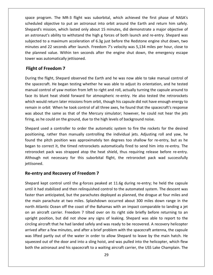program. The MR-3 flight was suborbital, which achieved the first phase of NASA's objective to put an astronaut into orbit all achieved the first phase of NASA's<br>scheduled objective to put an astronaut into orbit around the Earth and return him safely. mat the MR-3 flight was suborbital, which achieved the first phase of NASA's<br>objective to put an astronaut into orbit around the Earth and return him safely.<br>mission, which lasted only about 15 minutes, did demonstrate a m astronaut's ability to withstand the high g forces of both launch and return him safely.<br>The divided objective to put an astronaut into orbit around the Earth and return him safely.<br>Finally separd and re-entry. Shepard was gram. The MR-3 flight was suborbital, which achieved the first phase of NASA's<br>objective to put an astronaut into orbit around the Earth and return him safely.<br>mission, which lasted only about 15 minutes, did demonstrate a space program. The MR-3 flight was suborbital, which achieved the first phase of NASA's ogram. The MR-3 flight was suborbital, which achieved the first phase of NASA's<br>d objective to put an astronaut into orbit around the Earth and return him safely.<br>s mission, which lasted only about 15 minutes, did demonstr scheduled objective to put an astronaut into orbit around the Earth and return him safely. planned value. Within ten seconds after the engine shut down, the emergency escape planned value. Within ten seconds after the engine shut down, the planned value. Within ten seconds after the engine shut down, the emergen Shepard's mission, which lasted only about 15 minutes, did demonstrate a major objective of Shepard's mission, which lasted only absorbed in astronaut's ability to withstand the hubjected to a maximum acceleration of minutes and 22 seconds after launch. Fine planned value. Within ten seconds cower was automatical I's mission, which lasted only a<br>binaut's ability to withstand the<br>ed to a maximum acceleration<br>and 22 seconds after launch.<br>aned value. Within ten secone<br>as automatically jettisoned.<br>**of Freedom 7** minutes and 22 seconds after launch. Freedom 7's velocity was 5,134 miles per hour, close to It and 22 seconds after launch. Freedom 7's velocity was 5,134 miles per hour, close to<br>nned value. Within ten seconds after the engine shut down, the emergency escape<br>vas automatically jettisoned.<br>**Of Freedom 7**<br>the fligh the planned value. Within ten seconds after the engine shut down, the emergency escape planned value. Within ten seconds after the engine shut down, the emergency escape<br>er was automatically jettisoned.<br>**Shit of Freedom 7**<br>Ing the flight, Shepard observed the Earth and he was now able to take manual control tower was automatically jettisoned.

#### Flight of Freedom 7

subjected and the control of

as automatically jettisoned.<br> **of Freedom 7**<br>
the flight, Shepard observed the Earth and he was now able to take manual control of<br>
tecraft. He began testing whether he was able to adjust its orientation, and he tested<br>
co Int of Freedom 7<br>In the flight, Shepard observed the Earth and he was now able to take manual control of<br>pacecraft. He began testing whether he was able to adjust its orientation, and he tested<br>al control of yaw motion fro If the flight, Shepard observed the Earth and he was now able to take manual control of<br>acecraft. He began testing whether he was able to adjust its orientation, and he tested<br>al control of yaw motion from left to right an During the flight, Shepard observed the Earth and he was now able to take manual control of<br>the spacecraft. He began testing whether he was able to adjust its orientation, and he tested<br>manual control of yaw motion from le Bannig the might, shepara esserved the Lattin and he was now diste to take manual control of<br>the spacecraft. He began testing whether he was able to adjust its orientation, and he tested<br>manual control of yaw motion from l first explorement of yaw motion from left to right and roll, actually turning the cap<br>face its blunt heat shield forward for atmospheric re-entry. He also tested th<br>which would return later missions from orbit, though his blunt heat shield forward for atmospheric re-entry. He also tested the retrorockets<br>buld return later missions from orbit, though his capsule did not have enough energy to<br>i orbit. When he took control of all three axes, h which would return later missions from orbit, though his capsule did not have enough energy to return later missions from orbit, though his capsule did not have enough energy to<br>bit When he took control of all three axes, he found that the spacecraft's response<br>he same as that of the Mercury simulator; however, he c remain in orbit When he took control of all three axes, he found that the spacecraft's response in orbit When he took control of all three axes, he found that the spacecraft's response<br>bout the same as that of the Mercury simulator; however, he could not hear the jets<br>as he could on the ground, due to the high levels was about the same as that of the Mercury simulator; however, he could not hear the jets firing, as he could on the ground, due to the high levels of background noise.

out the same as that of the Mercury simulator; however, he could not hear the jets<br>as he could on the ground, due to the high levels of background noise.<br>d used a controller to order the automatic system to fire the rocket firing, as he could on the ground, due to the high levels of background noise.<br>Shepard used a controller to order the automatic system to fire the rockets for the desired<br>positioning, rather than manually controlling the i sed a controller to order the automatic system to fire the rockets for the desired<br>g, rather than manually controlling the individual jets. Adjusting roll and yaw, he<br>pitch position was approximately ten degrees too shallo Shepard used a controller to order the automatic system to fire the rockets for the desired positioning, rather than manually controlling the individual jets. Adjusting roll and yaw, he positioning, rat<br>found the pitcl<br>began to corre<br>retrorocket pa<br>Although not<br>iettisoned. *a*, rather than manually controlling the individ pitch position was approximately ten degrees orrect it, the timed retrorockets automatically t pack was strapped atop the heat shield, thunot necessary for this suborbital retrorocket pack was strapped atop the heat shield, thus requiring release before re-entry. et pack was strapped atop the heat shield, thus requiring release before re-entry.<br>
not necessary for this suborbital flight, the retrorocket pack wad successfully<br>
d.<br> **y and Recovery of Freedom 7**<br>
kept control until the Although not necessary for this suborbital flight, the retrorocket pack wad successfully<br>jettisoned.<br>**Re-entry and Recovery of Freedom 7**<br>Shepard kept control until the g-forces peaked at 11.6g during re-entry; he held the jettisoned.

#### Re-entry and Recovery of Freedom 7

circling aircraft that he had landed safely and was ready to be recovered. A recovery helicopter ned.<br> **Than and Recovery of Freedom 7**<br>
Than anticipated and then relinquished control to the automated system. The descent was<br>
than anticipated, but the parachutes deployed as planned, the drogue at four miles and entry and Recovery of Freedom 7<br>pard kept control until the g-forces peaked at 11.6g during re-entry; he held the capsule<br>it had stabilized and then relinquished control to the automated system. The descent was<br>er than ant Intry and Recovery of Freedom 7<br>
Atlantic Ocean of the g-forces peaked at 11.6g during re-entry; he held the capsule<br>
Atlantic Cocean of the parachutes deployed as planned, the drogue at four miles and<br>
Atlantic Ocean off Shepard kept control until the g-forces peaked at 11.6g during re-entry; he held the capsule<br>until it had stabilized and then relinquished control to the automated system. The descent was<br>faster than anticipated, but the p shopping help control antal the grotecs peaked at 11.0g damig to entry, he held the cappate<br>until it had stabilized and then relinquished control to the automated system. The descent was<br>faster than anticipated, but the pa affaster than anticipated, but the parachutes deployed as planned, the drogue at four miles and<br>the main parachute at two miles. Splashdown occurred about 300 miles down range in the<br>north Atlantic Ocean off the coast of t the main parachute at two miles. Splashdown occurred about 300 miles down range in the after a few minutes, and after a brief problem with an impact comparable to landing a jet<br>aircraft carrier. Freedom 7 tilted over on its right side briefly before returning to an<br>position, but did not show any signs of lea north Atlantic Ocean off the coast of the Bahamas with an impact comparable to landing a jet In a Atlantic Ocean off the coast of the Bahamas with an impact comparable to landing a jet<br>n aircraft carrier. Freedom 7 tilted over on its right side briefly before returning to an<br>the position, but did not show any sign on an aircraft carrier. Freedom 7 tilted over on its right side briefly before returning to an out of the door and into a sling hoist, and was pulled into the helicopter, which flew<br>position, but did not show any signs of leaking. Shepard was able to report to the<br>craft that he had landed safely and was ready to be both the astronaut and his spacecraft to a waiting aircraft carrier. the USS Lake Champlain. The circling aircraft that he had landed safely and was ready to be recovered. A recovery helicopter arrived after a few minutes,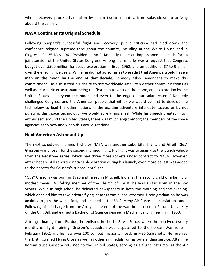recovery process had taken less than twelve minutes, from splashdown to arriving the carrier. **NASACONTABA CONTINUMER EXECUTE:**<br> **Continues Its Original Schedule**<br> **Continues Its Original Schedule** Shepard's process had taken less than twelve minutes, from splashdown to arriving<br>
Shepard's successful flight and recovery, public criticism had died down and whole reco ethery process had taken less than twelve minutes, from splashdown to arriving<br>tinues Its Original Schedule<br>hepard's successful flight and recovery, public criticism had died down and<br>reigned supreme throughout the country aboard the carrier.

#### **NASA Continues Its Original Schedule**

e carrier.<br> **On 25 May 1961 President John F. Kennedy made an impassioned speech before a**<br> **On 25 May 1961 President John F. Kennedy made an impassioned speech before a A Continues Its Original Schedule**<br>
states Shepard's successful flight and recovery, public criticism had died down and<br>
dence reigned supreme throughout the country, including at the White House and in<br>
sess. On 25 May 1 **Continues Its Original Schedule**<br>ng Shepard's successful flight and recovery, public criticism had died down and<br>nce reigned supreme throughout the country, including at the White House and in<br>s. On 25 May 1961 President  $\mathbf{r}$ wing Shepard's successful flight and recovery, public criticism had died down and<br>dence reigned supreme throughout the country, including at the White House and in<br>ess. On 25 May 1961 President John F. Kennedy made an impa **manonly and the Country** is the **controlled** as the White House and in<br>
tence reigned supreme throughout the country, including at the White House and in<br>
session of the United States Congress. Among his remarks was a reques confidence reigned supreme throughout the country, including at the White House and in<br>Cingress. On 25 May 1961 President John F. Kennedy made an impassioned speech before a 15 May 1961 President John F. Kennedy made an impassioned speech before a<br>of the United States Congress. Among his remarks was a request that Congress<br>500 million for space exploration in fiscal 1962, and an additional \$7 joint session of the United States Congress. Among his remarks was a request that Congress assion of the United States Congress. Among his remarks was a request that Congress<br>tet over \$500 million for space exploration in fiscal 1962, and an additional \$7 to 9 billion<br>the ensuing five years. While he did not go budget over \$500 million for space exploration in fiscal 1962, and an additional \$7 to 9 billion Short of the offices engless. Throughly instructed that decapted that engless<br>over \$500 million for space exploration in fiscal 1962, and an additional \$7 to 9 billion<br>in the moon by the end of that decade, Kennedy asked A paaget ond Experiment of space expression in fiscal 1992, and an didaktonal  $\psi$ , to 9 simon sumplify sumplify sumplify that  $\mathbf{e}$  is a moon by the end of that decade, Kennedy asked Americans to make this it. He also stated his d over the ensamig the years. When <u>the and here of the code,</u> Kennedy asked Americans to make this commitment. He also stated his desire to see worldwide satellite weather communications as well as an American astronaut bei commitment. He also stated his desire to see worldwide satellite weather communications as Internology, the characterization control of this space variables in the also stated his desire to see worldwide satellite weather communications as<br>American astronaut being the first man to walk on the moon, and explorati well as an American astronaut being the first man to walk on the moon, and exploration by the are the unit and the United States in the United States, the moon, and exploration by the es "... beyond the moon and even to the edge of our solar system." Kennedy Congress and the American people that either we would be United States "... beyond the moon and even to the challenged Congress and the American people that  $\epsilon$  technology to lead the other nations in the exciting pursuing this space technology, we would surely finienthusiasm a I States "... beyond the moon and evalue of the American peopology to lead the other nations in the mg this space technology, we would s<br>siasm around the United States, there ves as to how and when this would get d<br>**Americ** pursuing this space technology, we would surely finish last. While his speech created much pursuing this space technology, we would surely finish last. While his speech created much<br>enthusiasm around the United States, there was much angst among the members of the space<br>agencies as to how and when this would get sm around the United States, there was much angst among the members of the space<br>as to how and when this would get done.<br>**nerican Astronaut Up**<br>costanded manned flight by NASA was another suborbital flight, and **Virgil "Gu** agencies as to how and when this would get done.

#### **Next American Astronaut Up**

agencies as to how and when this would get done.<br> **Next American Astronaut Up**<br>
The next scheduled manned flight by NASA was another suborbital flight, and **Virgil "Gus"**<br> **Grissom** was chosen for the second manned flight. Shepard still reported noticeable vibration during his launch, even more ballast was different was chosen for the second manned flight. His flight was to again use the launch vehicle<br>the Redstone series, which had three mo **Next American Astronaut Up**<br>The next scheduled manned flight by NASA was<br>Grissom was chosen for the second manned flight.<br>from the Redstone series, which had three more<br>after Shepard still reported noticeable vibration du ext scheduled manned flight by NASA was another suborbital flight, and **Virgil "Gus"**<br>m was chosen for the second manned flight. His flight was to again use the launch vehicle<br>he Redstone series, which had three more rocke Grissom was chosen for the second manned flight. His flight was to again use the launch vehicle was chosen for the second manned flight. His flight was to again use the launch vehicle<br>
Expected member of the Church of Christ, even more ballast was added<br>
poster for Grissom's subsequent flight.<br>
Expected member of the from tl from the Redstone series, which had three more rockets under contract to NASA. However,<br>after Shepard still reported noticeable vibration during his launch, even more ballast was added<br>to the booster for Grissom's subseque to the booster for Grissom's subsequent flight.

hepard still reported noticeable vibration during his launch, even more ballast was added<br>booster for Grissom's subsequent flight.<br>Grissom was born in 1926 and raised in Mitchell, Indiana, the second child of a family of<br>i to the booster for Grissom's subsequent flight.<br>"Gus" Grissom was born in 1926 and raised in Mitchell, Indiana, the second child of a family of<br>modest means. A lifelong member of the Church of Christ, he was a star scout i som was born in 1926 and raised in Mitchell, Indiana, the second child of a family of<br>eans. A lifelong member of the Church of Christ, he was a star scout in the Boy<br>hile in high school he delivered newspapers in both the on the G. I. Bill, and earned a Bachelor of Science degree in Mechanical Engineering in 1950.<br>
Scouts. While in high school he delivered newspapers in both the morning and the evening,<br>
which enabled him to take private fl s. While in high school he delivered newspapers in both the morning and the evening, enabled him to take private flying lessons from a local attorney. Upon graduation he was us to join the war effort, and enlisted in the U which e abled him to take private flying lessons from a local attorney. Upon graduation he was<br>to join the war effort, and enlisted in the U. S. Army Air Force as an aviation cadet.<br>g his discharge from the Army at the end of the anxious to join the war effort, and enlisted in the U.S. Army Air Force as an aviation cadet. Following his discharge from the Army at the end of the war, he enrolled at Purdue University on the G. I. Bill, and earned a Bachelor of Science degree in Mechanical Engineering in 1950.

After graduating from Purdue, he enlisted in the U.S. Air Force, where he received twenty 1952, and he flew over 100 combat missions, mostly in F-86 Sabre jets. He received and he flew over 100 combat missions, mostly in F-86 Sabre jets. He received wenty 1. Bill, and earned a Bachelor of Science degree in Mech bowing his discharge from the Army at the end of the war, he enrolled at Purdue University<br>he G. I. Bill, and earned a Bachelor of Science degree in Mechanical Engineering in 1950.<br>The graduating from Purdue, he enlisted i i. I. Bill, and earned a Bachelor of Science degree in Mechanical Engineering in 1950.<br>aduating from Purdue, he enlisted in the U. S. Air Force, where he received twenty<br>of flight training. Grissom's squadron was dispatche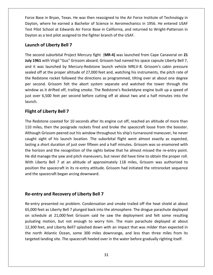Base in Bryan, Texas. He was then reassigned to the Air Force Institute of Technology in where he earned a Bachelor of Science in Aeromechanics in Aeromechanics in Aeromology in<br>Where he earned a Bachelor of Science in Aeromechanics in 1956. He entered USAF Philot School at Edwards Air Force Institute of Technology in<br>Pilot School at Edwards Air Force Base in California, and returned to Wright-Patterson in<br>Pilot School at Edwards Air Force Base in California, and returned to Force Base in Bryan, Texas. He was then reassigned to the Air Force Institute of Technology in Dayton, where he earned a Bachelor of Science in Aeromechanics in 1956. He entered USAF Test Pilot School at Edwards Air Force **Se in Bryan, Texas. He was the**<br>
where he earned a Bachelor<br>
Let School at Edwards Air Force<br>
Section assigned to the fore that<br> **Cof Liberty Bell 7** Dayton, where he earned a Bachelor of Science in Aeromechanics in 1956. He entered USAF second suborbital Project Mercury fight (MR-4) was launched from Cape Canaveral on 21<br>second suborbital Project Mercury fight (MR-4) was launched from Cape Canaveral on 21 Test Pilot School at Edwards Air Force Base in California, and returned to Wright-Patterson in Test Pilot School at Edwards Air Force Base in California, and returned to Wright-Patterson in<br>Dayton as a test pilot assigned to the fighter branch of the USAF.<br>**Launch of Liberty Bell 7**<br>The second suborbital Project Mer

#### Launch of Liberty Bell 7

on as a test pilot assigned to the fighter branch of the USAF.<br> **1ch of Liberty Bell 7**<br>
second suborbital Project Mercury fight (MR-4) was launched from Cape Canaveral on 21<br>
1961 with Virgil "Gus" Grissom aboard. Grissom **h of Liberty Bell 7**<br>Cond suborbital Project Mercury fight (MR-4) was launched from Cape Canaveral on 21<br>61 with Virgil "Gus" Grissom aboard. Grissom had named his space capsule Liberty Bell 7,<br>was launched by Mercury-Red nch of Liberty Bell 7<br>second suborbital Project Mercury fight (MR-4) was launched from Cape Canaveral on 21<br>1961 with Virgil "Gus" Grissom aboard. Grissom had named his space capsule Liberty Bell 7,<br>it was launched by Merc The second suborbital Project Mercury fight (MR-4) was launched from Cape Canaveral on 21 second suborbital Project Mercury fight (MR-4) was launched from Cape Canaveral on 21<br>1961 with Virgil "Gus" Grissom aboard. Grissom had named his space capsule Liberty Bell 7,<br>it was launched by Mercury-Redstone launch ve July 1961 with Virgil "Gus" Grissom aboard. Grissom had named his space capsule Liberty Bell 7, I with Virgil "Gus" Grissom aboard. Grissom had named his space capsule Liberty Bell 7, as launched by Mercury-Redstone launch vehicle MRLV-8. Grissom's cabin pressure off at the proper altitude of 27,000 feet and, watchin and it was launched by Mercury-Redstone launch vehicle MRLV-8. Grissom's cabin pressure over 6,500 feet per second before cutting off at about two and a half minutes into the<br>overal of at the proper altitude of 27,000 feet and, watching his instruments, the pitch rate of<br>Redstone rocket followed the direction  $\frac{1}{1}$ the Redstone rocket followed the directions as programmed, tilting over at about one degree<br>per second. Grissom felt the abort system separate and watched the tower through the<br>window as it drifted off, trailing smoke. The off at the proper altitude of 2<br>dstone rocket followed the d<br>cond. Grissom felt the abor<br>v as it drifted off, trailing smo<br>er 6,500 feet per second bel<br>**of Libertv Bell 7** window as it drifted off, trailing smoke. The Redstone's Rocketdyne engine built up a speed of<br>just over 6,500 feet per second before cutting off at about two and a half minutes into the<br>launch.<br>**Flight of Liberty Bell 7**<br> just over 6,500 feet per second before cutting off at about two and a half minutes into the iust over 6,500 feet per second before cutting off at about two and a half minutes into the<br>
launch.<br> **Flight of Liberty Bell 7**<br>
The Redstone coasted for 10 seconds after its engine cut off, reached an altitude of more th

#### **Flight of Liberty Bell 7**

Liberty Bell 7<br>Grissom peered out his window throughout his ship's turnaround maneuver, he never<br>Grissom peered out his window throughout his ship's turnaround maneuver, he never **Solutive of Liberty Bell 7**<br>Istone coasted for 10 seconds after its engine cut off, reached an altitude of more than<br>es, then the posigrade rockets fired and broke the spacecraft loose from the booster.<br>In Grissom peered of Liberty Bell 7<br>dstone coasted for 10 seconds after its engine cut off, reached an altitude of more than<br>les, then the posigrade rockets fired and broke the spacecraft loose from the booster.<br>gh Grissom peered out his wi The Redstone coasted for 10 seconds after its engine cut off, reached an altitude of more than The Redstone coasted for 10 seconds after its engine cut off, reached an altitude of more than<br>110 miles, then the posigrade rockets fired and broke the spacecraft loose from the booster.<br>Although Grissom peered out his wi The heasterne educted for 15 seconds drief his engine edt on, redended in different floose from the booster.<br>
Although Grissom peered out his window throughout his ship's turnaround maneuver, he never<br>
caught sight of his Liberty Bell 7 at an altitude of approximately 118 miles. Grissom was authorized to<br>Liberty Bell 7 at an altitude of approximately 118 miles. Grissom was so enamored with<br>altitude of approximately 118 miles. Grissom was au Although Grissom peered out his window throughout his ship's turnaround maneuver, he never<br>caught sight of his launch location. The suborbital flight went almost exactly as expected, the spacecraft in its re-entry attitude. Grissom had initiated the retrorocket sequence<br>the spacecraft in its re-entry point.<br>The subset of the sights below that he almost missed the re-entry point.<br>The retrorocket sequenc lasting a short duration of just over fifteen and a half minutes. Grissom was so enamored with In the space of this tautor receation. The sabot<br>horizon and the recognition of the sights be<br>lid manage the yaw and pitch maneuvers, bu<br>i Liberty Bell 7 at an altitude of approxir<br>tion the spacecraft in its re-entry attit He did ma required the yaw and pitch maneuvers, but never<br>ty Bell 7 at an altitude of approximately 1<br>e spacecraft in its re-entry attitude. Grissom I<br>acecraft began arcing downward.<br>**and Recoverv of Liberty Bell 7** position the spacecraft in its re-entry attitude. Grissom had initiated the retrorocket sequence and the spacecraft began arcing downward. pacecraft began arcing downward.<br> **Example: A problem is also problem.**<br> **Example:** Condensation and smoke trailed off the heat shield at about

#### Re-entry and Recovery of Liberty Bell 7

 $n$ firy and Recovery of Liberty Bell 7<br>The state of the heat shield at about<br>feet as Liberty Bell 7 plunged back into the atmosphere. The drogue parachute deployed **Schedule at 21,000 feet Grissom said he saw the deployment and felt some resulting**<br>Schedule at 21,000 feet Grissom said he saw the deployment and felt some resulting<br>Schedule at 21,000 feet Grissom said he saw the deploy and Recovery of Liberty Bell 7<br>
resented no problem. Condensation and smoke trailed off the heat shield at about<br>
t as Liberty Bell 7 plunged back into the atmosphere. The drogue parachute deployed<br>
lle at 21,000 feet Gris **try and Recovery of Liberty Bell 7**<br>y presented no problem. Condensation and smoke trailed off the heat shield at about<br>feet as Liberty Bell 7 plunged back into the atmosphere. The drogue parachute deployed<br>edule at 21,00  $\mathbf{r}$ ntry presented no problem. Condensation and smoke trailed off the heat shield at about<br>
00 feet as Liberty Bell 7 plunged back into the atmosphere. The drogue parachute deployed<br>
chedule at 21,000 feet Grissom said he saw  $\frac{1}{2}$ presenced its present. Condensation and sincide trained on the heat sine at disoder the as Liberty Bell 7 plunged back into the atmosphere. The drogue parachute deployee lule at 21,000 feet Grissom said he saw the deployme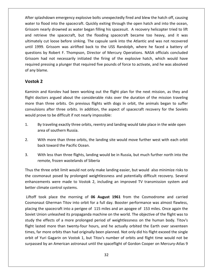splashdown emergency explosive bolts unexpectedly fired and blew the hatch off, causing<br>match off the splash of the splash of the splash of the splash of the splash of the splash of the splash of th to flood into the spacecraft. After splashdown emergency explosive bolts unexpectedly fired and blew the hatch off, causing<br>that is flood into the spacecraft. Quickly exiting through the open hatch and into the ocean, Gris nearly drowned as water began filling his spacesuit. A recovery helicopter tried to lift<br>and into the spacecraft. Quickly exiting through the open hatch and into the ocean,<br>nearly drowned as water began filling his spacesu splashdown emergency explosive bolts unexpectedly fired and blew the hatch off, causing<br>into flood into the spacecraft. Quickly exiting through the open hatch and into the ocean,<br>om nearly drowned as water began filling hi mothed in the spacecraft. Quickly exiting through the open hatch off, causing and into the spacecraft. Quickly exiting through the open hatch and into the ocean, early drowned as water began filling his spacesuit. A recove After splashdown emergency explosive bolts unexpectedly fired and blew the hatch off, causing splashdown emergency explosive bolts unexpectedly fired and blew the hatch off, causing<br>
10 flood into the spacecraft. Quickly exiting through the open hatch and into the ocean,<br>
1999 and the USS Randolph, where the faced water to flood into the spacecraft. Quickly exiting through the open hatch and into the ocean, by explosive soles all expectedly med and slew the haten off, edusing<br>bood into the spacecraft. Quickly exiting through the open hatch and into the ocean,<br>early drowned as water began filling his spacesuit. A recovery heli Grissom nearly drowned as water began filling his spacesuit. A recovery helicopter tried to lift hearly drowned as water began filling his spacesuit. A recovery helicopter tried to lift<br>eve the spacecraft, but the flooding spacecraft became too heavy, and it was<br>y cut loose before sinking. The capsule sank into the At and retrieve the spacecraft, but the flooding spacecraft became too heavy, and it was<br>ultimately cut loose before sinking. The capsule sank into the Atlantic and was not recovered<br>until 1999. Grissom was airlifted back to Ĭ. ultimately cut loose before sinking. The capsule sank into the Atlantic and was not recovered<br>until 1999. Grissom was airlifted back to the USS Randolph, where he faced a battery of<br>questions by Robert F. Thompson, Directo 9. Grissom<br>**2**<br>**2**<br>**2**<br>**2** Grissom had not necessarily initiated the firing of the explosive hatch, which would have had not necessarily initiated the firing of the explosive hatch, which would have<br>pressing a plunger that required five pounds of force to activate, and he was absolved<br>ame.<br>2 required pressing a plunger that required five pounds of force to activate, and he was absolved of any blame.

#### Vostok 2

ultimately in the second control of the second control of the second control of the second control of the second control of the second control of the second control of the second control of the second control of the second

ed pressing a plunger that required tive pounds of force to activate, and he was absolved<br>
blame.<br> **Dk 2**<br>
in and Korolev had been working out the flight plan for the next mission, as they and<br>
doctors argued about the con blame.<br>
Sold 2<br>
in and Korolev had been working out the flight plan for the next mission, as they and<br>
doctors argued about the considerable risks over the duration of the mission traveling<br>
than three orbits. On previous Korolev had been working out the flight plan for the next mission, as they and<br>a argued about the considerable risks over the duration of the mission traveling<br>three orbits. On previous flights with dogs in orbit, the anim **KZ**<br>
n and Korolev had been working out the flight<br>
doctors argued about the considerable risks ove<br>
than three orbits. On previous flights with dogs<br>
sions after three orbits. In addition, the aspect<br>
prove to be difficu Ka in and Korolev had been working out the flight plan for the next mission, as they and<br>doctors argued about the considerable risks over the duration of the mission traveling<br>than three orbits. On previous flights with dogs flight doctors argued about the considerable risks over the duration of the mission traveling flight doctors argued about the commore than three orbits. On previo<br>convulsions after three orbits. In a<br>would prove to be difficult if not nea<br>1. By traveling exactly three ort<br>area of southern Russia. Solian and three orbits. In addition, the aspect of spacecraft recovery for the Soviets<br>prove to be difficult if not nearly impossible:<br>By traveling exactly three orbits, reentry and landing would take place in the wide op

- back would prove to be difficult if not nearly improved to be difficult if not nearly improved the Pacific Ocean.<br>
3. 3. With more than three orbits, the land the Pacific Ocean. area of southern Russia.
- By traveling exactly three orbits, reentry and landing would take place in the wide open<br>area of southern Russia.<br>With more than three orbits, the landing site would move further west with each orbit<br>back toward the Pacifi With more than three orbits, the landing site would move further west with each orbit<br>back toward the Pacific Ocean.<br>With less than three flights, landing would be in Russia, but much further north into the<br>remote, frozen  $2.$ With more than three orbits, the landing site would move further west with each orbit<br>back toward the Pacific Ocean.<br>With less than three flights, landing would be in Russia, but much further north into the<br>remote, frozen
- back toward the Pacific Ocean.<br>With less than three flights, landing would be in Russia, but much further north into the<br>remote, frozen wastelands of Siberia<br>is the three orbit limit would not only make landing easier, but  $3.$

s than three flights, landing would be in Russia, but much further north into the<br>frozen wastelands of Siberia<br>proit limit would not only make landing easier, but would also minimize risks to<br>posed by prolonged weightlessn 3. With less than three flights,<br>remote, frozen wastelands c<br>Fhus the three orbit limit would not<br>the cosmonaut posed by prolonge<br>enhancements were made to Vost<br>petter climate control systems. three orbit limit would not only make landing easier, but would also minimize risks to<br>monaut posed by prolonged weightlessness and potentially difficult recovery. Several<br>ements were made to Vostok 2, including an improve Thus the th Thus the three orbit limit would not only make landing easier, but would also minimize risks to<br>the cosmonaut posed by prolonged weightlessness and potentially difficult recovery. Several<br>enhancements were made to Vostok 2 enhancements were made to Vostok 2, including an improved TV transmission system and better climate control systems.

study the effects of a more prolonged period of weightlessness on the human body. Titov's flight lasted more than twenty-four hours, and he actually orbited the Earth over seventeen monaut posed by prolonged weightlessness and potentially difficult recovery. Several<br>ements were made to Vostok 2, including an improved TV transmission system and<br>limate control systems.<br>took place the morning of **06 Augu** Examples were made to Vostok 2, including an improved TV transmission system and<br>climate control systems.<br>took place the morning of **06 August 1961** from the Cosmodrome and carried<br>naut Gherman Titov into orbit for a full climate control systems.<br>
took place the morning of **06 August 1961** from the Cosmodrome and carried<br>
inaut Gherman Titov into orbit for a full day. Booster performance was almost flawless,<br>
g the spacecraft into a perigee Liftoff took place the morning of 06 August 1961 from the Cosmodrome and carried If took place the morning of **06 August 1961** from the Cosmodrome and carried phaut Gherman Titov into orbit for a full day. Booster performance was almost flawless, g the spacecraft into a perigee of 115 miles and an apog Cosmonaut Gherman Titov into orbit for a full day. Booster performance was almost flawless, Fact morthodor and that morthodor and that the sesmi-strict that cannot the morthodor and the spacecraft into a perigee of 115 miles and an apogee of 153 miles. Once again the Union unleashed its propaganda machine on the placing the spacecraft into a perigee of 115 miles and an apogee of 153 miles. Once again the of Yuri Gagarin on Vostok 1, but Titov's number of orbits and flight time would not be<br>of Yuri Gagarin on Vostok 1, but Titov's number of the flight was to<br>the effects of a more prolonged period of weightlessness on the hu Soviet Union unleashed its propaganda machine on the world. The objective of the flight was to by an American astronaut until the spaceflight of Gordon Cooper on Mercury-Atlas 9<br>by an American astronaut until the spacefield of weightlessness on the human body. Titov's<br>d more than twenty-four hours, and he actually o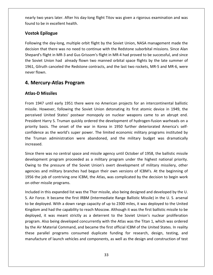two years later. After his day-long flight Titov was given <sup>a</sup> rigorous examination and was <u>Follence Cornect Cornect Cornect Cornect Cornect</u><br>Thearly two years later. After his day<br>Thealth and to be in excellent health. **Example 20**<br> **Epilogue**<br> **Epilogue** o years later. After his day-long flight Titov was given a rigorous examination and was<br>e in excellent health.<br>**pilogue**<br>the day-long, multiple orbit flight by the Soviet Union. NASA management made the nearly ty o years later. After his day-long flight Titov was given a rigorous examination and was<br>be in excellent health.<br>**Epilogue**<br>Interpries and the Soviet Union, NASA management made the<br>that there was no need to continue with t

### Vost

found to k<br>**Vostok E**<br>Following<br>decision t e in excellent health.<br> **pilogue**<br>
the day-long, multiple orbit flight by the Soviet Union, NASA management made the<br>
hat there was no need to continue with the Redstone suborbital missions. Since Alan<br>
flight in MR-3 and **tok Epilogue**<br>Soving the day-long, multiple orbit flight by the Soviet Union, NASA management made the<br>Soon that there was no need to continue with the Redstone suborbital missions. Since Alan<br>Dard's flight in MR-3 and Gu **SK Epilogue**<br>
Fing the day-long, multiple orbit flight by the Soviet Union, NASA management made the<br>
on that there was no need to continue with the Redstone suborbital missions. Since Alan<br>
rd's flight in MR-3 and Gus Gr Following the day-long, multiple orbit flight by the Soviet Union, NASA management made the Following the dam<br>decision that the<br>Shepard's flight in<br>the Soviet Union<br>1961, Gilruth can<br>never flown. Nowing the day-long, multiple orbit flight by the Soven Sision that there was no need to continue with the expard's flight in MR-3 and Gus Grissom's flight in MR Soviet Union had already flown two manned or<br>Formal Soviet U Shepard's flight in MR-3 and Gus Grissom's flight in MR-4 had proved to be successful, and since is flight in MR-3 and<br>t Union had alre<br>ruth canceled the<br>wn.<br>**Cury-Atlas Pro**<br>**Missiles** never flown. flown.<br>**ercury-Atlas Program**<br>-**D Missiles**<br>1947 until early 1951 there were no American projects for an intercontinental ballistic

## 4. Merc

#### **Atlas-D Missiles**

**Cury-Atlas Program<br>Missiles<br>197 until early 1951 there were no American projects for an intercontinental ballistic<br>However, following the Soviet Union detonating its first atomic device in 1949, the 4. Mercury-Atlas Program**<br>Atlas-D Missiles<br>From 1947 until early 1951 there were no American projects for an intercontinental ballistic<br>missile. However, following the Soviet Union detonating its first atomic device in 19 Missiles<br>Tuntil early 1951 there were no American projects for an intercontinental ballistic<br>owever, following the Soviet Union detonating its first atomic device in 1949, the<br>United States' postwar monopoly on nuclear wea Atlas-D Missiles<br>From 1947 until early 1951 there were no American projects for an intercontinental ballistic<br>missile. However, following the Soviet Union detonating its first atomic device in 1949, the<br>perceived United St until early 1951 there were no American projects for an intercontinental ballistic<br>wever, following the Soviet Union detonating its first atomic device in 1949, the<br>Jnited States' postwar monopoly on nuclear weapons came t missile. However, following the Soviet Union detonating its first atomic device in 1949, the Truman administration were abandoned, and the military budget was dramatically function and the military S. Truman quickly ordered the development of hydrogen-fusion warheads on a dity basis. The onset of the war in Korea perceived United States' postwar monopoly on nuclear weapons came to an abrupt end. President Harr<br>priority basis.<br>confidence as<br>the Truman a<br>increased. lent Harry S. Truman quickly ordered the development of hydrogen-fusion warheads on a<br>ty basis. The onset of the war in Korea in 1950 further deteriorated America's self-<br>lence as the world's super power. The limited econo priority basis priority basis. The onset of the war in Korea in 1950 further deteriorated America's self-<br>confidence as the world's super power. The limited economic military programs instituted by<br>the Truman administration were abandone the Truman administration were abandoned, and the military budget was dramatically increased.

nce as the world's super power. The limited economic military programs instituted by<br>uman administration were abandoned, and the military budget was dramatically<br>ed.<br>here was no central space and missile agency until Octob an administration were abandoned, and the military budget was dramatically<br>
re was no central space and missile agency until October of 1958, the ballistic missile<br>
lent program proceeded as a military program under the hi ised.<br>
there was no central space and missile agency until October of 1958, the ballistic missile<br>
opment program proceeded as a military program under the highest national priority.<br>
It is to the pressure of the Soviet Un Since there was no central space<br>development program proceed<br>Owing to the pressure of the<br>agencies and military branches<br>1956 the job of contriving one<br>on other missile programs. development program proceeded as a military program under the highest national priority. development program proceeded as a military program under the highest national priority.<br>Owing to the pressure of the Soviet Union's overt development of military missilery, other<br>agencies and military branches had begun t wing to the pressure of the Soviet Union's overt development of military missilery, other<br>encies and military branches had begun their own versions of ICBM's. At the beginning of<br>56 the job of contriving one ICBM, the Atla agencies and military branches had begun their own versions of ICBM's. At the beginning of 1956 the job of contriving one ICBM, the Atlas, was complicated by the decision to begin work on other missile programs.

 $/$ Itr encies and military branches had begun their own versions of ICBM's. At the beginning of<br>56 the job of contriving one ICBM, the Atlas, was complicated by the decision to begin work<br>other missile programs.<br>Iluded in this ex job of contriving one ICBM, the Atlas, was complicated by the decision to begin work<br>missile programs.<br>in this expanded list was the Thor missile, also being designed and developed by the U.<br>ce. It became the first IRBM (I issile programs.<br>
this expanded list was the Thor missile, also being designed and developed by the U.<br>
e. It became the first IRBM (Intermediate Range Ballistic Missile) in the U. S. arsenal<br>
hyed. With a down range capac program.In this expanded list was the Thor missile, also being designed and developed by the U.<br>
See. It became the first IRBM (Intermediate Range Ballistic Missile) in the U. S. arsenal<br>
loyed. With a down range capacity of up to ....<br>.. Force. It became the first IRBM (Intermediate Range Ballistic Missile) in the U. S. arsenal<br>be deployed. With a down range capacity of up to 2300 miles, it was deployed to the United<br>gdom and had the capability to reach Mo S. Air Force. It became the first IRBM (Intermediate Range Ballistic Missile) in the U. S. arsenal to be deployed. With a down range capacity of up to 2300 miles, it was deployed to the United ployed. With a down range capacity of up to 2300 miles, it was deployed to the United<br>m and had the capability to reach Moscow. Although it was the first ballistic missile to be<br>ed, it was meant strictly as a deterrent to Kingdom and had the capability to reach Moscow. Although it was the first ballistic missile to be of launch vehicles and components, as well as the design and construction of leaves and strictly as a deterrent to the Soviet Union's nuclear proliferation being developed concurrently with the Atlas was the Titan 1, which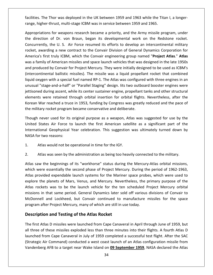The Thor was deployed in the UK between 1959 and 1963 while the Titan I, a longer-<br>The Thor was deployed in the UK between 1959 and 1963 while the Titan I, a longerhand the UK berthrust multi-stage Indees Incoherations.<br>Facilities. The Thor was deployed in the UK between 1959 and 1963 while the Tita<br>Therether-thrust, multi-stage ICBM was in service between 1959 and 1965. for was deployed in the UK between 1959 and 1963 while the Titan I, a longer-<br>Intigram and the Army missile program, which is the Army missile program, under<br>The Secame a priority, and the Army missile program, under facilities. The Thor was deployed in the UK between 1959 and 1963 while the Titan I, a longer-<br>range, higher-thrust, multi-stage ICBM was in service between 1959 and 1965.<br>Appropriations for weapons research became a prior facilitie

Thor was deployed in the UK between 1959 and 1963 while the Titan I, a longer-<br>thrust, multi-stage ICBM was in service between 1959 and 1965.<br>S for weapons research became a priority, and the Army missile program, under<br>of S. The Thor was deployed in the UK between 1959 and 1963 while the Titan I, a longer-<br>higher-thrust, multi-stage ICBM was in service between 1959 and 1965.<br>riations for weapons research became a priority, and the Army miss range, hig<br>Appropria<br>the direc<br>Concurrer<br>rocket, av First truly ICBM, was in service between 1959 and 1965.<br>
Example 5. The Convergence of Dr. von Braun, began its developmental work on the Redstone rocket.<br>
The U. S. Air Force resumed its efforts to develop an intercontine wasropriations for weapons research became a priority, and the Army missile program, under<br>direction of Dr. von Braun, began its developmental work on the Redstone rocket.<br>currently, the U. S. Air Force resumed its efforts to the direction of Dr. von Braun, began its developmental work on the Redstone rocket. direction of Dr. von Braun, began its developmental work on the Redstone rocket.<br>
currently, the U. S. Air Force resumed its efforts to develop an intercontinental military<br>
et, awarding a new contract to the Convair Divis Concurrently, the U.S. Air Force resumed its efforts to develop an intercontinental military ballistic missiles). The missile was a liquid propellant rocket that combined<br>ballistic missiles and space launch vehicles that was designed in the late 1950s<br>convair for Project Mercury. They were initially designed to be rocket, awarding a new contract to the Convair Division of General Dynamics Corporation for oxygen with a special fuel named RP-1. The Atlas was configured with three engines in an analy of American missiles and space launch vehicles that was designed in the late 1950s roduced by Convair for Project Mercury. They America's first truly ICBM, which the Convair engineering group named "Project Atlas." Atlas "s first truly ICBM, which the Convair engineering group named "**Project Atlas**." **Atlas**<br>"S first truly ICBM, which the Convair engineering group named "**Project Atlas**." **Atlas**<br>"Shaked by Convair for Project Mercury. Th was a family of American missiles and space launch vehicles that was designed in the late 1950s during ascent, which the convaint engineering group names. The reads that was designed in the late 1950s ced by Convair for Project Mercury. They were initially designed to be used as ICBM's nental ballistic missiles). The and produced by Convair for Project Mercury. They were initially designed to be used as ICBM's were the contribution of Project Mercury. They were initially designed to be used as ICBM's<br>inental ballistic missiles). The missile was a liquid propellant rocket that combined<br>gen with a special fuel named RP-1. The Atla (intercontinental ballistic missiles). The missile was a liquid propellant rocket that combined ation by convair for Freject Mereary. They were initially designed to be dised as resming<br>Intinental ballistic missiles). The missile was a liquid propellant rocket that combined<br>sygen with a special fuel named RP-1. The A liquid oxygen with a special fuel named RP-1. The Atlas was configured with three engines in an Iiquid oxygen with a special fuel named RP-1. The Atlas was configure<br>unusual "stage-and-a-half" or "Parallel Staging" design. Iits two outbor<br>jettisoned during ascent, while its center sustainer engine, propellant<br>element "stage-and-a-half" or "Parallel Staging" design. Iits two outboard booster engines were<br>ed during ascent, while its center sustainer engine, propellant tanks and other structural<br>s were retained through orbital insertion f jettisor ed during ascent, while its center sustainer engine, propellant tanks and other structural<br>
Is were retained through orbital insertion for orbital flights. Nevertheless, after the<br>
War reached a truce in 1953, funding by C elements we e retained through orbital insertion for orbital flights. Nevertheless, after the<br>eached a truce in 1953, funding by Congress was greatly reduced and the pace of<br>cket program became conservative and deliberate.<br>used for it Korea

the military rocket program became conservative and deliberate.<br>Though never used for its original purpose as a weapon, Atlas was suggested for use by the<br>United States Air Force to launch the first American satellite as a Though never used for its original purpose as a weapon, Atl<br>
United States Air Force to launch the first American satel<br>
International Geophysical Year celebration. This suggestion<br>
NASA for two reasons:<br>
1. Atlas would no United States Air Force to launch the first American satellite as a significant part of the<br>International Geophysical Year celebration. This suggestion was ultimately turned down by<br>NASA for two reasons:<br>1. Atlas would not International Geophysical Year celebration. This suggestion was ultimately turned down by<br>NASA for two reasons:<br>1. Atlas would not be operational in time for the IGY.<br>2. Atlas was seen by the administration as being too he

the

 $2.$ 

WASA for two reasons:<br>
1. Atlas would not be operational in time for the IGY.<br>
2. Atlas was seen by the administration as being too heavily connected to the military.<br>
Atlas saw the beginnings of its "workhorse" status dur Atlas would not be operational in time for the IGY.<br>Atlas was seen by the administration as being too heavily connected to the military.<br>Saw the beginnings of its "workhorse" status during the Mercury-Atlas orbital mission tlas was seen by the administration as being too heavily connected to the military.<br>
w the beginnings of its "workhorse" status during the Mercury-Atlas orbital missions,<br>
ere essentially the second phase of Project Mercur Atlas was seen by the administration as being too heavily connected to the military.<br>
saw the beginnings of its "workhorse" status during the Mercury-Atlas orbital missions,<br>
were essentially the second phase of Project Me missionsIf the beginnings of its "workhorse" status during the Mercury-Atlas orbital missions,<br>re essentially the second phase of Project Mercury. During the period of 1962-1963,<br>vided expendable launch systems for the Mariner spa  $\frac{1}{1}$ e segminings of its workingtoe states daring the increarly rides orsiten infestons,<br>ed expendable launch systems for the Mariner space probes, which were used to<br>planets of Mars, Venus, and Mercury. Nevertheless, the prima Atlas provided expendable launch systems for the Mariner space probexplore the planets of Mars, Venus, and Mercury. Nevertheless, the parties rockets was to be the launch vehicle for the ten scheduled F missions in that sa I expendable launch systems for the Marine<br>lanets of Mars, Venus, and Mercury. Never<br>was to be the launch vehicle for the ter<br>at same period. General Dynamics later so<br>nd Lockheed, but Convair continued to r<br>Project Mercur missions in that same period. General Dynamics later sold off various divisions of Convair to<br>McDonnell and Lockheed, but Convair continued to manufacture missiles for the space<br>program after Project Mercury, many of which McDonnell and Lockheed, but Convair continued to manufacture missiles for the space Donnell and Lockheed, but Convair continued to manufacture missiles for the space<br>gram after Project Mercury, many of which are still in use today.<br>**scription and Testing of the Atlas Rocket**<br>e first Atlas D missiles were program after Project Mercury, many of which are still in use today.

#### Description and Testing of the Atlas Rocket

The first Atlas D missiles were launched from Cape Canaveral in April through June of 1959, but fter Project Mercury, many of which are still in use today.<br> **ion and Testing of the Atlas Rocket**<br>
Itlas D missiles were launched from Cape Canaveral in April through June of 1959, but<br>
of these missiles exploded less tha ion and Testing of the Atlas Rocket<br>
tlas D missiles were launched from Cape Canaveral in April through June of 1959, but<br>
of these missiles exploded less than three minutes into their flights. A fourth Atlas D<br>
from Cape **1 and Testing of the Atlas Rocket**<br>
s D missiles were launched from Cape Canaveral in April through June of 1959, but<br>
hese missiles exploded less than three minutes into their flights. A fourth Atlas D<br>
m Cape Canaveral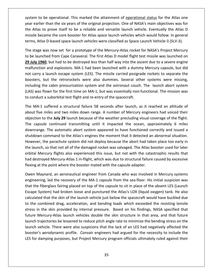to be operational. This marked the attainment of operational status for the Atlas one earlier than the six years of the original projection. One of the status for the Atlas one<br>than the six years of the original projection. One of NASA's main objectives was for Atlas to be operational. This marked the attainment of <u>operational status</u> for the Atlas one<br>
Atlas to prove itself to be a reliable and versatile launch vehicle. Eventually the Atlas D to be operational. This marked the attainment of <u>operational status</u> for the Atlas one<br>prier than the six years of the original projection. One of NASA's main objectives was for<br>as to prove itself to be a reliable and ver system to be operational. This marked the attainment of <u>operational status</u> for the Atlas one<br>year earlier than the six years of the original projection. One of NASA's main objectives was for<br>the Atlas to prove itself to em to be operational. This marked the attainment of <u>operational status</u> for the Atlas one<br>earlier than the six years of the original projection. One of NASA's main objectives was for<br>Atlas to prove itself to be a reliable ye ar earlier than the six years of the original projection. One of NASA's main objectives was for<br>
Exaltas to prove itself to be a reliable and versatile launch vehicle. Eventually the Atlas D<br>
ssile became the core booster the Atlas to prove itself to be a reliable and versatile launch vehicle. Eventually the Atlas D **In the Atlas to prove itself to be a reliable and versatile launch vehicle. Eventually the Atlas Desile became the core booster for Atlas space launch vehicles which would follow. In general ms, Atlas D-based space launch** missile beca terms, Atlas D-based space launch vehicles were classified as Space Launch Vehicle-3 (SLV-3).

terms,

me the core booster for Atlas space launch vehicles which would follow. In general<br>D-based space launch vehicles were classified as Space Launch Vehicle-3 (SLV-3).<br>Is now set for a prototype of the Mercury-Atlas rocket for is, Atlas D-based space launch vehicles were classified as Space Launch Vehicle-3 (SLV-3).<br>
stage was now set for a prototype of the Mercury-Atlas rocket for NASA's Project Mercury<br>
e launched from Cape Canaveral. The firs The stage was now set for a prototype of the Mercury-Atlas rocket for NASA's Project Mercury Was now set for a prototype of the Mercury-Atlas rocket for NASA's Project Mercury<br>ched from Cape Canaveral. The first Atlas D model flight test missile was launched on<br>50, but had to be destroyed less than half way into t to be launched from Cape Canaveral. The first Atlas D model flight test missile was launched on The cabin pressurization system and the astronaut couch. The launch abort system and explosions. MA-1 had been launched with a dummy Mercury capsule, but did a launch escape system (LES). The missile carried posigrade rock 29 July 1960, but had to be destroyed less than half way into the ascent due to a severe engine **y 1960**, but had to be destroyed less than half way into the ascent due to a severe engine<br>nction and explosions. MA-1 had been launched with a dummy Mercury capsule, but did<br>arry a launch escape system (LES). The missil malfunction and explosions. MA-1 had been launched with a dummy Mercury capsule, but did **EXAMP 2008**, sectional tests flood tests flight hall way like the asemal<br>function and explosions. MA-1 had been launched with a dumm<br>not carry a launch escape system (LES). The missile carried posigra<br>boosters, but the re carry a launch escape system (LES). The missile carried posigrade rockets to separate the<br>ters, but the retrorockets were also dummies. Several other systems were missing,<br>ding the cabin pressurization system and the astro boosters, but the retrorockets were also dummies. Several other systems were missing, In the retrorockets were also dummies. Several other systems were missing,<br>the cabin pressurization system and the astronaut couch. The launch abort system<br>vas flown for the first time on MA-1, but was essentially non-func including the cabin pressurization system and the astronaut couch. The launch abort system including the cabin pressurization system and the astronaut couch. The launch abort system (LAS) was flown for the first time on MA-1, but was essentially non-functional. The mission was to conduct a suborbital test flight to conduct a suborbital test flight and re-entry of the spacecraft.

was flown for the first time on MA-1, but was essentially non-functional. The mission was<br>nduct a suborbital test flight and re-entry of the spacecraft.<br>MA-1 suffered a structural failure 58 seconds after launch, as it rea suborbital test flight and re-entry of the spacecraft.<br>
uffered a structural failure 58 seconds after launch, as it reached an altitude of<br>
iles and two miles down range. A number of Mercury engineers had voiced their<br>
the The MA-1 suffered a structural failure 58 seconds after launch, as it reached an altitude of The MA-1 suffered a structural failure 58 seconds after launch, as it reached an altitude of<br>about five miles and two miles down range. A number of Mercury engineers had voiced their<br>objection to the **July 29** launch becau outeled a stractural tendor of Seconds after fadiler, as a reducted an althouse of<br>miles and two miles down range. A number of Mercury engineers had voiced their<br>to the **July 29** launch because of the weather precluding vi discut the limes and the limes down range. A hanneer of inerteary engineers had voiced then<br>objection to the **July 29** launch because of the weather precluding visual coverage of the flight.<br>The capsule continued transmitt or any the capsule continued transmitting until it impacted the ocean, approximately 6 miles downrange. The automatic abort system appeared to have functioned correctly and issued a shutdown command to the Atlas's engines downrange. The automatic abort system appeared to have functioned correctly and issued a destroyed Mercury-Atlas 1 in-flight. Which was due to structural failure caused by excessive<br>down command to the Atlas's engines the moment that it detected an abnormal situation.<br>ever, the parachute system did not deploy shutdown command to the Atlas's engines the moment that it detected an<br>However, the parachute system did not deploy because the abort had take<br>the launch, so that not all of the damaged rocket was salvaged. The Atlas be<br>or er, the parachute system did not deploy because the abort had taken place too early in<br>
inch, so that not all of the damaged rocket was salvaged. The Atlas booster used for later<br>
Mercury flights also experienced this issu the launch, so that not all of the damaged rocket was salvaged. The Atlas booster used for later b that not all of the damaged rocket was salvaged. The Atlas booster used for later<br>ury flights also experienced this issue, but not with the catastrophic results that<br>d Mercury-Atlas 1 in-flight, which was due to structur orbital Mercury flights also experienced this issue, but not with the catastrophic results that al Mercury flights also experienced this issue, but not with the catastrophic results that<br>destroyed Mercury-Atlas 1 in-flight, which was due to structural failure caused by excessive<br>ng at the point where the booster mate had destroyed Mercury-Atlas 1 in-flight, which was due to structural failure caused by excessive flexing at the point where the booster mated with the capsule adapter.

launch trajectories be lessened to reduce pitch angle rate to minimize the bending stress on the troyed Mercury-Atlas 1 in-flight, which was due to structural failure caused by excessive<br>at the point where the booster mated with the capsule adapter.<br>Aaynard, an aeronautical engineer from Canada who was involved in Mer he point where the booster mated with the capsule adapter.<br>
"nard, an aeronautical engineer from Canada who was involved in Mercury systems<br>
g, led the recovery of the MA-1 capsule from the sea-floor. His initial suspicion Owen Maynard, an aeronautical engineer from Canada who was involved in Mercury systems The combined drag, an aeronautical engineer from Canada who was involved in Mercury systems<br>tineering, led the recovery of the MA-1 capsule from the sea-floor. His initial suspicion was<br>t the fiberglass fairing placed on t engineering, led the recovery of the MA-1 capsule from the sea-floor. His initial suspicion was in the skin provided by internal pressure. Based on his findings. NASA specified that<br>the skin provided by internal pressure. Based to skin place of the absent LES (Launch<br>System) had broken loose and punctured the Atlas's that the fiberglass fairing placed on top of the capsule to sit in place of the absent LES (Launch Etherglass fairing placed on top of the capsule to sit in place of the absent LES (Launch<br>System) had broken loose and punctured the Atlas's LOX (liquid oxygen) tank. He also<br>ted that the skin of the launch vehicle just be Escape System) had broken loose and punctured the Atlas's LOX (liquid oxygen) tank. He also transition and broken loose and punctured the Atlas's LOX (liquid oxygen) tank. He also ted that the skin of the launch vehicle just below the spacecraft would have buckled due combined drag, acceleration, and bending load calculated that the skin of the launch vehicle just below the spacecraft would have buckled due vehicle. There were also suspicions that the lack of an LES had negatively affected the vehicle. There were also suspicions that the lack of an LES had negatively affected the vehicle. There were also suspicions that the l booster's aerodynamic profile. Convair engineers had argued for the necessity to include the combined drag, acceleration, and bending loads which exceeded the resisting tensile stress in the skin provided by internal press  $\frac{1}{2}$ stress in the skin provided by internal pressure. Based on his findings, NASA specified that<br>future Mercury-Atlas launch vehicles double the skin structure in that area, and that future<br>launch trajectories be lessened to r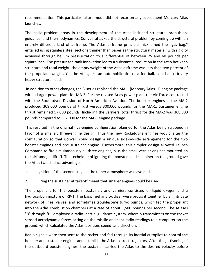This particular failure mode did not recur on any subsequent Mercury-Atlas recommendation. This particular failure mode did not recur on any subsequent Mercury-Atlas basic problem areas in the development of the Atlas included structure, propulsion.<br>The basic problem areas in the development of the Atlas included structure, propulsion, and thermodynamics. Convair attacked the structural problem areas in the development of the Atlas included structure, propulsion,<br>and thermodynamics. Convair attacked the structural problem by coming up with an launches.

recommendation. This particular failure mode did not recur on any subsequent Mercury-Atlas<br>launches.<br>The basic problem areas in the development of the Atlas included structure, propulsion,<br>guidance, and thermodynamics. Con endation. This particular failure mode did not recur on any subsequent Mercury-Atlas<br>
.<br>
.<br>
.<br>
.<br>
.<br>
.<br>
.<br>
problem areas in the development of the Atlas included structure, propulsion,<br>
.<br>
and thermodynamics. Convair attac problem areas in the development of the Atlas included structure, propulsion,<br>and thermodynamics. Convair attacked the structural problem by coming up with an<br>ifferent kind of airframe. The Atlas airframe principle, nickna The basic problem areas in the development of the Atlas included structure, propulsion, sic problem areas in the development of the Atlas included structure, propulsion,<br>re, and thermodynamics. Convair attacked the structural problem by coming up with an<br>different kind of airframe. The Atlas airframe principl guidance, and thermodynamics. Convair attacked the structural problem by coming up with an and thermodynamics. Convair attacked the structural problem by coming up with an<br>lifferent kind of airframe. The Atlas airframe principle, nicknamed the "gas bag,"<br>sing stainless steel sections thinner than paper as the st entirely different kind of airframe. The Atlas airframe principle, nicknamed the "gas bag," rely different kind of airframe. The Atlas airframe principle, nicknamed the "gas bag,"<br>iled using stainless steel sections thinner than paper as the structural material, with rigidity<br>eved through helium pressurization to entailed using stainless steel sections thinner than paper as the structural material, with rigidity orthomation<br>and using stainless steed through helium<br>inch. The pressurize<br>are and total weight;<br>opellant weight. Yet<br>structural loads.  $|c|$ ieved through helium pressurization to a differential of between 25 and 60 pounds per<br>uare inch. The pressurized tank innovation led to a substantial reduction in the ratio between<br>ucture and total weight; the empty weight square inch. The pressurized tank innovation led to a substantial reduction in the ratio between re inch. The pressurized tank innovation led to a substantial reduction in the ratio between<br>ture and total weight; the empty weight of the Atlas airframe was less than two percent of<br>propellant weight. Yet the Atlas, like structure and total weight; the empty weight of the Atlas airframe was less than two percent of ture and total weight; the empty weight of the Atlas airframe was less than two percent of<br>ropellant weight. Yet the Atlas, like an automobile tire or a football, could absorb very<br>structural loads.<br>dition to other changes the propellant weight. Yet the Atlas, like an automobile tire or a football, could absorb very heavy structural loads.

lant weight. Yet the Atlas, like an automobile tire or a football, could absorb very<br>ctural loads.<br>1 to other changes, the D series replaced the MA-1 (Mercury Atlas -1) engine package<br>er power plant for MA-2. For the revis structural loads.<br>ition to other changes, the D series replaced the MA-1 (Mercury Atlas -1) engine package<br>larger power plant for MA-2. For the revised Atlas power plant the Air Force contracted<br>ne Rocketdyne Division of N In addition to other changes, the D series replaced the MA-1 (Mercury Atlas -1) engine package with a larger power plant for MA-2. For the revised Atlas power plant the Air Force contracted a larger power plant for MA-2. For the revised Atlas power plant the Air Force contracted<br>the Rocketdyne Division of North American Aviation. The booster engines in the MA-2<br>uced 309,000 pounds of thrust versus 300,000 pou with the Rocketdyne Division of North American Aviation. The booster engines in the MA-2 he Rocketdyne Division of North American Aviation. The booster engines in the MA-2<br>ced 309,000 pounds of thrust versus 300,000 pounds for the MA-1. Sustainer engine<br>remained 57,000 pounds. Including the verniers, total thr produced 309,000 pounds of thrust versus 300,000 pounds for the MA-1. Sustainer engine thrust remained 57,000 pounds. Including the verniers, total thrust for the MA-2 was 368,000 pounds compared to 357,000 for the MA-1 engine package.

000 pounds of thrust versus 300,000 pounds for the MA-1. Sustainer engine,<br>
ed 57,000 pounds. Including the verniers, total thrust for the MA-2 was 368,000<br>
red to 357,000 for the MA-1 engine package.<br>
in the original five mained 57,000 pounds. Including the verniers, total thrust for the MA-2 was 368,000<br>compared to 357,000 for the MA-1 engine package.<br>Ilted in the original five-engine configuration planned for the Atlas being scrapped in<br>a mpared to 357,000 for the MA-1 engine package.<br>
Ed in the original five-engine configuration planned for the Atlas being scrapped in<br>
smaller, three-engine design. Thus the new Rocketdyne engines would alter the<br>
pon so th  $\overline{a}$ resulted in the original five-engine configuration planned for the Atlas being scrapped in<br>or of a smaller, three-engine design. Thus the new Rocketdyne engines would alter the<br>figuration so that Convair could design a uni the<br>c Fresulted in the onginal five engine<br>or of a smaller, three-engine desi<br>figuration so that Convair could<br>ster engines and one sustainer en<br>mand to fire simultaneously all th<br>airframe, at liftoff. The technique of<br>Atlas two  $cc$ Ignition of the second stage in the upper atmosphere was avoided.<br>
Ignition of the second stage in the upper atmosphere was avoided.<br>
1. Ignition of the second stage in the upper atmosphere was avoided. Frame Command to fire simultaneously all three engines, plus the small vernier engines mounted on<br>the airframe, at liftoff. The technique of igniting the boosters and sustainer on the ground gave<br>the Atlas two distinct adv propellant for the boosters. Sustainer, and sustainer on the ground gave<br>tlas two distinct advantages:<br>Ignition of the second stage in the upper atmosphere was avoided.<br>Firing the sustainer at takeoff meant that smaller en the Atlas two distinct advantages:

- $1<sub>i</sub>$
- 

sensed aerodynamic forces acting on the missile and sent radio readings to a computer on the ground, which calculated the Atlas' position, speed, and direction. m of the second stage in the upper atmosphere was avoided.<br>
the sustainer at takeoff meant that smaller engines could be used.<br>
int for the boosters, sustainer, and verniers consisted of liquid oxygen and a<br>
mixture of RPnition of the second stage in the upper atmosphere was avoided.<br>
Fing the sustainer at takeoff meant that smaller engines could be used.<br>

Intervalsed the propellant for the boosters, sustainer, and verniers consisted of l Firing the sustainer at takeoff meant that smaller engines could be used.<br>The propellant for the boosters, sustainer, and verniers consisted of liquid oxygen and a<br>hydrocarbon mixture of RP-1. The basic fuel and oxidizer w Firing the sustainer at takeoff meant that smaller engines could be used.<br>
propellant for the boosters, sustainer, and verniers consisted of liquid oxygen and a<br>
procarbon mixture of RP-1. The basic fuel and oxidizer were sensedppellant for the boosters, sustainer, and verniers consisted of liquid oxygen and a<br>arbon mixture of RP-1. The basic fuel and oxidizer were brought together by an intricate<br>k of lines, valves, and sometimes troublesome tur  $\frac{1}{2}$ me propenant for the soosters, sastance, and verniers consisted<br>hydrocarbon mixture of RP-1. The basic fuel and oxidizer were brough<br>network of lines, valves, and sometimes troublesome turbo pumps,<br>into the Atlas combustio rk of lines, valves, and sometimes troublesome turbo pumps, which fed the propellant<br>he Atlas combustion chambers at a rate of about 1,500 pounds per second. The Atlases<br>rough "D" employed a radio-inertial guidance system, into the Atlas combustion chambers at a rate of about 1,500 pounds per second. The Atlases Atlas combustion chambers at a rate of about 1,500 pounds per second. The Atlases<br>ugh "D" employed a radio-inertial guidance system, wherein transmitters on the rocket<br>aerodynamic forces acting on the missile and sent radi "B" through "D" employed a radio-inertial guidance system, wherein transmitters on the rocket through "D" employed a radio-inertial guidance system, wherein transmitters on the rocket<br>ed aerodynamic forces acting on the missile and sent radio readings to a computer on the<br>ind, which calculated the Atlas' position,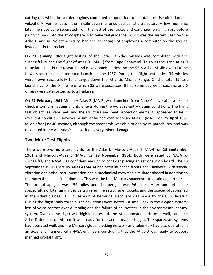off. while the vernier engines continued in operation to maintain precise direction and At vernier cutoff the missile began its unguided ballistic trajectory. A few moments<br>At vernier cutoff the missile began its unguided ballistic trajectory. A few moments the nose continued in operation to maintain precise direction and<br>the nose cone separated from the rest of the rocket and continued on a high arc before<br>the nose cone separated from the rest of the rocket and continued on ff, while the vernier engines continued in operation to maintain precise direction and<br>At vernier cutoff the missile began its unguided ballistic trajectory. A few moments<br>nose cone separated from the rest of the rocket an g off, while the vernier engines continued in operation to maintain precise direction and<br>ty. At vernier cutoff the missile began its unguided ballistic trajectory. A few moments<br>the nose cone separated from the rest of th cutting off, while the vernie<br>velocity. At vernier cutoff t<br>later the nose cone separat<br>plunging back into the atmo<br>Atlas D and in Project Mere city. At vernier cutoff the missile began its unguided ballistic trajectory. A few moments<br>
r the nose cone separated from the rest of the rocket and continued on a high arc before<br>
ging back into the atmosphere. Radio-ine later the nose cone separated from the rest of the rocket and continued on a high arc before ose cone separated from the rest of the rocket and continued on a high arc before<br>ack into the atmosphere. Radio-inertial guidance, which was the system used on the<br>d in Project Mercury, had the advantage of employing a co plunging back into the atmosphere. Radio-inertial guidance, which was the system used on the Inging back into the atmosphere. Radio-inertial guidance, which was the system used on the<br>as D and in Project Mercury, had the advantage of employing a computer on the ground<br>tead of in the rocket.<br>**23 January 1961** fligh Atlas D and in Project Mercury, had the advantage of employing a computer on the ground instead of in the rocket.

Shapes at the first attempted launch in June 1957. During this flight test series. 35 missiles at the first attempted launch and flight of Atlas D (MA-1) from Cape Canaveral. This was the 32nd Atlas D aunched in the resear **Solution:**<br> **Solution:** 1961 flight testing of the Series D Atlas missiles was completed with the<br>
sfull launch and flight of Atlas D (MA-1) from Cape Canaveral. This was the 32nd Atlas D<br>
launched in the research and dev On 23 January 1961 flight testing of the Series D Atlas missiles was completed with the **uary 1961** flight testing of the Series D Atlas missiles was completed with the aunch and flight of Atlas D (MA-1) from Cape Canaveral. This was the 32nd Atlas D hed in the research and development series and the 55th Atl of **Example 2002** ingit testing of the successful launch and flight of Atlas D (MA-1<br>to be launched in the research and developm<br>flown since the first attempted launch in Ju<br>were flown successfully to a target down<br>launchi **21 February 1961** Mercury-Atlas 2 (MA-2) was launched from Cape Canaveral in a test to the first attempted launch in June 1957. During this flight test series, 35 missiles e flown successfully to a target down the Atlanti flown since the first attempted launch in June 1957. During this flight test series, 35 missiles since the first attempted launch in June 1957. During this flight test series, 35 missiles<br>flown successfully to a target down the Atlantic Missile Range. Of the total 49 test<br>ings for the D missile of which 35 were succes were flown successfully to a target down the Atlantic Missile Range. Of the total 49 test e flown successfully to a target down the Atlantic Missile Range. Of the total 49 test<br>chings for the D missile of which 35 were successes, 8 had some degree of success, and 6<br>rs were categorized as total failures.<br>1 **Tebr** launchings for the D missile of which 35 were successes, 8 had some degree of success, and 6 others were categorized as total failures.

s for the D missile of which 35 were successes, 8 had some degree of success, and 6<br>re categorized as total failures.<br>**bruary 1961** Mercury-Atlas 2 (MA-2) was launched from Cape Canaveral in a test to<br>ximum heating and its is were categorized as total failures.<br> **February 1961** Mercury-Atlas 2 (MA-2) was launched from Cape Canaveral in a test to<br>
maximum heating and its effects during the worst re-entry design conditions. The flight<br>
bjectiv On 21 February 1961 Mercury-Atlas 2 (MA-2) was launched from Cape Canaveral in a test to On 21 February 1961 Mercury-Atlas 2 (MA-2) was launched from<br>check maximum heating and its effects during the worst re-entry<br>test objectives were met, and the structure and heat protection<br>excellent condition. However, a s I February 1961 Mercury-Atl<br>maximum heating and its et<br>bijectives were met, and the<br>ent condition. However, a si<br>after just 40 seconds, althou<br>ered in the Atlantic Ocean wit<br>**More Test Flights** excellent condition. However, a similar launch with Mercury-Atlas 3 (MA-3) on **25 April 1961**<br>failed after just 40 seconds, although the spacecraft was able to deploy its parachutes, and was<br>recovered in the Atlantic Ocean Failed after just 40 seconds, although the spacecraft was able to deploy its parachutes, and was<br> **1961** recovered in the Atlantic Ocean with only very minor damage.<br> **1961** and Mercury-Atlas 5 (MA-5) on 29 November 1961. recovered in the Atlantic Ocean with only very minor damage.

#### **Two More Test Flights**

Atlas

Atlas D demonstrated that it was ready for the actual manned flight. The spacecraft systems<br>had operated well, and the Mercury global tracking network and telemetry had also operated in and NASA was confident enough to consider placing an astronaut on board. The 13<br>and NASA was confident enough to consider placing an astronaut on board. The 13<br>and NASA was confident enough to consider placing an astronaut **1961 Flights**<br>
1961 Mercury-Atlas 5 (MA-5) on 29 November 1961. Both were rated by NASA as<br>
1961 Mercury-Atlas 4 (MA-4) had been launched from Cape Canaveral with special<br>
1961 Mercury-Atlas 4 (MA-4) had been launched fro re Test Flights<br>re two more test flights for the Atlas D, Mercury-Atlas 4 (MA-4) on 13 September<br>I Mercury-Atlas 5 (MA-5) on 29 November 1961. Both were rated by NASA as<br>I, and NASA was confident enough to consider placing There were two more test flights for the Atlas D, Mercury-Atlas 4 (MA-4) on 13 September There were two more test flights for the Atlas D, Mercury-Atlas 4 (MA-4) on **13 September**<br>**1961** and Mercury-Atlas **5** (MA-5) on **29 November 1961.** Both were rated by NASA as<br>successful, and NASA was confident enough to and Mercury-Atlas 5 (MA-5) on 29 November 1961. Both were rated by NASA as essful, and NASA was confident enough to consider placing an astronaut on board. The 13 ember 1961 Mercury-Atlas 4 (MA-4) had been launched from C successful, a<br>successful, a<br>September<br>vibration and<br>the orbital orbital timing device triggered the retrograde rockets, and the spacecraft splashed<br>orbital timing device triggered the retrograde rockets, and the spacecraft equipment. This was the first Mercury spacecraft to attain an .<br>. Subsection, and Nustrian seminative energy to consider pidents and consider on source in the special vibration and noise instrumentation and a mechanical crewman simulator aboard in addition to the normal spacecraft equipm The flight, only three slight deviations were noted - a small leak in the oxygen system;<br>the flight, only three slight deviations were noted to act an earth orbit.<br>bital apogee was 154 miles and the perigee was 96 miles. A vibration and noise instrumentation and a mechanical crewman simulator aboard in addition to<br>the normal spacecraft equipment. This was the first Mercury spacecraft to attain an earth orbit. normal spacecraft equipment. This was the first Mercury spacecraft to attain an earth orbit.<br>
orbital apogee was 154 miles and the perigee was 96 miles. After one orbit, the<br>
ecraft's orbital timing device triggered the re The orbital apogee was 154 miles and the perigee was 96 miles. After one orbit, the Ital apogee was 154 miles and the perigee was 96 miles. After one orbit, the<br>ft's orbital timing device triggered the retrograde rockets, and the spacecraft splashed<br>tlantic Ocean 161 miles east of Bermuda. Recovery was ma spacecraft's orbital timing device triggered the retrograde rockets, and the spacecraft splashed Profiled that it was ready for the actual manned flight. The spacecraft sylashed<br>atlantic Ocean 161 miles east of Bermuda. Recovery was made by the USS Decatur.<br>g the flight, only three slight deviations were noted - a sma in the Atlantic Ocean 161 miles east of Bermuda. Recovery was made by the USS Decatur. operated well, and the Mercury global tracking network and telemetry had so operated well, and the flight, only three slight deviations were noted - a small leak in the oxygen system; of voice contact over Australia; and t During the flight, only three slight deviations were noted - a small leak in the oxygen system; Figure Manner Secent 151 milles case of Bermadar incestery mas midde by the 600 Becausing<br>ing the flight, only three slight deviations were noted - a small leak in the oxygen system;<br>is of voice contact over Australia; and Barm<sub>B</sub> the mgnt, om-<br>loss of voice contact<br>system. Overall, the<br>Atlas D demonstrated<br>had operated well, an<br>an excellent manner,<br>manned orbital flight.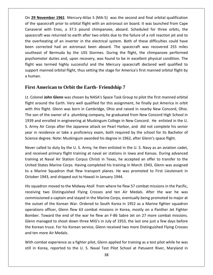**<sup>29</sup> November <sup>1961</sup>** Mercury-Atlas <sup>5</sup> (MA-5) was the second and final orbital qualification **29 November 1961** Mercury-Atlas 5 (MA-5) was the second and final orbital qualification<br>the spacecraft prior to orbital flight with an astronaut on board. It was launched from Cape ember 1961 Mercury-Atlas 5 (MA-5) was the second and final orbital qualification<br>ecraft prior to orbital flight with an astronaut on board. It was launched from Cape<br>with Enos, a 37.5 pound chimpanzee, aboard. Scheduled fo ember 1961 Mercury-Atlas 5 (MA-5) was the second and final orbital qualification<br>ecraft prior to orbital flight with an astronaut on board. It was launched from Cape<br>with Enos, a 37.5 pound chimpanzee, aboard. Scheduled fo **29 November 1961** Mercury-Atlas 5 (MA-5) was the second and final orbital qualification<br>ne spacecraft prior to orbital flight with an astronaut on board. It was launched from Cape<br>averal with Enos, a 37.5 pound chimpanzee On 29 November 1961 Mercury-Atlas 5 (MA-5) was the second and final orbital qualification **November 1961** Mercury-Atlas 5 (MA-5) was the second and final orbital qualification spacecraft prior to orbital flight with an astronaut on board. It was launched from Cape eral with Enos, a 37.5 pound chimpanzee, aboard on **ED ROCET 1992** Werearly Atlas 9 (WAT 9) Was the second that that orbital qualification<br>of the spacecraft prior to orbital flight with an astronaut on board. It was launched from Cape<br>Canaveral with Enos, a 37.5 pound c Canaveral with Enos, a 37.5 pound chimpanzee, aboard. Scheduled for three orbits, the and photocology and the matter and associated on board. To the radiotical nontroled to the setterned to earth after two orbits due to the failure of a roll reaction jet and to mg of an inverter in the electrical system. Bo spacecraft was returned to earth after two orbits due to the failure of a roll reaction jet and to eral with Enos, a 37.5 pound emmipance, assurd. Scheduled for three orsits, the<br>raft was returned to earth after two orbits due to the failure of a roll reaction jet and to<br>verheating of an inverter in the electrical syste the overheating of an inverter in the electrical system. Both of these difficulties could have manned orbital flight, thus setting the stage for America's first manned orbital flight and an astronaut been aboard. The spacecraft was recovered 255 miles start of Bermuda by the USS Stormes. During the flight, the chimp the overneat<br>been correcte<br>southeast of<br>psychomotor<br>flight was ter<br>support mann<br>a human. flight was termed highly successful and the Mercury spacecraft declared well qualified to ht was termed highly successful and the Mercury spacecraft declared well qualified to<br>pport manned orbital flight, thus setting the stage for America's first manned orbital flight by<br>uman.<br>**Colonel John Glenn** was chosen b support manned orbital flight, thus setting the stage for America's first manned orbital flight by a human.

## **First American to Orbit the Earth- Friendship 7** 1939

the

rt manned orbital flight, thus setting the stage for America's first manned orbital flight by<br>an.<br>**American to Orbit the Earth- Friendship 7**<br>lonel **John Glenn** was chosen by NASA's Space Task Group to pilot the first mann a human.<br>**First American to Orbit the Earth- Friendship 7**<br>Lt. Colonel **John Glenn** was chosen by NASA's Space Task Group to pilot the first manned orbital<br>flight around the Earth. Very well qualified for this assignment, st American to Orbit the Earth- Friendship 7<br>olonel John Glenn was chosen by NASA's Space Task Group to pilot the first manned orbital<br>t around the Earth. Very well qualified for this assignment, he finally put America in **FIRST American to Orbit the Earth- Friendship** 7<br>Lt. Colonel **John Glenn** was chosen by NASA's Space Task Group to pilot the first manned orbital<br>flight around the Earth. Very well qualified for this assignment, he finall Colonel John Glenn was chosen by NASA's Space Task Group to pilot the first manned orbital<br>ght around the Earth. Very well qualified for this assignment, he finally put America in orbit<br>th this flight. Glenn was born in Ca Ether a protect some stems was ensured by twisted space case order to priot the mist manned state.<br>
Flight around the Earth. Very well qualified for this assignment, he finally put America in orbit<br>
with this flight. Glenn with this flight. Glenn was born in Cambridge, Ohio and raised in nearby New Concord, Ohio. mant divertime the Lattin very wen quantied for this dissignment, he midity par vinience in one<br>with this flight. Glenn was born in Cambridge, Ohio and raised in nearby New Concord, Oh<br>The son of the owner of a plumbing co The son of the owner of a plumbing company, he graduated from New Concord High School in<br>1939 and enrolled in engineering at Muskingum College in New Concord. He enlisted in the U.<br>S. Army Air Corps after the Japanese atta If and enrolled in engineering at Muskingum College in New Concord. He enlisted in the U.<br>
Imy Air Corps after the Japanese attack on Pearl Harbor, and did not complete his senior<br>
in residence or take a proficiency exam, S. Army Air Corps after the Japanese attack on Pearl Harbor, and did not complete his senior Air Corps after the Japanese attack on Pearl Harbor, and did not complete his senior<br>residence or take a proficiency exam, both required by the school for its Bachelor of<br>degree. Note: Muskingum awarded his degree in 1962, year in Science degree. Note: Muskingum awarded his degree in 1962, after Glenn's space flight.

residence or take a proficiency exam, both required by the school for its Bachelor of<br>degree. Note: Muskingum awarded his degree in 1962, after Glenn's space flight.<br>called to duty by the U. S. Army, he then enlisted in th ence degree. Note: Muskingum awarded his degree in 1962, after Glenn's space flight.<br>Ver called to duty by the U. S. Army, he then enlisted in the U. S. Navy as an aviation cadet,<br>A received primary flight training at nava Never called to duty by the U.S. Army, he then enlisted in the U.S. Navy as an aviation cadet, Never called to duty by the U. S. Army, he then enlisted in the<br>and received primary flight training at naval air stations in lo<br>training at Naval Air Station Corpus Christi in Texas, he acce<br>United States Marine Corps. Ha and received primary flight training at naval air stations in Iowa and Kansas. During advanced<br>training at Naval Air Station Corpus Christi in Texas, he accepted an offer to transfer to the<br>United States Marine Corps. Havi Raval Air Station Corpus Christi in Texas, he accepted an offer to transfer to the<br>tes Marine Corps. Having completed his training in March 1943, Glenn was assigned<br>ne Squadron that flew transport planes. He was promoted t United States Marine Corps. Having completed his training in March 1943, Glenn was assigned to a Marine Squadron that flew transport planes. He was promoted to First Lieutenant in October 1943, and shipped out to Hawaii in January 1944.

<sup>JU</sup> Marine Corps. Having completed his training in March 1943, Glenn was assigned<br>quadron that flew transport planes. He was promoted to First Lieutenant in<br>and shipped out to Hawaii in January 1944.<br>noved to the Midway Atoll Marine Squadron that flew transport planes. He was promoted to First Lieutenant in<br>bber 1943, and shipped out to Hawaii in January 1944.<br>squadron moved to the Midway Atoll from where he flew 57 combat missions in the Pacif 43, and shipped out to Hawaii in January 1944.<br>
n moved to the Midway Atoll from where he flew 57 combat missions in the Pacific,<br>
wo Distinguished Flying Crosses and ten Air Medals. After the war he was<br>
ed a captain and His squadron moved to the Midway Atoll from where he flew 57 combat missions in the Pacific, His squadron moved to the Midway Atoll from where he flew 57 combat missions in the Pacific,<br>receiving two Distinguished Flying Crosses and ten Air Medals. After the war he was<br>commissioned a captain and stayed in the Mari managed to shoot down three Mig's in July of 1953, the last one just a few days before<br>managed to shoot down three Mightan and stayed in the Marine Corps, eventually being promoted to major at<br>tset of the Korean War. Order receiving two Distinguished Flying Crosses and ten Air Medals. After the war he was commissioned a captain and stayed in the Marine Corps, eventually being promoted to major at In missioned a captain and stayed in the Marine Corps, eventually being promoted to major at<br>outset of the Korean War. Ordered to South Korea in 1952 as a Marine fighter squadron<br>rations officer, Glenn flew 63 combat missi the outset of the Korean War. Ordered to South Korea in 1952 as a Marine fighter squadron the outset of the Korean Ward<br>operations officer, Glenn flev<br>Bomber. Toward the end of t<br>Glenn managed to shoot dow<br>the Korean truce. For his Kore<br>and ten more Air Medals. itions officer, Glenn flew 63 combat missions in Korea, mostly on a Panther Jet Fighter<br>ner. Toward the end of the war he flew an F-86 Sabre Jet on 27 more combat missions.<br>I managed to shoot down three MiG's in July of 19 Bomber. Toward the end of the war he flew an F-86 Sabre Jet on 27 more combat missions. ber. Toward the end of the war he flew an F-86 Sabre Jet on 27 more combat missions.<br>
In managed to shoot down three MiG's in July of 1953, the last one just a few days before<br>
Korean truce. For his Korean service, Glenn r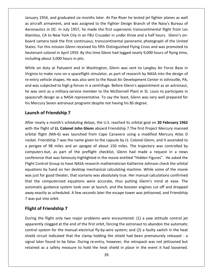1954, and graduated six months later. At Pax River he tested jetfighter planes as well and the Fightalian arm and the Mary 1954, and graduated six months later. At Pax River he tested jet fighter planes as well<br>The Navy 1954, and graduated six months later. At Pax River he tested jet fighter planes as well<br>T I, and graduated six months later. At Pax River he tested jet fighter planes as well<br>imament, and was assigned to the Fighter Design Branch of the Navy's Bureau of<br>in DC. In July 1957, he made the first supersonic transcon January 1954, and graduated six months later. At Pax River he tested jet fighter planes as well<br>as aircraft armament, and was assigned to the Fighter Design Branch of the Navy's Bureau of<br>Aeronautics in DC. In July 1957, h my 1954, and graduated six months later. At Pax River he tested jet fighter planes as well<br>raft armament, and was assigned to the Fighter Design Branch of the Navy's Bureau of<br>autics in DC. In July 1957, he made the first January 1954, and graduated six months later. At Pax River he tested jet fighter planes as well The this mission Glenn received his fifth Distinguished Flying Cross and was promoted to the Fighter Design Branch of the Navy's Bureau of utics in DC. In July 1957, he made the first supersonic transcontinental flight fro as aircraft armament, and was assigned to the Fighter Design Branch of the Navy's Bureau of Example 1 and was assigned to the Fighter Design Branch of the Navy's Bureau of<br>s in DC. In July 1957, he made the first supersonic transcontinental flight from Los<br>CA to New York City in an F8U Crusader in under three and Aeronautics in DC. In July 1957, he made the first supersonic transcontinental flight from Los about a mannerity and mas assigned<br>Aeronautics in DC. In July 1957, he ma<br>Alamitos, CA to New York City in an F8l<br>board camera took the first continuous<br>States. For this mission Glenn received l<br>lieutenant colonel in April os, CA to New York City in an F8U Crusader in under three and a half hours. Glenn's on-<br>camera took the first continuous, transcontinental panoramic photograph of the United<br>For this mission Glenn received his fifth Distin board camera took the first continuous, transcontinental panoramic photograph of the United amera took the first continuous, transcontinental panoramic photograph of the United<br>
For this mission Glenn received his fifth Distinguished Flying Cross and was promoted to<br>
In colonel in April 1959. By this time Glenn h States. For this mission Glenn received his fifth Distinguished Flying Cross and was promoted to States. For this mission Glenn received his fifth Distinguished Flying Cross and was promoted to<br>lieutenant colonel in April 1959. By this time Glenn had logged nearly 9,000 hours of flying time,<br>including about 3,000 hour

lieutenant colonel in April 1959. By this time Glenn had logged nearly 9,000 hours of flying time,<br>including about 3,000 hours in jets.<br>While on duty at Patuxent and in Washington, Glenn was sent to Langley Air Force Base uding about 3,000 hours in jets.<br>ile on duty at Patuxent and in Washington, Glenn was sent to Langley Air Force Base in<br>ginia to make runs on a spaceflight simulator, as part of research by NASA into the design of<br>entry ve While on duty at Patuxent and in Washington, Glenn was sent to Langley Air Force Base in duty at Patuxent and in Washington, Glenn was sent to Langley Air Force Base in<br>make runs on a spaceflight simulator, as part of research by NASA into the design of<br>hicle shapes. He was also sent to the Naval Air Developme Virginia to make runs on a spaceflight simulator, as part of research by NASA into the design of Virginia to make runs on a spaceflight simulator, as part of research by NASA<br>re-entry vehicle shapes. He was also sent to the Naval Air Development Cent<br>and was subjected to high g-forces in a centrifuge. Before Glenn's a o make runs on a spacetlight<br>vehicle shapes. He was also s<br>subjected to high g-forces in<br>ent as a military-service mer<br>ft design as a NASA represer<br>ury Seven astronaut program<br>**of Friendship 7** he was sent as a military-service member to the McDonnell Plant in St. Louis to participate in<br>spacecraft design as a NASA representative. To say the least, Glenn was very well prepared for<br>his Mercury Seven astronaut prog spacecraft design as a NASA representative. To say the least, Glenn was very well prepared for<br>his Mercury Seven astronaut programt despite not having his BS degree.<br>**Launch of Friendship 7**<br>After nearly a month's scheduli his Mercury Seven astronaut programt despite not having his BS degree.

#### Launch of Friendship 7

cury Seven astronaut programt despite not having his BS degree.<br> **1 of Friendship 7**<br>
Farly a month's scheduling delays, the U.S. reached its orbital goal on **20 February 1962**<br>
E flight of **Lt. Colonel John Glenn** aboard **n of Friendship 7**<br>Parly a month's scheduling delays, the U.S. reached its orbital goal on **20 February 1962**<br>E flight of **Lt. Colonel John Glenn** aboard Friendship 7.The first Project Mercury manned<br>flight (MA-6) was lau **unch of Friendship 7**<br>ter nearly a month's scheduling delays, the U.S. reached its orbital goal on **20 February 1962**<br>th the flight of **Lt. Colonel John Glenn** aboard Friendship 7.The first Project Mercury manned<br>bital fl After nearly a month's scheduling delays, the U.S. reached its orbital goal on 20 February 1962 put a month's scheduling delays, the U.S. reached its orbital goal on **20 February 1962**<br>ght of **Lt. Colonel John Glenn** aboard Friendship 7.The first Project Mercury manned<br>it (MA-6) was launched from Cape Canavera using with the flight of Lt. Colonel John Glenn aboard Friendship 7. The first Project Mercury manned a monaris scheduling delays, the sits reddined its cristial goal on 20 restrainy 1502<br>that of **Lt. Colonel John Glenn** aboard Friendship 7.The first Project Mercury manned<br>t (MA-6) was faunched from Cape Canavera using a m orbital flight (MA-6) was launched from Cape Canavera using a modified Mercury Atlas D I flight (MA-6) was launched from Cape Canavera using a modified Mercury Atlas D<br>
.. Friendship 7 was the name given to the capsule by Lt. Colonel Glenn, and it ascended to<br>
gee of 98 miles and an apogee of about 150 miles rocket. Friendship 7 was the name given to the capsule by Lt. Colonel Glenn, and it ascended to by the matching of mechanical calculating mechanical calculating is a mechanical calculating provided to of 98 miles and an apogee of about 150 miles. The trajectory was controlled by but, as part of the preflight checklis a perigee of 98 miles and an apogee of about 150 miles. The trajectory was controlled by entermention, the name site is the capture of the capture of the coloner stem, and it assessed to riggee of 98 miles and an apogee of about 150 miles. The trajectory was controlled by puters but, as part of the preflight c computers but, as part of the preflight checklist, Glenn had made a request in a news the computerized equations were accurate, thus putting Glenn's mind at ease. The controlled by utters but, as part of the preflight checklist, Glenn had made a request in a news rence that was famously highlighted in the m conference that was famously highlighted in the movie entitled "Hidden Figures". He asked the guidance system to the premight encember, seem that made a request in a nemeter.<br>
It that was famously highlighted in the movie entitled "Hidden Figures". He asked the<br>
rol Group to have NASA research mathematician Katheri awayExactly as scheduled. A few seconds later the escape tower was lettisoned the orbital<br>ions by hand on her desktop mechanical calculating machine. While some of the movie<br>ust for good theater, that scenario was absolutely t 7right control oroup to he<br>equations by hand on h<br>was just for good theater<br>that the computerized<br>automatic guidance syst<br>away exactly as schedule<br>7 was put into orbit. by hand on her desktop<br>
t for good theater, that scen<br>
e computerized equations<br>
stic guidance system took ov<br>
xactly as scheduled. A few se<br>
out into orbit.<br> **of Friendship 7** automatic guidance system took over at launch, and the booster engines cut off and dropped<br>away exactly as scheduled. A few seconds later the escape tower was jettisoned, and Friendship<br>7 was put into orbit.<br>Flight of Frie away exactly as scheduled. A few seconds later the escape tower was jettisoned, and Friendship<br> **Flight of Friendship 7**<br>
During the flight only two major problems were encountered: (1) a yaw attitude control jet<br>
apparent 7 was put into orbit.

#### Flight of Friendship 7

 $\overline{f}$ ut into orbit.<br> **Subset Friendship 7**<br>
the flight only two major problems were encountered: (1) a yaw attitude control jet<br>
tly clogged at the end of the first orbit, forcing the astronaut to abandon the automatic<br>
system of Friendship 7<br>the flight only two major problems were encountered: (1) a yaw attitude control jet<br>ently clogged at the end of the first orbit, forcing the astronaut to abandon the automatic<br>system for the manual electric If the flight only two major problems were encountered: (1) a yaw attitude control jet<br>
ently clogged at the end of the first orbit, forcing the astronaut to abandon the automatic<br>
I system for the manual electrical fly-b During the flight only two major problems were encountered: (1) a yaw attitude control jet is a safety measure to hold the heat shield in place in the event it had loosened.<br>As a safety measure of the first orbit, forcing the astronaut to abandon the automatic<br>ystem for the manual electrical fly-by-wire system;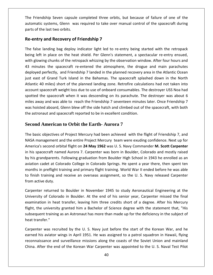Friendship Seven capsule completed three orbits, but because of failure of one of the ship Seven capsule completed three orbits, but because of failure of one of the systems. Glenn was required to take over manual control of the spacecraft during The Friendship Seven capsule<br>automatic systems, Glenn was<br>parts of the last two orbits. **and Recovery CONDEX**<br> **And Recovery of Friendship 7**<br> **COVER Recovery of Friendship 7** TheFriendship Seven capsule completed three orbits, but because of failure of one of the<br>matic systems, Glenn was required to take over manual control of the spacecraft during<br>is of the last two orbits.<br>**entry and Recovery of** automatic systems, Glenn was required to take over manual control of the spacecraft during automatic systems, Glenn was required to take over manual control of the spacecraft during<br>parts of the last two orbits.<br>**Re-entry and Recovery of Friendship 7**<br>The false landing bag deploy indicator light led to re-entry

#### Re-entry and Recovery of Friendship 7

of the last two orbits.<br> **entry and Recovery of Friendship 7**<br>
False landing bag deploy indicator light led to re-entry being started with the retropack<br>
glowing chunks of the retropack whizzing by the observation window. entry and Recovery of Friendship 7<br>false landing bag deploy indicator light led to re-entry being started with the retropack<br>ng left in place on the heat shield. Per Glenn's statement, a spectacular re-entry ensued,<br>n glow *Perfectly* of Friendship 7<br>
landing bag deploy indicator light led to re-entry being started with the retropack<br>
in place on the heat shield. Per Glenn's statement, a spectacular re-entry ensued,<br>
ing chunks of the retrop  $\mathbf{u}$ false landing bag deploy indicator light led to re-entry being started with the retropack<br>g left in place on the heat shield. Per Glenn's statement, a spectacular re-entry ensued,<br>glowing chunks of the retropack whizzing b  $\frac{1}{1}$ Francing sag deploy maleddor hight led to the entry seing started whil the retropact (ft in place on the heat shield. Per Glenn's statement, a spectacular re-entry ensued, wing chunks of the retropack whizzing by the obser being left in place on the heat shield. Per Glenn's statement, a spectacular re-entry ensued,<br>with glowing chunks of the retropack whizzing by the observation window. After four hours and spacecraft weight loss due to use of onboard consumables. The destroyer USS Noa had<br>spacecraft re-entered the atmosphere, the drogue and main parachutes<br>af perfectly, and Friendship 7 landed in the planned recovery area in 43 minutes the spacecraft re-entered the atmosphere, the drogue and main parachutes the spacecraft re-entered the atmosphere, the drogue and main parachutes<br>d perfectly, and Friendship 7 landed in the planned recovery area in the Atlantic Ocean<br>of Grand Turk Island in the Bahamas. The spacecraft splashed milities are spaced in the entered the dimespirere, the disguerant main parametes<br>deployed perfectly, and Friendship 7 landed in the planned recovery area in the Atlantic Ocean<br>just east of Grand Turk Island in the Bahamas gust east of Grand Turk Island in the Bahamas. The spacecraft splashed down in the North<br>Atlantic 40 miles) short of the planned landing zone. Retrofire calculations had not taken into<br>account spacecraft weight loss due to Atlantic 40 miles) short of the planned landing zone. Retrofire calculations had not taken into account spacecraft weight loss due to use of onboard consumables. The destroyer USS Noa had<br>spotted the spacecraft when it was descending on its parachute. The destroyer was about 6<br>miles away and was able to reach the Fri miles away and was able to reach the Friendship 7 seventeen minutes later. Once Friendship 7 s away and was able to reach the Friendship 7 seventeen minutes later. Once Friendship 7<br>hoisted aboard, Glenn blew off the side hatch and climbed out of the spacecraft, with both<br>astronaut and spacecraft reported to be in was hoisted aboard, Glenn blew off the side hatch and climbed out of the spacecraft, with both

#### **Second American to Orbit the Earth- Aurora 7**  $\mathcal{S}$

bisted aboard, Glenn blew off the side hatch and climbed out of the spacecraft, with both<br>tronaut and spacecraft reported to be in excellent condition.<br>**nd American to Orbit the Earth- Aurora 7**<br>asic objectives of Project the astror<br>**Second**<br>The basic<br>NASA mar aut and spacecraft reported to be in excellent condition.<br>**American to Orbit the Earth- Aurora 7**<br>objectives of Project Mercury had been achieved with the flight of Friendship 7, and<br>agement and the entire Project Mercury e basic objectives of Project Mercury had been achieved with the flight of Friendship 7, and<br>SA management and the entire Project Mercury team were exuding confidence. Next up for<br>nerica's second orbital flight on 24 May 1 e basic objectives of Project Mercury had been achieved with the flight of Friendship 7, and<br>SA management and the entire Project Mercury team were exuding confidence. Next up for<br>lerica's second orbital flight on 24 May 1 The basic objectives of Project Mercury had been achieved with the flight of Friendship 7, and c objectives of Project Mercury had been achieved with the flight of Friendship 7, and<br>anagement and the entire Project Mercury team were exuding confidence. Next up for<br>s second orbital flight on **24 May 1962** was U. S. N NASA management and the entire Project Mercury team were exuding confidence. Next up for in preflight training and primary flight training. World War II ended before he was able<br>in preflight training and primary flight on 24 May 1962 was U.S. Navy Commander M. Scott Carpenter<br>acceraft named Aurora 7. Carpenter America's second orbital flight on 24 May 1962 was U. S. Navy Commander M. Scott Carpenter finalisement and the entire rreject merearly ream were exaamig commander. Hext ap for<br>erica's second orbital flight on 24 May 1962 was U. S. Navy Commander M. Scott Carpenter<br>his spacecraft named Aurora 7. Carpenter was bo in his spacecraft named Aurora 7. Carpenter was born in Boulder, Colorado and mostly raised In his spacecraft nam<br>by his grandparents.<br>aviation cadet at Colo<br>months in preflight tr<br>to finish training and<br>from active dutv. dparents. Following graduation from Boulder High School in 1943 he enrolled as an<br>det at Colorado College in Colorado Springs. He spent a year there, then spent ten<br>preflight training and primary flight training. World War aviation cadet at Colorado College in Colorado Springs. He spent a year there, then spent ten det at Colorado College in Colorado Springs. He spent a year there, then spent ten<br>preflight training and primary flight training. World War II ended before he was able<br>aining and receive an overseas assignment, so the U.S months in preflight training and primary flight training. World War II ended before he was able eflight training and primary flight training. World War II ended before he was able<br>hing and receive an overseas assignment, so the U.S. Navy released Carpenter<br>uty.<br>turned to Boulder in November 1945 to study Aeronautical to fin from active duty.

sh training and receive an overseas assignment, so the U. S. Navy released Carpenter<br>ctive duty.<br>ter returned to Boulder in November 1945 to study Aeronautical Engineering at the<br>sity of Colorado in Boulder. At the end of duty.<br>eturned to Boulder in November 1945 to study Aeronautical Engineering at the<br>f Colorado in Boulder. At the end of his senior year, Carpenter missed the final<br>in heat transfer, leaving him three credits short of a deg Carpenter returned to Boulder in November 1945 to study Aeronautical Engineering at the Carpenter returned t<br>University of Colorad<br>examination in heat<br>flight, the university g<br>subsequent training a<br>heat transfer." of Colorado in Boulder. At the end of his senior year, Carpenter missed the final<br>n in heat transfer, leaving him three credits short of a degree. After his Mercury<br>university granted him a Bachelor of Science degree with examin ation in heat transfer, leaving him three credits short of a degree. After his Mercury<br>ne university granted him a Bachelor of Science degree with the statement that, "His<br>ient training as an Astronaut has more than made u flight, the university granted him a Bachelor of Science degree with the statement that, "His rsity granted him a Bachelor of Science degree with the statement that, "His<br>hing as an Astronaut has more than made up for the deficiency in the subject of<br>recruited by the U. S. Navy just before the start of the Korean W subsequent training as an Astronaut has more than made up for the deficiency in the subject of

uent training as an Astronaut has more than made up for the deficiency in the subject of<br>ansfer."<br>ter was recruited by the U. S. Navy just before the start of the Korean War, and he<br>his aviator wings in April 1951. He was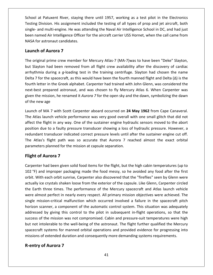at Patuxent River, staying there until 1957, working as <sup>a</sup> test pilot in the Electronics and the testion of the testion of the testing there until and the state of all the test pilot in the Electronics<br>Division. His assignment included the testing of all types of prop and jet aircraft, both at Patuxent River, staying there until 1957, working as a test pilot in the Electronics<br>Division. His assignment included the testing of all types of prop and jet aircraft, both<br>and multi-engine. He was attending the Naval named Air Intelligence Officer for the aircraft carrier USS Hornet, when the call came from<br>
Intelligence Officer for the aircraft carrier USS Hornet, when the call came from School at Patuxent River, staying there until 1957, working as a test pilot in the Electronics Testing Division. His assignment included the testing of all types of prop and jet aircraft, both single- and multi-engine. He **Example 12**<br> **Example 12**<br> **Constribution**<br> **Constribution**<br> **Constribution**<br> **Constribution**<br> **Constribution**<br> **Constribution**<br> **Constribution**<br> **Constribution**<br> **Constribution**<br> **Constribution**<br> **Constribution**<br> **Constr** single- and multi-engine. He was attending the Naval Air Intelligence School in DC, and had just single- and multi-engine. He was attending the Naval Air Intelligence School in DC, and had just<br>been named Air Intelligence Officer for the aircraft carrier USS Hornet, when the call came from<br>NASA for astronaut candidate named Air Intelligence Officer for the aircraft carrier USS Hornet, when the call came from<br>A for astronaut candidates.<br>**nch of Aurora 7**<br>original prime crew member for Mercury Atlas-7 (MA-7)was to have been "Deke" Slayton NASA for astronaut candidates.

#### Launch of Aurora 7

NASA

during a *g*-loading test in the training centrifuge. Slayton had been removed from all flight crew availability after the discovery of cardiac during a *g*-loading test in the training centrifuge. Slayton had chosen the n **ch of Aurora 7**<br>riginal prime crew member for Mercury Atlas-7 (MA-7)was to have been "Deke" Slayton,<br>ayton had been removed from all flight crew availability after the discovery of cardiac<br>thmia during a *g*-loading tes **h of Aurora 7**<br>Iginal prime crew member for Mercury Atlas-7 (MA-7)was to have been "Deke" Slayton,<br>Iyton had been removed from all flight crew availability after the discovery of cardiac<br>Inia during a g-loading test in t The original prime crew member for Mercury Atlas-7 (MA-7) was to have been "Deke" Slayton, al prime crew member for Mercury Atlas-7 (MA-7)was to have been "Deke" Slayton,<br>n had been removed from all flight crew availability after the discovery of cardiac<br>a during a g-loading test in the training centrifuge. Sla but Slayton had been removed from all flight crew availability after the discovery of cardiac The mission had been removed from all flight crew availability after the discovery of cardiac<br>
Amia during a g-loading test in the training centrifuge. Slayton had chosen the name<br>
7 for the spacecraft, as this would have arrhythmia during a g-<br>Delta 7 for the spacecra<br>fourth letter in the Gree<br>next-best prepared astration the mission, he re<br>of the new age Delta 7 fourth letter in the Greek alphabet. Carpenter had trained with John Glenn, was considered the next-best prepared astronaut, and was chosen to fly Mercury Atlas 6. When Carpenter was given the mission, he renamed it *Auror* th letter in the Greek alphabet. Carpenter had trained with John Glenn, was considered the<br>-best prepared astronaut, and was chosen to fly Mercury Atlas 6. When Carpenter was<br>n the mission, he renamed it *Aurora* 7 for the next-<mark>l</mark> given the mission, he renamed it Aurora 7 for the open sky and the dawn, symbolizing the dawn of the new age

est prepared astronaut, and was chosen to fly Mercury Atlas 6. When Carpenter was<br>the mission, he renamed it *Aurora* 7 for the open sky and the dawn, symbolizing the dawn<br>new age<br>10 of MA 7 with Scott Carpenter aboard occ e mission, he renamed it *Aurora* 7 for the open sky and the dawn, symbolizing the dawn<br>w age<br>of MA 7 with Scott Carpenter aboard occurred on **24 May 1962** from Cape Canaveral.<br>Is launch vehicle performance was very good o of the new age<br>Launch of MA 7 with Scott Carpenter aboard occurred on **24 May 1962** from Cape Canaveral.<br>The Atlas launch vehicle performance was very good overall with one small glitch that did not<br>affect the flight in an ch of MA 7 with Scott Carpenter aboard occurred on **24 May 1962** from Cape Canaveral.<br>Atlas launch vehicle performance was very good overall with one small glitch that did not<br>t the flight in any way. One of the sustainer Finary Markovich Charlon at the Milestonian Scale of the Mileston affect the flight in any way. One of the sustainer engine hydra position due to a faulty pressure transducer showing a loss of redundant transducer indicate as launch vehicle perfor<br>he flight in any way. On<br>a due to a faulty pressu<br>ant transducer indicated<br>las's flight path was s<br>sters planned for the mis<br>**of Aurora 7** redundant transducer indicated correct pressure levels until after the sustainer engine cut off. transducer indicated correct pressure levels until after the sustainer engine cut off.<br>
s flight path was so accurate that Aurora 7 reached almost the exact orbital<br>
s planned for the mission at capsule separation.<br> **Auror** The Atlas's flight path was so accurate that Aurora 7 reached almost the exact orbital Atlas's flight path was so accurate that Aurora 7 reached almost the exact orbital<br>meters planned for the mission at capsule separation.<br>**ht of Aurora 7**<br>enter had been given solid food items for the flight, but the high c parameters planned for the mission at capsule separation.

#### **Flight of Aurora 7**

but not intolerable to the well-being of the astronaut. The flight further qualified the Mercury eters planned for the mission at capsule separation.<br> **tof Aurora 7**<br>
Ther had been given solid food items for the flight, but the high cabin temperatures (up to<br>
i) and improper packaging made the food messy, so he avoide of **Aurora 7**<br>In that been given solid food items for the flight, but the high cabin temperatures (up to<br>and improper packaging made the food messy, so he avoided any food after the first<br>ith each orbit sunrise, Carpenter **ht of Aurora 7**<br>
enter had been given solid food items for the flight, but the high cabin temperatures (up to<br>
<sup>e</sup>F) and improper packaging made the food messy, so he avoided any food after the first<br>
t. With each orbit s Carpenter had been given solid food items for the flight, but the high cabin temperatures (up to nter had been given solid food items for the flight, but the high cabin temperatures (up to<br>
F) and improper packaging made the food messy, so he avoided any food after the first<br>
With each orbit sunrise, Carpenter also di  $\frac{1}{2}$ mal been given solarized items for the ingit, but the ingit cabin temperatures (up to and improper packaging made the food messy, so he avoided any food after the first With each orbit sunrise, Carpenter also discovered th orbit. With each orbit sunrise, Carpenter also discovered that the "fireflies" seen by Glenn were ina improper pastaging made the tood messy, so he avoided any local after the mot<br>ith each orbit sunrise, Carpenter also discovered that the "fireflies" seen by Glenn were<br>ice crystals shaken loose from the exterior of the actually ice crystals shaken loose from the exterior of the capsule. Like Glenn, Carpenter circled<br>the Earth three times. The performance of the Mercury spacecraft and Atlas launch vehicle<br>were almost perfect in nearly eve the Earth three times. The performance of the Mercury spacecraft and Atlas launch vehicle For the times. The performance of the Mercury spacecraft and Atlas launch vehicle<br>most perfect in nearly every respect. All primary mission objectives were achieved. The<br>nission-critical malfunction which occurred involved but not intolerable to the well-being of the astronaut. The flight further qualified the Mercury simple mission-critical malfunction which occurred involved a failure in the spacecraft pitch horizon scanner, a component of single mission-critical malfunction which occurred involved a failure in the spacecraft pitch solid experience in hearty every respect. All primary mission espectives were demerted. The ion-critical malfunction which occurred involved a failure in the spacecraft pitch inner, a component of the automatic control sys mission entitial manufactor which occurred involved a rande in the spacecraft pits<br>horizon scanner, a component of the automatic control system. This situation was adequate<br>addressed by giving this control to the pilot in canner, a component<br>d by giving this contr<br>f the mission was not<br>ntolerable to the well-<br>t systems for mannec<br>of extended duration a<br>**of Aurora 7**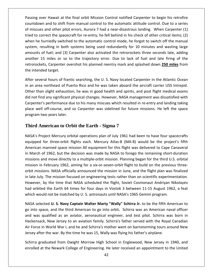over Hawaii at the final orbit Mission Control notified Carpenter to begin his retrofire and to shift from manual control in the automatic dispense to the final orbit mission control notified Carpenter to begin his retrofire<br>The shift from manual control to the automatic attitude control. Due to a series ssing over Hawaii at the final orbit Mission Control notified Carpenter to begin his retrofire<br>untdown and to shift from manual control to the automatic attitude control. Due to a series<br>miscues and other pilot errors. Aur the spacecraft for re-entry, he fell behind in his check of other critical items; (2)<br>to correct the spacecraft for re-entry, he fell behind in his check of other critical items; (2)<br>to correct the spacecraft for re-entry, g over Hawaii at the final orbit Mission Control notified Carpenter to begin his retrofire<br>down and to shift from manual control to the automatic attitude control. Due to a series<br>cues and other pilot errors, Aurora 7 had Passing over Hawaii at the final orbit Mission Control notified Carpenter to begin his retrofire both Frem and to shift from manual control notified Carpenter to begin his retrofire<br>wh and to shift from manual control to the automatic attitude control. Due to a series<br>es and other pilot errors, Aurora 7 had a near-dis amounts and the second interview of the contribution in the contribution in the contribution in the contributi<br>The contribution in the contribution in the contribution in the contribution in the contribution in the contri of fuel; and (3) Carpenter also activated the retrorockets three seconds late, adding<br>of fuel; and other pilot errors, Aurora 7 had a near-disastrous landing. When Carpenter (1)<br>orrect the spacecraft for re-entry, he fell of miscues and other pilot errors, Aurora 7 had a near-disastrous landing. When Carpenter (1) 15 miles or so to the trajectory error. Due to lack of the distribution of the Carpenter (1)<br>16 orrect the spacecraft for re-entry, he fell behind in his check of other critical items; (2)<br>16 hurriedly switched to the auto retrorockets and other pinct errors, Adrond 7 had a hear disastrods landing: When earpenter (1)<br>tried to correct the spacecraft for re-entry, he fell behind in his check of other critical items; (2)<br>when he hurriedly switc  $\frac{1}{1}$ when he hurriedly switched to the automatic control mode, he forgot to switch off the manual system, resulting in both systems being used redundantly for 10 minutes and wasting large amounts of fuel; and (3) Carpenter also m, resulting in both systems being used redundantly for 10 minutes and wasting large<br>nts of fuel; and (3) Carpenter also activated the retrorockets three seconds late, adding<br>er 15 miles or so to the trajectory error. Due amounts of fuel; and (3) Carpenter also activated the retrorockets three seconds late, adding amounts of fuel; and (3) Carpenter also activated the retrorockets three seconds late, adding<br>another 15 miles or so to the trajectory error. Due to lack of fuel and late firing of the<br>retrorockets, Carpenter overshot his er 15 miles or so to the trajectory error. Due to lack of fuel and late firing of the<br>pckets, Carpenter overshot his planned reentry mark and splashed down 250 miles from<br>ended target.<br>everal hours of frantic searching, th retrorockets, Carpenter overshot his planned reentry mark and splashed down 250 miles from

orockets, Carpenter overshot his planned reentry mark and splashed down **250 miles** from<br>intended target.<br>Preseveral hours of frantic searching, the U.S. Navy located Carpenter in the Atlantic Ocean<br>in area northeast of Pu the intended target.<br>After several hours of frantic searching, the U. S. Navy located Carpenter in the Atlantic Ocean<br>in an area northeast of Puerto Rico and he was taken aboard the aircraft carrier USS Intrepid.<br>Other tha  $\mathbf{r}$ several hours of frantic searching, the U. S. Navy located Carpenter in the Atlantic Ocean<br>area northeast of Puerto Rico and he was taken aboard the aircraft carrier USS Intrepid.<br>than slight exhaustion, he was in good hea programa northeast of Puert<br>an slight exhaustion,<br>nd any significant ph<br>r's performance due<br>II off-course, and so<br>two vears later. Carpenter's performance due to his many miscues which resulted in re-entry and landing taking er's performance due to his many miscues which resulted in re-entry and landing taking<br>ell off-course, and so Carpenter was sidelined for future missions. He left the space<br>1 two years later.<br>**American to Orbit the Earth** place well off-course, and so Carpenter was sidelined for future missions. He left the space program two years later.

## **Third American to Orbit the Earth - Sigma 7** missions

when<br>when

off-course, and so Carpenter was sidelined for future missions. He left the space<br>wo years later.<br>**nerican to Orbit the Earth - Sigma 7**<br>pject Mercury orbital operations plan of July 1961 had been to have four spacecrafts<br> wo years later.<br> **merican to Orbit the Earth - Sigma 7**<br>
pject Mercury orbital operations plan of July 1961 had been to have four spacecrafts<br>
for three-orbit flights each. Mercury Atlas-8 (MA-8) would be the project's fif nird American to Orbit the Earth - Sigma 7<br>SA's Project Mercury orbital operations plan of July 1961 had been to have four spacecrafts<br>uipped for three-orbit flights each. Mercury Atlas-8 (MA-8) would be the project's fift merican to Orbit the Earth - Sigma 7<br>
roject Mercury orbital operations plan of July 1961 had been to have four spacecrafts<br>
I for three-orbit flights each. Mercury Atlas-8 (MA-8) would be the project's fifth<br>
i manned spa NASA's Project Mercury orbital operations plan of July 1961 had been to have four spacecrafts NASA's Project Mercury orbital operations plan of July 1961 had been to have four spacecrafts<br>equipped for three-orbit flights each. Mercury Atlas-8 (MA-8) would be the project's fifth<br>American manned space mission All equ of three-orbit flights each. Mercury Atlas-8 (MA-8) would be the project's fifth<br>ican manned space mission All equipment for this flight was delivered to Cape Canaveral<br>irch of 1962, but the decision was made by NASA to fo equipped for three-orbit flights each. Mercury Atlas-8 (MA-8) would be the project's fifth<br>American manned space mission All equipment for this flight was delivered to Cape Canaveral Equipped for time of sixteed. We mights each. Werearly 7 whas 0 (WMTO) would be the projects final American manned space mission All equipment for this flight was delivered to Cape Canaveral<br>in March of 1962, but the decis by 1962, but the decision was made by NASA to forego the remaining short-duration<br>or 1962, but the decision was made by NASA to forego the remaining short-duration<br>nd move directly to a multiple-orbit mission. Planning beg missions and move directly to a multiple-orbit mission. Planning began for the third U.S. orbital order or 1502, but the decision was made by twist to totage the remaining short datation<br>ions and move directly to a multiple-orbit mission. Planning began for the third U.S. orbital<br>ion in February 1962, aiming for a sixmissions and move directly to a mantiple of six-mission. Training segan for the time of st.<br>mission in February 1962, aiming for a six-or-seven-orbit flight to build on the previous<br>orbit missions. NASA officially announce missions. NASA officially announced the mission in June, and the flight plan was finalized<br>July. The mission focused on engineering tests rather than on scientific experimentation.<br>ver, by the time that NASA scheduled the in late July. The mission focused on engineering tests rather than on scientific experimentation. ate July. The mission focused on engineering tests rather than on scientific experimentation.<br>wever, by the time that NASA scheduled the flight, Soviet Cosmonaut Andriyan Nikolayev<br>I orbited the Earth 64 times for four day However, by the time that NASA scheduled the flight, Soviet Cosmonaut Andriyan Nikolayev had orbited the Earth 64 times for four days in Vostok 3 between 11-15 August 1962, a feat which would not be matched by U.S. astronauts until NASA's 1965 Gemini program.

 $\sim$ ever, by the time that NASA scheduled the flight, Soviet Cosmonaut Andriyan Nikolayev<br>orbited the Earth 64 times for four days in Vostok 3 between 11-15 August 1962, a feat<br>h would not be matched by U. S. astronauts until the Earth 64 times for four days in Vostok 3 between 11-15 August 1962, a feat<br>not be matched by U. S. astronauts until NASA's 1965 Gemini program.<br>d **U. S. Navy Captain Walter Marty "Wally" Schirra Jr.** to be the fifth Am ch would not be matched by U. S. astronauts until NASA's 1965 Gemini program.<br>
SA selected **U. S. Navy Captain Walter Marty "Wally" Schirra Jr.** to be the fifth American to<br>
into space, and the third American to go into or NASA selected U. S. Navy Captain Walter Marty "Wally" Schirra Jr. to be the fifth American to NASA selected **U. S. Navy Captain Walter Marty "Wally" Schirra Jr.** to be the fifth Argo into space, and the third American to go into orbit. Schirra was an American na and was qualified as an aviator, aeronautical enginee space, and the third American to go into orbit. Schirra was an American naval officer<br>s qualified as an aviator, aeronautical engineer, and test pilot. Schirra was born in<br>sack, New Jersey to an aviation family. Schirra's and was qualified as an aviator, aeronautical engineer, and test pilot. Schirra was born in qualified as an aviator, aeronautical engineer, and test pilot. Schirra was born in<br>ack, New Jersey to an aviation family. Schirra's father served with the Royal Canadian<br>in World War I, and he and Schirra's mother went on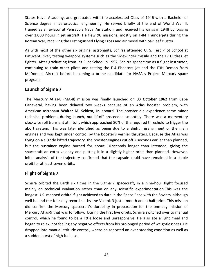Naval Academy, and graduated with the accelerated Class of <sup>1946</sup> with <sup>a</sup> Bachelor of degree in and the accelerated Olass of 1946 with a Bachelor of<br>degrees Naval Academy, and graduated with the accelerated Class of 1946 with a Bachelor of<br>Science degree in aeronautical engineering. He served briefly at the Vaval Academy, and graduated with the accelerated Class of 1946 with a Bachelor of<br>degree in aeronautical engineering. He served briefly at the end of World War II,<br>as an aviator at Pensacola Naval Air Station, and receive 1,000 hours in iet aircraft. He flew 90 missions, mostly on F-84 Thunderiets during the same at 1,000 hours in jet aircraft. He flew 90 missions, mostly on F-84 Thunderiets during the States Naval Academy, and graduated with the accelerated Class of 1946 with a Bachelor of Science degree in aeronautical engineering. He served briefly at the end of World War II, trained as an aviator at Pensacola Naval A tes Naval Academy, and graduated with the accelerated Class of 1946 with a Bachelor of<br>ence degree in aeronautical engineering. He served briefly at the end of World War II,<br>ined as an aviator at Pensacola Naval Air Statio Science degree in aeronautical engineering. He served briefly at the end of World War II, legree in aeronautical engineering. He served briefly at the end of World War II,<br>is an aviator at Pensacola Naval Air Station, and received his wings in 1948 by logging<br>0 hours in jet aircraft. He flew 90 missions, mostly trained as an aviator at Pensacola Naval Air Station, and received his wings in 1948 by logging trained as an aviator at Pensacola Naval Air Station, and received his wings in 1948 by logging<br>over 1,000 hours in jet aircraft. He flew 90 missions, mostly on F-84 Thunderjets during the<br>Korean War, receiving the Disting Korean War, receiving the Distinguished Flying Cross and air medal with oak leaf cluster.

hours in jet aircraft. He flew 90 missions, mostly on F-84 Thunderjets during the<br>
7, receiving the Distinguished Flying Cross and air medal with oak leaf cluster.<br>
1995 of the other six original astronauts, Schirra attend receiving the Distinguished Flying Cross and air medal with oak leaf cluster.<br>
St of the other six original astronauts, Schirra attended U. S. Test Pilot School at<br>
Ver, testing weapons systems such as the Sidewinder missi As with most of the other six original astronauts, Schirra attended U. S. Test Pilot School at Patuxent River, testing weapons systems such as the Sidewinder missile and the F7 Cutlass jet fighter. After graduating from Jet Pilot School in 1957, Schirra spent time as a flight instructor, most of the other six of<br>River, testing weapons<br>fter graduating from Je<br>lg to train other pilots<br>ell Aircraft before bec<br>**of Sigma 7** continuing to train other pilots and testing the F-4 Phantom jet and the F3H Demon from muing to train other pilots and testing the F-4 Phantom jet and the F3H Demon from<br>onnell Aircraft before becoming a prime candidate for NASA"s Project Mercury space<br>ram.<br>**nch of Sigma 7**<br>Mercury Atlas-8 (MA-8) mission was McDonnell Aircraft before becoming a prime candidate for NASA"s Project Mercury space Aircraft before becoming a prime candidate for NASA"s Project Mercury space<br> **Sigma 7**<br>
Ty Atlas-8 (MA-8) mission was finally launched on **03 October 1962** from Cape<br>
having been delayed two weeks because of an Atlas boost program.

#### Launch of Sigma 7

Korean

**f Sigma 7**<br>ary Atlas-8 (MA-8) mission was finally launched on **03 October 1962** from Cape<br>having been delayed two weeks because of an Atlas booster problem, with<br>astronaut Walter M. Schirra, Jr. aboard. The booster did ex **problems 4 5 (MA-8)** mission was finally launched on **03 October 1962** from Cape<br>
problems delayed two weeks because of an Atlas booster problem, with<br>
astronaut **Walter M. Schirra, Jr.** aboard. The booster did experience **Sigma 7**<br>ury Atlas-8 (MA-8) mission was finally launched on **03 October 1962** from Cape<br>, having been delayed two weeks because of an Atlas booster problem, with<br>astronaut **Walter M. Schirra, Jr.** aboard. The booster did The Mercury Atlas-8 (MA-8) mission was finally launched on **03 October 1962** from Cape<br>Canaveral, having been delayed two weeks because of an Atlas booster problem, with<br>American astronaut **Walter M. Schirra, Jr.** aboard. engines and was the diagonal was the weeks because of an Atlas booster problem, with<br>American astronaut **Walter M. Schirra, Jr.** aboard. The booster did experience some minor<br>technical problems during launch, but liftoff p American astronaut Walter M. Schirra, Jr. aboard. The booster did experience some minor dentical problems during seem actayed the weeks secalise of an mass second. Prosiden, which American astronaut **Walter M. Schirra, Jr.** aboard. The booster did experience some minor technical problems during launch, but li The substant of the sustainer and control. The second for about 10 second for about 10 second for a sight misalignment of the main the system. This was later identified as being due to a slight misalignment of the main nes technical problems during launch, but liftoff proceeded smoothly. There was a momentary clockwise roll transient at liftoff, which approached 80% of the required threshold to trigger the Fosterns daring radien, set interm proceduct sinceding. There was a momentar, oll transient at liftoff, which approached 80% of the required threshold to trigger the m. This was later identified as being due to a slight mi abort system. This was later identified as being due to a slight misalignment of the main and was kept under control by the booster's vernier thrusters. Because the Atlas was<br>and was kept under control by the booster's vernier thrusters. Because the Atlas was<br>on a slightly lofted trajectory, the booster engines engines and was kept under control by the booster's vernier thrusters. Because the Atlas was engines and was kept under cont<br>flying on a slightly lofted trajector<br>but the sustainer engine burne<br>spacecraft an extra velocity and<br>initial analysis of the trajectory c<br>orbit for at least seven orbits. **s** and was kept under come a slightly lofted traje<br>
e sustainer engine but<br>
raft an extra velocity a<br>
sinalysis of the trajecto<br>
or at least seven orbits.<br> **of Sigma 7** spacecraft an extra velocity and putting it in a slightly higher orbit than planned. However, aft an extra velocity and putting it in a slightly higher orbit than planned. However,<br>nalysis of the trajectory confirmed that the capsule could have remained in a stable<br>cat least seven orbits.<br>**Of Sigma 7** spacecraft, i initial analysis of the trajectory confirmed that the capsule could have remained in a stable nalysis of the trajectory confirmed that the capsule could have remained in a stable<br>
rat least seven orbits.<br> **of Sigma 7**<br>
orbited the Earth six times in the Sigma 7 spacecraft, in a nine-hour flight focused<br>
on technica orbit for at least seven orbits.

#### Flight of Sigma 7

began to relax, not feeling any negative effects from his prolonged period of weightlessness. He The same orbits.<br>
Sof Sigma 7<br>
Sorbited the Earth six times in the Sigma 7 spacecraft, in a nine-hour flight focused<br>
on technical evaluation rather than on any scientific experimentation.This was the<br>
U.S. manned orbital **the Sigma 7<br>
A a orbited the Earth six times in the Sigma 7 spacecraft, in a nine-hour flight focused<br>
ly on technical evaluation rather than on any scientific experimentation. This was the<br>
set U.S. manned orbital flight ht of Sigma 7**<br>Tra orbited the Earth six times in the Sigma 7 spacecraft, in a nine-hour flight focused<br>aly on technical evaluation rather than on any scientific experimentation. This was the<br>est U.S. manned orbital fligh Schirra orbited the Earth six times in the Sigma 7 spacecraft, in a nine-hour flight focused rbited the Earth six times in the Sigma 7 spacecraft, in a nine-hour flight focused<br>n technical evaluation rather than on any scientific experimentation. This was the<br>J.S. manned orbital flight achieved to date in the Spac  $rac{1}{\cdot}$ Which the found to be a little loose and unresponsive. He also ate a light meal and<br>D.S. manned orbital flight achieved to date in the Space Race with the Soviets, although<br>ind the four-day record set by the Vostok 3 just began to relation to the Venter channels of any selement experimentation into the Super-<br>
longest U.S. manned orbital flight achieved to date in the Space Race with the Soviets, although<br>
well behind the four-day record se well behind the four-day record set by the Vostok 3 just a month and a half prior. This mission ist manual attitude control, where he reported an over steering condition as well as<br>in the Mercury spacecraft's durability in preparation for the one-day mission of<br>Atlas-9 that was to follow. During the first five orbits a sum a the fear and recorded did confirm the Mercury space.<br>Mercury Atlas-9 that was to foll control, which he found to be began to relax, not feeling any redropped into manual attitude casual sudden burst of high fuel us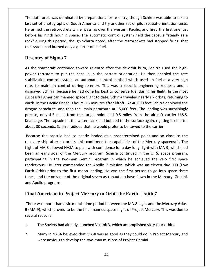sixth orbit was dominated by preparations for re-entry, though Schirra was able to take <sup>a</sup> set of photographs of the sixth orbit was dominated by preparations for re-entry, though Schirra was able to take a<br>Hest set of photographs of South America and try another set of pilot spatial-orientation tests. armed the retrorockets while passing over the western Pacific, and fired the first one just<br>armed the retrorockets while passing over the western Pacific, and fired the first one just h orbit was dominated by preparations for re-entry, though Schirra was able to take a<br>of photographs of South America and try another set of pilot spatial-orientation tests.<br>ed the retrorockets while passing over the weste It was dominated by preparations for re-entry, though Schirra was able to take a<br>The of photographs of South America and try another set of pilot spatial-orientation tests.<br>The retrorockets while passing over the western P The sixth orbit was dominated by preparations for r<br>last set of photographs of South America and try ar<br>He armed the retrorockets while passing over the v<br>before his ninth hour in space. The automatic con<br>rock" during this before his ninth hour in space. The automatic control system held the capsule "steady as a before his ninth hour in space. The automatic control system held the capsule "steady as a<br>rock" during this period, though Schirra noted, after the retrorockets had stopped firing, that<br>the system had burned only a quarte the system had burned only a quarter of its fuel.

## **Re-entry of Sigma 7**

rock"

uring this period, though Schirra noted, after the retrorockets had stopped firing, that<br>em had burned only a quarter of its fuel.<br>**Irry of Sigma 7**<br>spacecraft continued toward re-entry after the de-orbit burn, Schirra use ad burned only a quarter of its fuel.<br> **f Sigma 7**<br>
ecraft continued toward re-entry after the de-orbit burn, Schirra used the high-<br>
ters to put the capsule in the correct orientation. He then enabled the rate<br>
control sy ntry of Sigma 7<br>
e spacecraft continued toward re-entry after the de-orbit burn, Schirra used the high-<br>
thrusters to put the capsule in the correct orientation. He then enabled the rate<br>
zation control system, an automati The sacecraft continued toward re-entry after the de-orbit burn, Schirra used the high-<br>sters to put the capsule in the correct orientation. He then enabled the rate<br>on control system, an automatic control method which use As the spacecraft continued toward re-entry after the de-orbit burn, Schirra used the highneecraft continued toward re-entry after the de-orbit burn, Schirra used the high-<br>usters to put the capsule in the correct orientation. He then enabled the rate<br>n control system, an automatic control method which used up power thrusters to put the capsule in the correct orientation. He then enabled the rate in thrusters to put the capsule in the correct orientation. He then enabled the rate<br>tation control system, an automatic control method which used up fuel at a very high<br>to maintain control during re-entry. This was a spec stabilization control system, an automatic control method which used up fuel at a very high parachute, and then the main parachute at 15,000 feet. The landing was surprisingly<br>parachute. and then then maintain control during re-entry. This was a specific engineering request, and it<br>d Schirra because he had done h precise, only 4.5 miles from the target point and 0.5 miles from the aircraft carrier U.S.S.<br>precise, only 4.5 miles from the target point of the target point and it<br>dismayed Schirra because he had done his best to conserv dismayed Schirra because he had done his best to conserve fuel during his flight. In the most successful American manned space flight to date, Schirra traveled nearly six orbits, returning to earth in the Pacific Ocean 9 h about 30 seconds. Schirra radioed that he would prefer to be towed to the carring the material successful American manned space flight to date, Schirra traveled nearly six orbits, ret earth in the Pacific Ocean 9 hours, 13 he Pacific Ocean 9 hours, 13 minutes after liftoff. At 40,000 feet Schirra deployed the<br>arachute, and then the main parachute at 15,000 feet. The landing was surprisingly<br>nly 4.5 miles from the target point and 0.5 miles f drogue parachute, and then the main parachute at 15,000 feet. The landing was surprisingly arachute, and then the main parachute at 15,000 feet. The landing was surprisingly<br>only 4.5 miles from the target point and 0.5 miles from the aircraft carrier U.S.S.<br>.. The capsule hit the water, sank and bobbed to the su precise, only 4.5 miles from the target point and 0.5 miles from the aircraft carrier U.S.S. Kearsarge. The capsule hit the water, sank and bobbed to the surface again, righting itself after

e, only 4.5 miles from the target point and 0.5 miles from the aircraft carrier U.S.S.<br>arge. The capsule hit the water, sank and bobbed to the surface again, righting itself after<br>30 seconds. Schirra radioed that he would Kearsarge. The capsule hit the water, sank and bobbed to the surface again, righting itself after<br>about 30 seconds. Schirra radioed that he would prefer to be towed to the carrier.<br>Because the capsule had so nearly landed nds. Schirra radioed that he would prefer to be towed to the carrier.<br>
capsule had so nearly landed at a predetermined point and so close to the<br>
after six orbits, this confirmed the capabilities of the Mercury spacecraft. Because the capsule had so nearly landed at a predetermined point and so close to the Example had so nearly landed at a predetermined point and so close to the<br>
a after six orbits, this confirmed the capabilities of the Mercury spacecraft. The<br>
B allowed NASA to plan with confidence for a day-long flight wi recovery ship after six orbits, this confirmed the capabilities of the Mercury spacecraft. The The first moon landing, the sum of the first moon landing, the was the first person to go into the first person to go into space the first person to go into space the meaning in the two-man Gemini program in which he achie flight of MA-8 allowed NASA to plan with confidence for a day-long flight with MA-9, which had Filight of MA-8 allowed NASA to plan with confidence for a day-long flight with MA-9, which had<br>been an early goal of the Mercury program. Schirra continued in the U. S. space program,<br>participating in the two-man Gemini p A an early goal of the<br>icipating in the two-<br>lezvous. He later com<br>h Orbit) prior to the<br>s, and the only one of<br>Apollo programs. Earth Orbit) prior to the first moon landing, He was the first person to go into space three Earth Orbit) prior to the first moon landing, He was the first person to go into space three<br>times, and the only one of the original seven astronauts to have flown in the Mercury, Gemini,<br>and Apollo programs.<br>**Final Americ** and Apollo programs.

#### **Final American in Project Mercury to Orbit the Earth - Faith 7**  $\overline{\mathbf{F}}$

mes, and the only one of the original seven astronauts to have flown in the Mercury, Gemini,<br>i**nal American in Project Mercury to Orbit the Earth - Faith 7**<br>here was more than a six-month time period between the MA-8 fligh bllo programs<br>**American i**<br>was more tha<br>)), which prov<br>reasons: Final American in Project Mercury to Orbit the Earth - Faith 7<br>There was more than a six-month time period between the MA-8 flight and the Mercury Atl 9 (MA-9), which proved to be the final manned space flight of Project M was more than a six-month time period between the MA-8 flight and the **Mercury Atlas-9**), which proved to be the final manned space flight of Project Mercury. This was due to I reasons:<br>I reasons:<br>The Soviets had already l 9), which proved to be the final manned space flight of Project Me<br>reasons:<br>The Soviets had already launched Vostok 3, which accomplished s<br>Many in NASA believed that MA-8 was as good as they could do i<br>were anxious to dev

- The Soviets had already launched Vostok 3, which accomplished sixty-four orbits.
- $2.$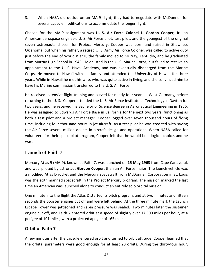When NASA did decide on an MA-9 flight, they had to negotiate with McDonnell for capsule model is a consequence model in the model of the model of the several capsule modifications to accommodate the longer flight. For the MASA did decide on an MA-9 flight, they had to negotiate with McDonnell for<br>
For the MA-9 assignment was **U.** S. Air Force Colonel L. Gordon Cooper. Jr., an and NASA did decide on an MA-9 flight, they had to negotiate with McDonnell for<br>eral capsule modifications to accommodate the longer flight.<br>The MA-9 assignment was **U. S. Air Force Colonel L. Gordon Cooper, Jr.**, an<br>aeros

3. When NASA did decide on an MA-9 flight, they had to negotiate with McDonnell for<br>several capsule modifications to accommodate the longer flight.<br>Chosen for the MA-9 assignment was **U. S. Air Force Colonel L. Gordon Coop** en NASA did decide on an MA-9 flight, they had to negotiate with McDonnell for<br>
rral capsule modifications to accommodate the longer flight.<br>
the MA-9 assignment was **U. S. Air Force Colonel L. Gordon Cooper, Jr.**, an<br>
ero several capsule modifications to accommodate the longer flight.<br>
sen for the MA-9 assignment was **U. S. Air Force Colonel L. Gordon Cooper, Jr**., an<br>
prican aerospace engineer, U. S. Air Force pilot, test pilot, and the yo Chosen for the MA-9 assignment was U. S. Air Force Colonel L. Gordon Cooper, Jr., an en for the MA-9 assignment was **U. S. Air Force Colonel L. Gordon Cooper, Jr**., an<br>ican aerospace engineer, U. S. Air Force pilot, test pilot, and the youngest of the original<br>i astronauts chosen for Project Mercury. Coope American aerospace engineer, U. S. Air Force pilot, test pilot, and the youngest of the original to the U. S. assument was C. C. Antified Coloncial L. Coloncial Cooper, 3.1, and<br>space engineer, U. S. Air Force pilot, test pilot, and the youngest of the original<br>auts chosen for Project Mercury. Cooper was born and rais seven astronauts chosen for Project Mercury. Cooper was born and raised in Shawnee, an derespace engineer, or strink force phoe, test phoe, and the youngest of the original<br>astronauts chosen for Project Mercury. Cooper was born and raised in Shawnee,<br>ma, but when his father, a retired U. S. Army Air Force Oklahoma, but when his father, a retired U. S. Army Air Force Colonel, was called to active duty Ignalis Chiesen Telectronical, Chiesen Was both and Taised in Shameer,<br>
Similar Chiese in Shameer,<br>
If and the met his father, a retired U.S. Army Air Force Colonel, was called to active duty<br>
If are end of World War II, t just before the end of World War II, the family moved to Murray, Kentucky, and he graduated bis before the end of World War II, the family moved to Murray, from Murray High School in 1945. He enlisted in the U. S. Marine Cappointment to the U. S. Naval Academy, and was eventually Corps. He moved to Hawaii with hi m Murray High School in 1945. He enlisted in the U.S. Marine Corps, but failed to receive an<br>pointment to the U.S. Naval Academy, and was eventually discharged from the Marine<br>ps. He moved to Hawaii with his family and att appointment to the U.S. Naval Academy, and was eventually discharged from the Marine ent to the U. S. Naval Academy, and was eventually discharged from the Marine<br>moved to Hawaii with his family and attended the University of Hawaii for three<br>ile in Hawaii he met his wife, who was quite active in flying, a Corj Corps. He moved to Hawaii with his family and attended the University of Hawaii for three<br>years. While in Hawaii he met his wife, who was quite active in flying, and she convinced him to<br>have his Marine commission transfer have his Marine commission transferred to the U.S. Air Force.

rs. While in Hawaii he met his wife, who was quite active in flying, and she convinced him to<br>e his Marine commission transferred to the U.S. Air Force.<br>received extensive flight training and served for nearly four years i his Marine commission transferred to the U. S. Air Force.<br>ceived extensive flight training and served for nearly four years in West Germany, before<br>hing to the U. S. Cooper attended the U. S. Air Force Institute of Technol time,reived extensive flight training and served for nearly four years in West Germany, before<br>ing to the U.S. Cooper attended the U.S. Air Force Institute of Technology in Dayton for<br>ears, and he received his Bachelor of Scien  $\mathbb{R}^n$ Exercis extensive might drammig and served for hearty foar years in west definedly, severe<br>
rning to the U.S. Cooper attended the U.S. Air Force Institute of Technology in Dayton for<br>
years, and he received his Bachelor of returning to the U.S. Cooper attended the U.S. Air Force Institute of Technology in Dayton for<br>two years, and he received his Bachelor of Science degree in Aeronautical Engineering in 1956. For their space of Statemaca and Statemaca and he received his Bachelor of Science degree in Aeronautical Engineering in 1956.<br>
igned to Edwards Air Force Base in California for the next two years, functioning as<br>
pilot an He was assigned to Edwards Air Force Base in California for the next two years, functioning as the Air Force several million dollars in aircraft design and operations. When NASA called for volunteers for their space pilot program, Cooper felt that he would be a logical choice, and he nteers for their space pilot program, Cooper felt that he would be a logical choice, and he<br>**Inch of Faith 7**<br>Cury Atlas 9 (MA-9), known as Faith 7, was launched on 15 May,1963 from Cape Canaveral,<br>was piloted by astronaut was.

## Launch of Faith **7**

American

as.<br>2011 a provided at the Mercury Atlas 9 (MA-9), known as Faith 7, was launched on 15 May,1963 from Cape Canaveral,<br>2011 and was piloted by astronaut Gordon Cooper, then an Air Force major. The launch vehicle was<br>2013 mo **inch of Faith 7**<br>
tury Atlas 9 (MA-9), known as Faith 7, was launched on **15 May,1963** from Cape Canaveral,<br>
was piloted by astronaut **Gordon Cooper**, then an Air Force major. The launch vehicle was<br>
dified Atlas D rocket **nch of Faith 7**<br>ury Atlas 9 (MA-9), known as Faith 7, was launched on **15 May,1963** from Cape Cana<br>was piloted by astronaut **Gordon Cooper**, then an Air Force major. The launch vehicl<br>dified Atlas D rocket and the Mercury Mer cury Atlas 9 (MA-9), known as Faith 7, was launched on **15 May, 1963** from Cape Canaveral,<br>was piloted by astronaut **Gordon Cooper**, then an Air Force major. The launch vehicle was<br>dified Atlas D rocket and the Mercury spa and was piloted by astronaut Gordon Cooper, then an Air Force major. The launch vehicle was piloted by astronaut **Gordon Cooper**, then an Air Force major. The launch vehicle was<br>ed Atlas D rocket and the Mercury spacecraft from McDonnell Corporation in St. Louis<br>sixth manned spacecraft in the Project Mercury prog a modified Atlas D rocket and the Mercury spacecraft from McDonnell Corporation in St. Louis ied Atlas D rocket and the Mercury spacecraft from McDonnell Corporation in St. Louis<br>
1. sixth manned spacecraft in the Project Mercury program. The mission marked the last<br>
4. American was launched alone to conduct an en was the sixth manned spacecraft in the Project Mercury program. The mission marked the last time an American was launched alone to conduct an entirely solo orbital mission

existh manned spacecraft in the Project Mercury program. The mission marked the last<br>American was launched alone to conduct an entirely solo orbital mission<br>nute into the flight the Atlas D started its pitch program, and a American was launched alone to conduct an entirely solo<br>
uute into the flight the Atlas D started its pitch program, a<br>
the booster engines cut off and were left behind. At the<br>
Tower was jettisoned and cabin pressure was inute into the flight th<br>
Is the booster engines<br>
Tower was jettisoned<br>
cut off, and Faith 7 e<br> **2** of 101 miles, with a p<br> **of Faith 7** Escape Tower was jettisoned and cabin pressure was sealed. Two minutes later the sustainer cape Tower was jettisoned and cabin pressure was sealed. Two minutes later the sustainer<br>agine cut off, and Faith 7 entered orbit at a speed of slightly over 17,500 miles per hour, at a<br>arigee of 101 miles, with a projecte engine cut off, and Faith 7 entered orbit at a speed of slightly over 17,500 miles per hour, at a<br>perigee of 101 miles, with a projected apogee of 165 miles<br>**Orbit of Faith 7**<br>A few minutes after the capsule entered orbit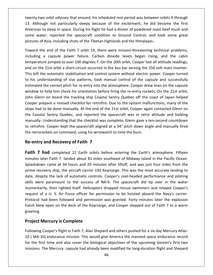orbit odyssey that ensued, his scheduled rest period was between orbits <sup>9</sup> through Although not particularly sleepy that ensued, his scheduled rest period was between orbits 9 through<br>Although not particularly sleepy because of the excitement, he did become the first to orbit odyssey that ensued, his scheduled rest period was between orbits 9 through<br>ugh not particularly sleepy because of the excitement, he did become the first<br>to sleep in space. During his flight he had a dinner of po Firm the spacecraft condition to Ground Control, and took some great was the space.<br>Though not particularly sleepy because of the excitement, he did become the first<br>Control, and to sleep in space. During his flight he had twenty-two orbit odyssey that ensued, his scheduled rest period was between orbits 9 through 13. Although not particularly sleepy because of the excitement, he did become the first American to sleep in space. During his fl wo orbit odyssey that ensued, his scheduled rest period was between orbits 9 through<br>ough not particularly sleepy because of the excitement, he did become the first<br>n to sleep in space. During his flight he had a dinner of 13. Although not particularly sleepy because of the excitement, he did become the first Igh not particularly sleepy because of the excitement, he did become the first<br>co sleep in space. During his flight he had a dinner of powdered roast beef mush and<br>er, reported the spacecraft condition to Ground Control, a American to sleep in space. During his flight he had a dinner of powdered roast beef mush and American to sleep in space. During his flight he had a dinner of powdered roast beef mush and<br>some water, reported the spacecraft condition to Ground Control, and took some great<br>pictures of Asia, including shots of the Ti

some water, reported the spacecraft condition to Ground Control, and took some great<br>pictures of Asia, including shots of the Tibetan highlands and the Himalayas..<br>Toward the end of the Faith 7 orbit 19, there were mission res of Asia, including shots of the Tibetan highlands and the Himalayas..<br>
ard the end of the Faith 7 orbit 19, there were mission-threatening technical problems,<br>
ding a capsule power failure. Carbon dioxide levels began Toward the end of the Faith 7 orbit 19, there were mission-threatening technical problems, ward the end of the Faith 7 orbit 19, there were mission-threatening technical problems,<br>luding a capsule power failure. Carbon dioxide levels began rising, and the cabin<br>nperature jumped to over 100 degrees F. On the 20th including a capsule power failure. Carbon dioxide levels began rising, and the cabin the correct pitch for re-entry into the atmosphere. Cooper dreatering technical problems,<br>the correct pitch of the correct pitch of re-entry into the atmosphere. 21st orbit a short-circuit occurred in the bus bar serving t temperature jumped to over 100 degrees F. On the 20th orbit, Cooper lost all attitude readings, temperature jumped to over 100 degrees F. On the 20th orbit, Cooper lost all attitude readings,<br>and on the 21st orbit a short-circuit occurred in the bus bar serving the 250 volt main inverter.<br>This left the automatic stab Fracture Jumped to over 166 degrees it. On the 26th of Jty, cooper fost an attitude reddings,<br>In the 21st orbit a short-circuit occurred in the bus bar serving the 250 volt main inverter.<br>Eft the automatic stabilization an This left the automatic stabilization and control system without electric power. Cooper turned<br>to his understanding of star patterns, took manual control of the capsule and successfully<br>estimated the correct pitch for re-e . . . . .<br>. . . . In the discussion and control system without clearing power. Cooper tanned<br>
understanding of star patterns, took manual control of the capsule and successfully<br>
ated the correct pitch for re-entry into the atmosphere. Coop  $\frac{1}{\sqrt{2}}$ Is and the correct pitch for re-entry into the atmosphere. Cooper drew lines on the capsule<br>Idow to help him check his orientation before firing the re-entry rockets. On the 21st orbit,<br>I Glenn on board the tracking ship C estimated the correct pitch for re-entry into the atmosphere. Cooper drew lines on the capsule window to help him check his orientation before firing the re-entry rockets. On the 21st orbit, In the concet plear for the that y life distincts proper and writes on the capsate<br>
In the p him check his orientation before firing the re-entry rockets. On the 21st orbit,<br>
In on board the tracking ship Coastal Sentry Qu The Step time energy the spacecraft of the spacecraft aligned at a 34° pitch down angle and manually fired energy cooper prepare a revised checklist for retrofire. Due to the system malfunctions, many of the steps had to b the retrorockets on command, using his wristwatch to time the retrorockets on competent of the system malf steps had to be done manually. At the end of the 21st orbit, Cooper aga the Coastal Sentry Quebec, and reported the Figure a revised checklist for retrofire. I<br> **Co** be done manually. At the end of the<br> **I** Sentry Quebec, and reported the s<br>
Jnderstanding that the checklist was continually.<br> **Cooper kept the spacecraft aligned and Recov** the Coastal Sentry Quebec, and reported the spacecraft was in retro attitude and holding astal Sentry Quebec, and reported the spacecraft was in retro attitude and holding<br>Ily. Understanding that the checklist was complete, Glenn gave a ten-second countdown<br>ofire. Cooper kept the spacecraft aligned at a 34° pi to retrofire. Cooper kept the spacecraft aligned at a 34° pitch down angle and manually fired to retrofire. Cooper kept the spacecraft aligned at a 34° pitch down angle and manually fired<br>the retrorockets on command, using his wristwatch to time the burn.<br>**Re-entry and Recovery of Faith 7**<br>**Faith 7 had** completed 2

## ne-e

pictures in the second second second second second second second second second second second second second second second second second second second second second second second second second second second second second sec

Exame at 34 hours and 20 minutes after liftoff, and was just four miles from the<br> **d** completed 22 Earth orbits before entering the Earth's atmosphere. Fifteen<br>
Faith 7 landed about 81 miles southeast of Midway Island in t **7 had completed 22 Earth orbits before entering the Earth's atmosphere. Fifteen**<br>17 **had completed 22 Earth orbits before entering the Earth's atmosphere. Fifteen**<br>18 later Faith 7 landed about 81 miles southeast of Midwa 7 had completed 22 Earth orbits before entering the Earth's atmosphere. Fifteen<br>es later Faith 7 landed about 81 miles southeast of Midway Island in the Pacific Ocean.<br>Idown came at 34 hours and 20 minutes after liftoff, a **Faith 7 had** completed 22 Earth orbits before entering the Earth's atmosphere. Fifteen minutes later Faith 7 landed about 81 miles southeast of Midway Island in the Pacific Ocean. Splashdown came at 34 hours and 20 minute minutes later Faith 7 landed about 81 miles southeast of Midway Island in the Pacific Ocean. Faith 7 landed about 81 miles southeast of Midway Island in the Pacific Ocean.<br>ame at 34 hours and 20 minutes after liftoff, and was just four miles from the<br>y ship, the aircraft carrier USS Kearsarge. This was the most ac Splashdown came at 34 hours and 20 minutes after liftoff, and was just four miles from the Splashdown came at 34 hours and 20 minutes sourcest of miama, island in the Facine ocean.<br>Splashdown came at 34 hours and 20 minutes after liftoff, and was just four miles from the<br>prime recovery ship, the aircraft carrier had been followed and permission was granted. Forty minutes later these is in the covery ship, the aircraft carrier USS Kearsarge. This was the most accurate landing to pite the lack of automatic controls. Cooper's cool-he prime recovery ship, the aircraft carrier USS Kearsarge. This was the most accurate landing to date, despite the lack of automatic controls. Cooper's cool-headed performance and piloting blespite the lack of automatic controls. Cooper's cool-headed performance and piloting<br>were paramount to the success of NA-9. The spacecraft did tip over in the water<br>ntarily, then righted itself. Helicopters dropped rescu skills were paramount to the success of NA-9. The spacecraft did tip over in the water momentarily, then righted itself. Helicopters dropped rescue swimmers and relayed Cooper's request of a U. S. Air Force officer for permission to be hoisted aboard the Navy's carrier. Protocol had been followed and permiss re paramount to the success of<br>arily, then righted itself. Helicopter<br>of a U. S. Air Force officer for pel<br>had been followed and permissio<br>w open on the deck of the Kearsa<br>**Mercurv is Complete** Protocol had been followed and permission was granted. Forty minutes later the explosion Protocol had been followed and permission was granted. Forty minutes later the explosion<br>hatch blew open on the deck of the Kearsarge, and Cooper stepped out of Faith 7 to a warm<br>greeting.<br>**Project Mercury is Complete**<br>Fol greeting.

**Project Mercury is Complete**<br>( Man-Shepard and others pushed for a six day Mercury Atlas-<br>Following Cooper's flight in Faith 7, Alan Shepard and others pushed for a six day Mercury Atlaset **Mercury is Complete**<br>
pect Mercury is Complete<br>
owing Cooper's flight in Faith 7, Alan Shepard and others pushed for a six day Mercury Atlas-<br>
MA-10) endurance mission. This would give America the manned space enduranc **Mercury is Complete**<br>Cooper's flight in Faith 7, Alan Shepard and others pushed for a six day Mercury Atlas-<br>0) endurance mission. This would give America the manned space endurance record<br>st time and also cover the biolo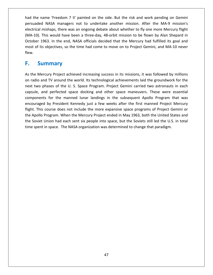the name 'Freedom <sup>7</sup> II' painted on the side. But the risk and work pending on Gemini NASA managers not to undertake another mission. After the MA-9 mission's<br>NASA managers not to undertake another mission. After the MA-9 mission's mame 'Freedom 7 II' painted on the side. But the risk and work pending on Gemini<br>A NASA managers not to undertake another mission. After the MA-9 mission's<br>mishaps, there was an ongoing debate about whether to fly one more This would have been a three-day. 48-orbit mission to be flown by Alan Shepard in the MA-Shepard in the WA-Shepard in the was an ongoing debate about whether to fly one more Mercury flight<br>This would have been a three-day. name 'Freedom 7 II' painted on the side. But the risk and work pending on Gemini<br>
d NASA managers not to undertake another mission. After the MA-9 mission's<br>
mishaps, there was an ongoing debate about whether to fly one mo had the name 'Freedom 7 II' painted on the side. But the risk and work pending on Gemini electrical mishaps, there was an ongoing debate about whether to fly one more Mercury flight (MA-10). This would have been a three-day, 48-orbit mission to be flown by Alan Shepard in persuaded NASA managers not to undertake another mission. After the MA-9 mission's had the r<br>persuade<br>electrical<br>(MA-10).<br>October :<br>most of it<br>flew. **Example Standard Standard Standard Standard Standard Standard Standard Standard Standard Standard Standard Standard Standard Standard Standard Standard Standard Standard Standard Standard Standard Standard Standard Standa** October 1963. In the end, NASA officials decided that the Mercury had fulfilled its goal and tober 1963. In the end, NASA officials decided that the Mercury had fulfilled its goal and<br>st of its objectives, so the time had come to move on to Project Gemini, and MA-10 never<br>w.<br>**Summary**<br>the Mercury Project achieved most of its objectives, so the time had come to move on to Project Gemini, and MA-10 never flew.

#### $\mathbb{Z}^{\mathbb{Z}^{\times}}$ **F.** Summary

October

radio and TV around the world. Its technological achievements laid the groundwork for the Mercury Project achieved increasing success in its missions, it was followed by millions radio and TV around the world. Its technolo **Summary**<br>The Mercury Project achieved increasing success in its missions, it was followed by millions<br>Alio and TV around the world. Its technological achievements laid the groundwork for the<br>Two phases of the U. S. Space **ummary**<br>ercury Project achieved increasing success in its missions, it was followed by millions<br>and TV around the world. Its technological achievements laid the groundwork for the<br>phases of the U. S. Space Program. Projec For Project achieved increasing success in its missions, it was followed by millions<br>TV around the world. Its technological achievements laid the groundwork for the<br>ses of the U. S. Space Program. Project Gemini carried tw encouragedInternal and the world. Its technological achievements laid the groundwork for the states of the U. S. Space Program. Project Gemini carried two astronauts in each leverfected space docking and other space maneuvers. These Flight. This course does not include the more expansive space programs of Project Gemini of the mext two phases of the U.S. Space Program. Project Gemini carried two astronauts in each capsule, and perfected space docking on radio and it around the Meria. As technological denotencements and the groundwith for the<br>next two phases of the U. S. Space Program. Project Gemini carried two astronauts in each<br>capsule, and perfected space docking an the Soviet and perfected space docking and other space maneuvers. These were essential<br>components for the manned lunar landings in the subsequent Apollo Program that was<br>encouraged by President Kennedy just a few weeks aft components for the manned lunar landings in the subsequent Apollo Program that was encouraged by President Kennedy just a few weeks after the first manned Project Mercury flight. This course does not include the more expansive space programs of Project Gemini or the Apollo Program. When the Mercury Proje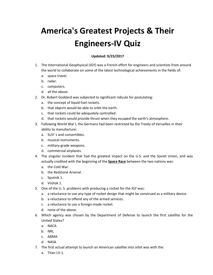# **America's Greatest Projects & Their ojects & The<br>Quiz America's Greatest Projects & Their** s<mark>t Projec</mark><br>'s-IV Qui:<br><sup>9/23/2017</sup> The International Geophysical (IGY) was a French effort for engineers and scientists from around

- **Engineers-IV Quiz**<br>Updated: 9/23/2017<br>International Geophysical (IGY) was a French effort for engineers and scientists from aroun<br>World to collaborate on some of the latest technological achievements in the fields of: The International Georgian<br>the world to collabora<br>a. space travel. The Internation<br>the world to co<br>a. space trave<br>b. radar. The International Get<br>the world to collabo<br>a. space travel.<br>b. radar.<br>c. computers. 1. The International Geophysical (IGY) was a French effort for engineers and scientists from around<br>the world to collaborate on some of the latest technological achievements in the fields of:<br>a. space travel.<br>b. radar.<br>c. The international deophysical (1817) was a French enote for engineers and set<br>the world to collaborate on some of the latest technological achievements in<br>a. space travel.<br>b. radar.<br>c. computers.<br>d. all the above.<br>Dr. Robe
	- a.
	-
	-
	-
- the world to collaborate on some of the la<br>
a. space travel.<br>
b. radar.<br>
c. computers.<br>
d. all the above.<br>
Dr. Robert Goddard was subjected to signi<br>
a. the concept of liquid-fuel rockets. that or space traver.<br>
that or space travers.<br>
d. all the above.<br>
Dr. Robert Goddard was subjected to significant ridicu<br>
a. the concept of liquid-fuel rockets.<br>
b. that objects would be able to orbit the earth. 1. Computers.<br>
1. all the above.<br>
1. Robert Goddard was subjected to significant ridic<br>
1. the concept of liquid-fuel rockets.<br>
1. that objects would be able to orbit the earth.<br>
1. that rockets could be adequately control that rockets would provide thrust when they escaped the earth's atmosphere.<br>
1. Dr. Robert Goddard was subjected to significant ridicule for postulating:<br>
1. that concept of liquid-fuel rockets.<br>
1. that rockets would be a  $\frac{1}{10}$ 
	-
	- a. the concept of liquid-fuel rockets.<br>b. that objects would be able to orbit the earth.
	-
	- Following World War I, the Germans had been restricted by the Treaty of Versailles in their<br>
	that objects would be able to orbit the earth.<br>
	1. That rockets could be adequately controlled.<br>
	1. That rockets would provide th
- ectric sociation was saked<br>the concept of liquid-fult<br>at objects would be a<br>to manufacture:<br>to manufacture: a. The concept of induct fact food.<br>
b. that rockets could be able to<br>
d. that rockets would provide t<br>
Following World War I, the Germ<br>
ability to manufacture:<br>
a. SUV's and convertibles. E. that ockets could be ade<br>d. that rockets would provide<br>Following World War I, the Ge<br>ability to manufacture:<br>a. SUV's and convertibles.<br>b. musical instruments. d. that rockets coald be ducquaded.<br>
d. that rockets would provide the<br>
Following World War I, the Germ<br>
ability to manufacture:<br>
a. SUV's and convertibles.<br>
b. musical instruments.<br>
c. military-grade weapons. 3. Following World War I, the Germans had been restricted by the Treaty of Versailles in their<br>ability to manufacture:<br>a. SUV's and convertibles.<br>b. musical instruments.<br>c. military-grade weapons. The singular incident that had the greatest impact on the U.S. and the Soviet Union, and was<br>The singular incident that had the greatest impact on the U.S. and the Soviet Union, and was<br>The singular incident that had the g
	- a. SUV's and convertibles.
	- b. musical instruments.
	-
	-
- Thandacture:<br>
I's and convertibles.<br>
ical instruments.<br>
mercial airplanes.<br>
wular incident that had the greatest impact on the U.S. and the Soviet Union, a<br>
credited with the beginning of the **Space Race** between the two n d. Severs and convents<br>b. musical instrumen<br>c. military-grade wea<br>d. commercial airplai<br>The singular incident<br>actually credited with<br>a. the Cold War. of mission mortaments.<br>
1. commercial airplanes.<br>
1. commercial airplanes.<br>
1. The singular incident that had<br>
actually credited with the begin<br>
1. the Redstone Arsenal. d. commercial airp<br>The singular incider<br>actually credited wire.<br>a. the Cold War.<br>b. the Redstone Arc.<br>C. Sputnik 1. 4. The singular incide<br>actually credited w<br>a. the Cold War.<br>b. the Redstone A<br>c. Sputnik 1.<br>d. Vostok 1. The singular includent that had the greatest impact on the 0.5. and the actually credited with the beginning of the **Space Race** between the two<br>a. the Cold War.<br>b. the Redstone Arsenal.<br>c. Sputnik 1.<br>One of the U. S. prob
	- a.
	-
	-
	-
- d. Vostok 1.<br>5. One of the U.S. problems w<br>a. a reluctance to use any<br>b. a reluctance to offend a<br>c. a reluctance to use a fo<br>d. none of the above. Unit Un
- a. the Cold War.<br>a. the Cold War.<br>b. the Redstone Arsenal.<br>c. Sputnik 1.<br>One of the U.S. problems with producing a rocket for the IGY was:<br>a. a reluctance to use any type of rocket design that might be construed as a milit a. The estation Arsenal.<br>
a. the Redstone Arsenal.<br>
c. Sputnik 1.<br>
One of the U.S. problems with producing a rocket for the<br>
a. a reluctance to use any type of rocket design that mig<br>
b. a reluctance to offend any of the a a reluctance to use and producing a rocket is<br>a reluctance to use any type of rocket design th<br>a reluctance to use any type of rocket design th<br>b. a reluctance to offend any of the armed service<br>c. a reluctance to use a fo China are of the U.S. problems with producing a rocket for the IGY was:<br>
a. a reluctance to use any type of rocket design that might be construed as a military device.<br>
b. a reluctance to offend any of the armed services.<br> a.
	-
	-
	-
- ence of *s.* proster<br>eluctance to use<br>eluctance to use<br>ne of the above.<br>agency was cho<br>States? a reluctance to t<br>a reluctance to t<br>none of the above<br>ch agency was<br>red States?<br>NACA b. a reluctance<br>d. none of the<br>Which agency<br>United States?<br>a. NACA<br>b. NRL d. none of the about<br>Which agency was onlined States?<br>a. NACA<br>b. NRL<br>c. ABMA d. Hone of the door<br>Which agency was<br>United States?<br>a. NACA<br>b. NRL<br>c. ABMA<br>d. NASA  $\cdot$ The first actual attempt to launch an American satellite into orbit was with the:<br>The first actual attempt to launch an American satellite into orbit was with the:<br>The first actual attempt to launch an American satellite i United States?<br>a. NACA
	-
	-
	-
	-
- ca states.<br>NACA<br>NRL<br>ABMA<br>NASA<br>first actual att<br>Titan LV-1.
	-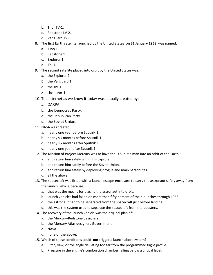- $\mathsf{b.}$  Thor TV-1.
- b. Thor TV-1.<br>c. Redstone LV-2. b. Thor TV-1.<br>c. Redstone LV-2.<br>d. Vanguard TV-3.
	-
- b. Thor TV-1.<br>c. Redstone LV-2.<br>d. Vanguard TV-3.<br>The first Earth satellite launched by the United States on **31 January 1958** was named: b. Thor TV-1.<br>c. Redstone LV-2.<br>d. Vanguard TV-3.<br>The first Earth satel<br>a. Juno 1. b. Thor TV-1.<br>c. Redstone LV-2.<br>d. Vanguard TV-3.<br>The first Earth satellite<br>a. Juno 1.<br>b. Redstone 1. d. Vanguard TV-3.<br>The first Earth satell<br>a. Juno 1.<br>b. Redstone 1.<br>c. Explorer 1. d. Vanguard<br>8. The first Earth<br>8. The first Earth<br>1. Juno 1.<br>1. Explorer 1.<br>1. JPL 1. The first Earth satellite launched by the United States on **31 January**<br>a. Juno 1.<br>b. Redstone 1.<br>c. Explorer 1.<br>d. JPL 1.<br>The second satellite placed into orbit by the United States was: a.
	-
	-
	-
	-
- The mot Earlin Satellice<br>
a. Juno 1.<br>
b. Redstone 1.<br>
c. Explorer 1.<br>
d. JPL 1.<br>
The second satellite pla<br>
a. the Explorer 2. b. Redstone 1.<br>
c. Explorer 1.<br>
d. JPL 1.<br>
The second satellite placed<br>
a. the Explorer 2.<br>
b. the Vanguard 1. c. Explorer 1.<br>d. JPL 1.<br>9. The second satellite p<br>a. the Explorer 2.<br>b. the Vanguard 1.<br>c. the JPL 1.<br>d. the Juno-1. d. JPL 1.<br>The second satellite placed into orbit by the United States was:<br>a. the Explorer 2.<br>b. the Vanguard 1.<br>c. the JPL 1.<br>d. the Juno-1.<br>The internet as we know it todav was actually created by: a.
	- b. Redstone 1.<br>
	c. Explorer 1.<br>
	d. JPL 1.<br>
	The second satellit<br>
	a. the Explorer 2.<br>
	b. the Vanguard :<br>
	c. the JPL 1. The second satem<br>
	a. the Explorer 2<br>
	b. the Vanguard<br>
	c. the JPL 1.<br>
	d. the Juno-1.<br>
	The internet as<br>
	a. DARPA.
	-
	-
	-
- d. the Explorer 2.<br>
b. the Vanguard 1.<br>
c. the JPL 1.<br>
d. the Juno-1.<br>
The internet as we know it t<br>
a. DARPA.<br>
b. the Democrat Party. c. the JPL 1.<br>d. the Juno-1.<br>The internet as we know it t<br>a. DARPA.<br>b. the Democrat Party.<br>c. the Republican Party. d. the Juno-1.<br>
10. The internet as we know<br>
a. DARPA.<br>
b. the Democrat Party.<br>
c. the Republican Party.<br>
d. the Soviet Union. The internet as we kn<br>
a. DARPA.<br>
b. the Democrat Part<br>
c. the Republican Part<br>
d. the Soviet Union.<br>
NASA was created:
	- a. DARPA.
	-
	-
	-
- 
- a. DARPA.<br>b. the Democrat Party.<br>c. the Republican Party.<br>d. the Soviet Union.<br>NASA was created:<br>a. nearly one year before Sputnik 1. b. the Democrat Party.<br>
c. the Republican Party.<br>
d. the Soviet Union.<br>
NASA was created:<br>
a. nearly one year before Sputnik 1.<br>
b. nearly six months before Sputnik 1. 11. NASA was created:<br>a. nearly one year before Sputnik 1.
- onceptive monomental contracts.<br>
thearly six months after Sputnik 1.<br>
thearly one year before Sputnik 1.<br>
thearly six months before Sputnik 1.<br>
thearly six months after Sputnik 1. d. the Soviet Union.<br>
11. NASA was created:<br>
a. nearly one year before Sputnik 1.<br>
b. nearly six months before Sputnik 1.<br>
c. nearly six months after Sputnik 1.<br>
d. nearly one year after Sputnik 1.
	-
	-
- The Soviet Sinon.<br>
NASA was created:<br>
a. nearly one year before Sputnik 1.<br>
c. nearly six months after Sputnik 1.<br>
d. nearly one year after Sputnik 1.<br>
The Mission of Project Mercury was to have the U.S. put a man into an a. nearly one year before Sputnik 1.<br>
b. nearly six months before Sputnik 1.<br>
c. nearly six months after Sputnik 1.<br>
d. nearly one year after Sputnik 1.<br>
The Mission of Project Mercury was to have the l<br>
a. and return him and return one year service spating 1.<br>
b. nearly six months before Sputnik 1.<br>
c. nearly six months after Sputnik 1.<br>
d. nearly one year after Sputnik 1.<br>
The Mission of Project Mercury was to have the U.S. pu<br>
a. and ret and return and return him safely by deploying drogue and main parachutes.<br>
The Mission of Project Mercury was to have the U.S. put a man into an or<br>
a. and return him safely within his capsule.<br>
b. and return him safely be d. nearly six months<br>d. nearly one year af<br>12. The Mission of Project<br>a. and return him sat<br>b. and return him sat<br>c. and return him sat<br>d. all the above. The Mission of Project Mercury was to have the U.S. put a man into an orbit of the Earth::<br>a. and return him safely within his capsule.<br>b. and return him safely before the Soviet Union.<br>c. and return him safely by deployin the
	-
	- a. and return him safely within his capsule.<br>b. and return him safely before the Soviet Union.
	-
	-
- Mission of Frojeet Mereary<br>and return him safely within<br>and return him safely before<br>and return him safely by dep<br>all the above.<br>spacecraft was fitted with a<br>launch vehicle because: that was the means for placing the means for placing the means of the means of the spacecraft was fitted with a launch escape enclosure to carrie launch vehicle because:<br>a. that was the means for placing the astronaut into launch vehicles had failed on more than fifty percent of their launches.<br>
In all the above.<br>
The spacecraft was fitted with a launch escape enclosure to carry the astronaut safely away f<br>
the launch vehicle because:<br>
a. th the astronaut had to be separated from the spacecraft iust before landing.<br>The spacecraft was fitted with a launch escape enclosure to carry the astronaut saf<br>the launch vehicle because:<br>a. that was the means for placing t 13. The spacecraft was fitted with a launch escape enclosure to carry the astronaut<br>the launch vehicle because:<br>a. that was the means for placing the astronaut into orbit.<br>b. launch vehicles had failed on more than fifty p The spacecraft was fitted with a nather escape enciesate to early,<br>the launch vehicle because:<br>a. that was the means for placing the astronaut into orbit.<br>b. launch vehicles had failed on more than fifty percent of their<br>c
	- the launch vehicle because:<br>a. that was the means for placing the astronaut into orbit. a. that was the means for placing the ast<br>b. launch vehicles had failed on more that<br>c. the astronaut had to be separated fro<br>d. this was the system used to separate t<br>The recovery of the launch vehicle was the<br>a. the Merc
	- the Mas the means for placing the astronaut in<br>b. launch vehicles had failed on more than fifty p<br>c. the astronaut had to be separated from the sp<br>d. this was the system used to separate the space<br>The recovery of the launc
	- E. danch cent<br>
	d. this was th<br>
	The recovery o<br>
	a. the Mercul<br>
	b. the Mercul<br>
	c. NASA.
- d. this was the system used to separate the spacecraft from the boosters.<br>
14. The recovery of the launch vehicle was the original plan of:<br>
a. the Mercury-Redstone designers.<br>
b. the Mercury Atlas designers Government.<br>
c
- In this was the system ased to separate the spacecraft from the sossters.<br>The recovery of the launch vehicle was the original plan of:<br>a. the Mercury-Redstone designers.<br>b. the Mercury Atlas designers Government.<br>c. NASA.<br>
	- a. the Mercury-Redstone designers.
	-
	-
	-
- The recovery or the lattich ventile was the original plantor.<br>
a. the Mercury-Redstone designers.<br>
b. the Mercury Atlas designers Government.<br>
c. NASA.<br>
d. none of the above.<br>
Which of these conditions could **not** trigger
- 15. Which of these conditions could **not** trigger a launch abort system?<br>a. Pitch, yaw, or roll angle deviating too far from the programmed flight profile.<br>b. Pressure in the engine's combustion chamber falling below a cri
	-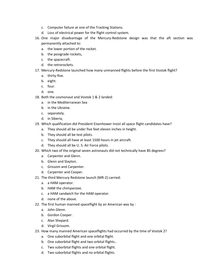- c. Computer failure at one of the Tracking Stations. c. Computer failure at one of the Tracking Stations.<br>d. Loss of electrical power for the flight control system.
	-
- C. Computer failure at one of the Tracking Stations.<br>
d. Loss of electrical power for the flight control system.<br>
One major disadvantage of the Mercury-Redstone design was that the aft section was r failure at one of t<br>ectrical power for<br>disadvantage of <sup>+</sup><br>attached to: c. Computer failure at one of the Track<br>d. Loss of electrical power for the flight<br>One major disadvantage of the Mer<br>permanently attached to:<br>a. the lower portion of the rocket. c. Computer failure at one of<br>d. Loss of electrical power for<br>One major disadvantage of<br>permanently attached to:<br>a. the lower portion of the ro<br>b. the posigrade rockets. d. Loss of electrical po<br>One major disadvanta<br>permanently attached t<br>a. the lower portion o<br>b. the posigrade rocke<br>c. the spacecraft. 16. One major disadvantage<br>permanently attached to:<br>a. the lower portion of t<br>b. the posigrade rockets<br>c. the spacecraft.<br>d. the retrorockets. Mercury-Redstone launched how many unmanned flights before the first Vostok flight?<br>Mercury-Redstone launched how many unmanned flights before the first Vostok flight? permanently attached to:
	- a. the lower portion of the rocket.<br>
	b. the posigrade rockets,<br>
	c. the spacecraft.<br>
	d. the retrorockets.
	-
	-
	- b. the posig<br>c. the space<br>d. the retrol<br>Mercury-Red.<br>a. thirty-five<br>b. eight.<br>c. four.
- b. the posigrade rockets,<br>c. the spacecraft.<br>d. the retrorockets.<br>Mercury-Redstone launche<br>a. thirty-five.<br>b. eight. d. the retro<br>17. Mercury-Red<br>a. thirty-five<br>b. eight.<br>c. four.<br>d. one. a. The recrosexeds.<br>
Mercury-Redstone launched how many unmanned<br>
a. thirty-five.<br>
b. eight.<br>
c. four.<br>
d. one.<br>
Both the cosmonaut and Vostok 1 & 2 landed: a.
	- a. thirty-five.
	-
	-
	-
- cary neasione laanened now many<br>thirty-five.<br>eight.<br>four.<br>one.<br>i the Mediterranean Sea in the Ukraine.<br>
in the Ukraine.<br>
Both the Cosmonaut an<br>
a. in the Mediterrane.<br>
b. in the Ukraine. s. c. four.<br>d. one.<br>Both the cosmonau<br>a. in the Mediterra<br>b. in the Ukraine.<br>c. separately. d. one.<br>18. Both the cosmona<br>a. in the Mediter<br>b. in the Ukraine<br>c. separately.<br>d. in Siberia. 18. Both the cosmonaut and Vostok 1 & 2 landed:<br>a. in the Mediterranean Sea
	-
	-
	-
	-
- 9. Soth the cosmonaut and Vostok 1 & 2 landed:<br>
a. in the Mediterranean Sea<br>
b. in the Ukraine.<br>
c. separately.<br>
d. in Siberia<u>.</u><br>
Which qualification did President Eisenhower Insist all space flight candidates have? Sout the cosmonaat and vostok 1 & 2 landed.<br>
a. in the Mediterranean Sea<br>
b. in the Ukraine.<br>
c. separately.<br>
d. in Siberia<u>.</u><br>
Which qualification did President Eisenhower Insist all space flight<br>
a. They should all be un a. In the Mediterranean sea<br>
b. in the Ukraine.<br>
c. separately.<br>
d. in Siberia<u>.</u><br>
Which qualification did President Eise<br>
a. They should all be under five feet<br>
b. They should all be test pilots. E. In the SMallie.<br>
S. In the SMallie.<br>
d. In Siberia<u>.</u><br>
Which qualification did President Eisenhower Insist all space fli<br>
a. They should all be under five feet eleven inches in height.<br>
b. They should all be test pilots d. in Siberia<u>.</u><br>19. Which qualification did President Eisenhower In<br>a. They should all be under five feet eleven inc<br>b. They should all be test pilots.<br>c. They should all have at least 1500 hours in journal. Which qualification did President Eisenhower Insist all space flight candidates have?<br>
a. They should all be under five feet eleven inches in height.<br>
b. They should all be test pilots.<br>
c. They should all have at least 15
	- a. They should all be under f<br>b. They should all be test pilot.<br>C. They should all have at lead.<br>d. They should all be U.S. Air<br>Which two of the original seve<br>a. Carpenter and Glenn.
	- d. They should all be test p<br>c. They should all have at<br>d. They should all have at<br>d. They should all be U.S.<br>Which two of the original se<br>a. Carpenter and Glenn.<br>b. Glenn and Slavton.
	- Srivery should all have at least<br>c. They should all have at least<br>d. They should all be U.S. Air F<br>Which two of the original seven<br>a. Carpenter and Glenn.<br>b. Glenn and Slayton.<br>c. Grissom and Carpenter.
	-
- d. They should all be U. S. Air 1<br>20. Which two of the original seven<br>a. Carpenter and Glenn.<br>b. Glenn and Slayton.<br>c. Grissom and Carpenter.<br>d. Carpenter and Cooper. They should all be 0. 5.7 MH Torce phots.<br>
Which two of the original seven astronauts did not techn<br>
a. Carpenter and Glenn.<br>
b. Glenn and Slayton.<br>
c. Grissom and Carpenter.<br>
d. Carpenter and Cooper.<br>
The third Mercury Re a.
	-
	-
	- a. Carpenter and Glenn.<br>
	b. Glenn and Slayton.<br>
	c. Grissom and Carpente<br>
	d. Carpenter and Cooper<br>
	The third Mercury Redston<br>
	a. a HAM operator.
	-
- d. Carpenter and Slayton.<br>
c. Grissom and Carpenter.<br>
d. Carpenter and Cooper.<br>
The third Mercury Redstone land.<br>
a. a HAM operator.<br>
b. HAM the chimpanzee. b. Christian and Carpenter.<br>
d. Carpenter and Cooper.<br>
The third Mercury Redstone launch (MR-2) carrie<br>
a. a HAM operator.<br>
b. HAM the chimpanzee.<br>
c. a HAM sandwich for the HAM operator. d. Carpenter and Cooper.<br>21. The third Mercury Redstone<br>a. a HAM operator.<br>b. HAM the chimpanzee.<br>c. a HAM sandwich for the<br>d. none of the above. The third Mercury Redstone launch (MR-2) carried:<br>
a. a HAM operator.<br>
b. HAM the chimpanzee.<br>
c. a HAM sandwich for the HAM operator.<br>
d. none of the above.<br>
The first human manned spaceflight by an American was by :
	- a. a HAM operator<br>b. HAM the chimpa<br>c. a HAM sandwich<br>d. none of the abov<br>The first human mar<br>a. John Glenn.
	- decay the chimpanze<br>b. HAM the chimpanze<br>c. a HAM sandwich for<br>d. none of the above.<br>The first human manned<br>a. John Glenn.<br>b. Gordon Cooper.
	- Example Emmpering<br>
	C. a HAM sandwich for<br>
	d. none of the above<br>
	The first human manno<br>
	a. John Glenn.<br>
	b. Gordon Cooper.<br>
	c. Alan Shepard.
	-
- d. none of the above.<br>22. The first human manne<br>a. John Glenn.<br>b. Gordon Cooper.<br>c. Alan Shepard.<br>d. Virgil Grissom.
	- a. John Glenn.
	-
	-
	-
- 1. The first human manned spaceflight by an American was by :<br>
a. John Glenn.<br>
b. Gordon Cooper.<br>
c. Alan Shepard.<br>
d. Virgil Grissom.<br>
How many manned American spaceflights had occurred by the time of Vostok 2? The institution manned spacelingit by an American<br>
a. John Glenn.<br>
b. Gordon Cooper.<br>
c. Alan Shepard.<br>
d. Virgil Grissom.<br>
How many manned American spaceflights had occu<br>
a. One suborbital flight and one orbital flight. a. Sommotem.<br>
b. Gordon Cooper.<br>
c. Alan Shepard.<br>
d. Virgil Grissom.<br>
How many manned American spaceflights had occurr<br>
a. One suborbital flight and one orbital flight.<br>
b. One suborbital flight and two orbital flights.. E. Gordon Cooper.<br>
C. Alan Shepard.<br>
d. Virgil Grissom.<br>
How many manned American spaceflights had occur<br>
a. One suborbital flight and one orbital flights..<br>
b. One suborbital flight and two orbital flights..<br>
c. Two subor Virgil Grissom.<br>
v many manned American spaceflights had cone suborbital flight and one orbital flight.<br>
One suborbital flight and two orbital flights.<br>
Two suborbital flights and one orbital flight.<br>
Two suborbital flight
	-
	-
	-
	-